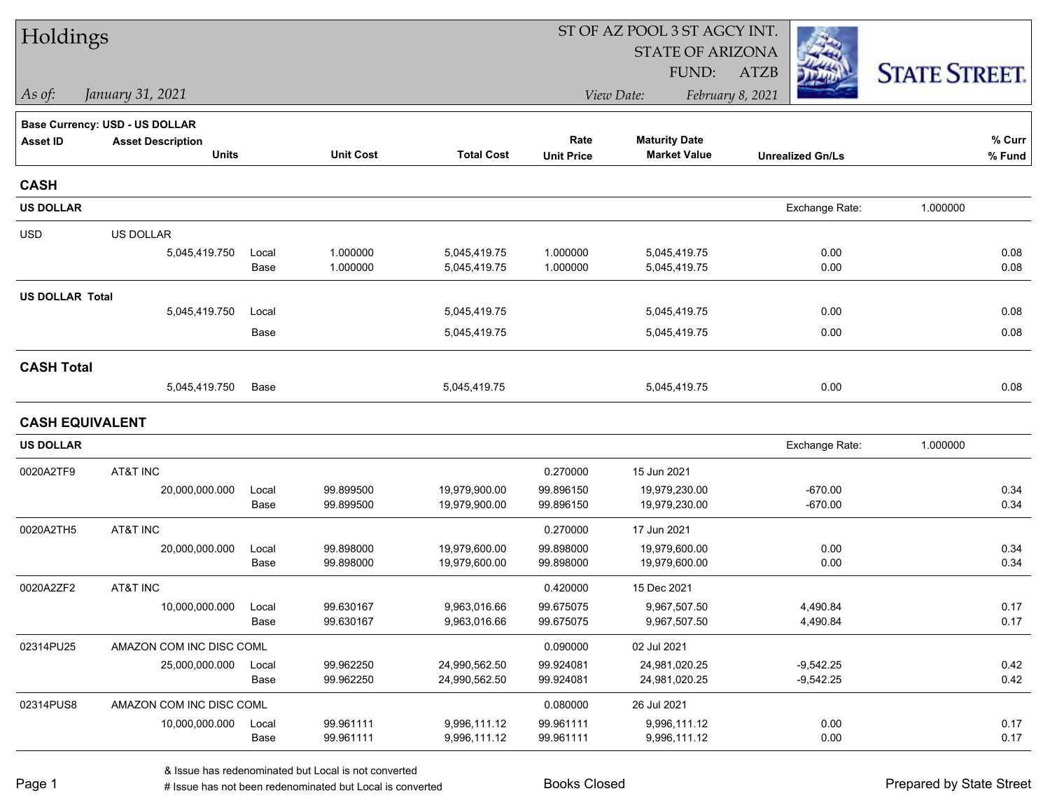| Holdings               |                                       |               |                        |                              | ST OF AZ POOL 3 ST AGCY INT. |                                |                            |                      |  |  |
|------------------------|---------------------------------------|---------------|------------------------|------------------------------|------------------------------|--------------------------------|----------------------------|----------------------|--|--|
|                        |                                       |               |                        |                              |                              | <b>STATE OF ARIZONA</b>        |                            |                      |  |  |
|                        |                                       |               |                        |                              |                              | FUND:                          | <b>ATZB</b>                | <b>STATE STREET.</b> |  |  |
| $\vert$ As of:         | January 31, 2021                      |               |                        |                              |                              | View Date:                     | February 8, 2021           |                      |  |  |
|                        | <b>Base Currency: USD - US DOLLAR</b> |               |                        |                              |                              |                                |                            |                      |  |  |
| <b>Asset ID</b>        | <b>Asset Description</b>              |               |                        |                              | Rate                         | <b>Maturity Date</b>           |                            | $%$ Curr             |  |  |
|                        | <b>Units</b>                          |               | <b>Unit Cost</b>       | <b>Total Cost</b>            | <b>Unit Price</b>            | <b>Market Value</b>            | <b>Unrealized Gn/Ls</b>    | % Fund               |  |  |
| <b>CASH</b>            |                                       |               |                        |                              |                              |                                |                            |                      |  |  |
| <b>US DOLLAR</b>       |                                       |               |                        |                              |                              |                                | Exchange Rate:             | 1.000000             |  |  |
| <b>USD</b>             | US DOLLAR                             |               |                        |                              |                              |                                |                            |                      |  |  |
|                        | 5,045,419.750                         | Local         | 1.000000               | 5,045,419.75                 | 1.000000                     | 5,045,419.75                   | 0.00                       | 0.08                 |  |  |
|                        |                                       | Base          | 1.000000               | 5,045,419.75                 | 1.000000                     | 5,045,419.75                   | 0.00                       | 0.08                 |  |  |
| <b>US DOLLAR Total</b> |                                       |               |                        |                              |                              |                                |                            |                      |  |  |
|                        | 5,045,419.750                         | Local         |                        | 5,045,419.75                 |                              | 5,045,419.75                   | 0.00                       | 0.08                 |  |  |
|                        |                                       | Base          |                        | 5,045,419.75                 |                              | 5,045,419.75                   | 0.00                       | 0.08                 |  |  |
| <b>CASH Total</b>      |                                       |               |                        |                              |                              |                                |                            |                      |  |  |
|                        | 5,045,419.750                         | Base          |                        | 5,045,419.75                 |                              | 5,045,419.75                   | 0.00                       | 0.08                 |  |  |
| <b>CASH EQUIVALENT</b> |                                       |               |                        |                              |                              |                                |                            |                      |  |  |
| <b>US DOLLAR</b>       |                                       |               |                        |                              |                              |                                | Exchange Rate:             | 1.000000             |  |  |
| 0020A2TF9              | AT&T INC                              |               |                        |                              | 0.270000                     | 15 Jun 2021                    |                            |                      |  |  |
|                        | 20,000,000.000                        | Local         | 99.899500              | 19,979,900.00                | 99.896150                    | 19,979,230.00                  | $-670.00$                  | 0.34                 |  |  |
|                        |                                       | Base          | 99.899500              | 19,979,900.00                | 99.896150                    | 19,979,230.00                  | $-670.00$                  | 0.34                 |  |  |
| 0020A2TH5              | AT&T INC                              |               |                        |                              | 0.270000                     | 17 Jun 2021                    |                            |                      |  |  |
|                        | 20,000,000.000                        | Local         | 99.898000              | 19,979,600.00                | 99.898000                    | 19,979,600.00                  | 0.00                       | 0.34                 |  |  |
|                        |                                       | Base          | 99.898000              | 19,979,600.00                | 99.898000                    | 19,979,600.00                  | 0.00                       | 0.34                 |  |  |
| 0020A2ZF2              | AT&T INC                              |               |                        |                              | 0.420000                     | 15 Dec 2021                    |                            |                      |  |  |
|                        | 10,000,000.000                        | Local<br>Base | 99.630167<br>99.630167 | 9,963,016.66<br>9,963,016.66 | 99.675075<br>99.675075       | 9,967,507.50<br>9,967,507.50   | 4,490.84<br>4,490.84       | 0.17<br>0.17         |  |  |
|                        |                                       |               |                        |                              |                              |                                |                            |                      |  |  |
| 02314PU25              | AMAZON COM INC DISC COML              |               |                        | 24,990,562.50                | 0.090000                     | 02 Jul 2021                    |                            |                      |  |  |
|                        | 25,000,000.000                        | Local<br>Base | 99.962250<br>99.962250 | 24,990,562.50                | 99.924081<br>99.924081       | 24,981,020.25<br>24,981,020.25 | $-9,542.25$<br>$-9,542.25$ | 0.42<br>0.42         |  |  |
| 02314PUS8              | AMAZON COM INC DISC COML              |               |                        |                              | 0.080000                     | 26 Jul 2021                    |                            |                      |  |  |
|                        | 10,000,000.000                        | Local         | 99.961111              | 9,996,111.12                 | 99.961111                    | 9,996,111.12                   | 0.00                       | 0.17                 |  |  |
|                        |                                       | Base          | 99.961111              | 9,996,111.12                 | 99.961111                    | 9,996,111.12                   | 0.00                       | 0.17                 |  |  |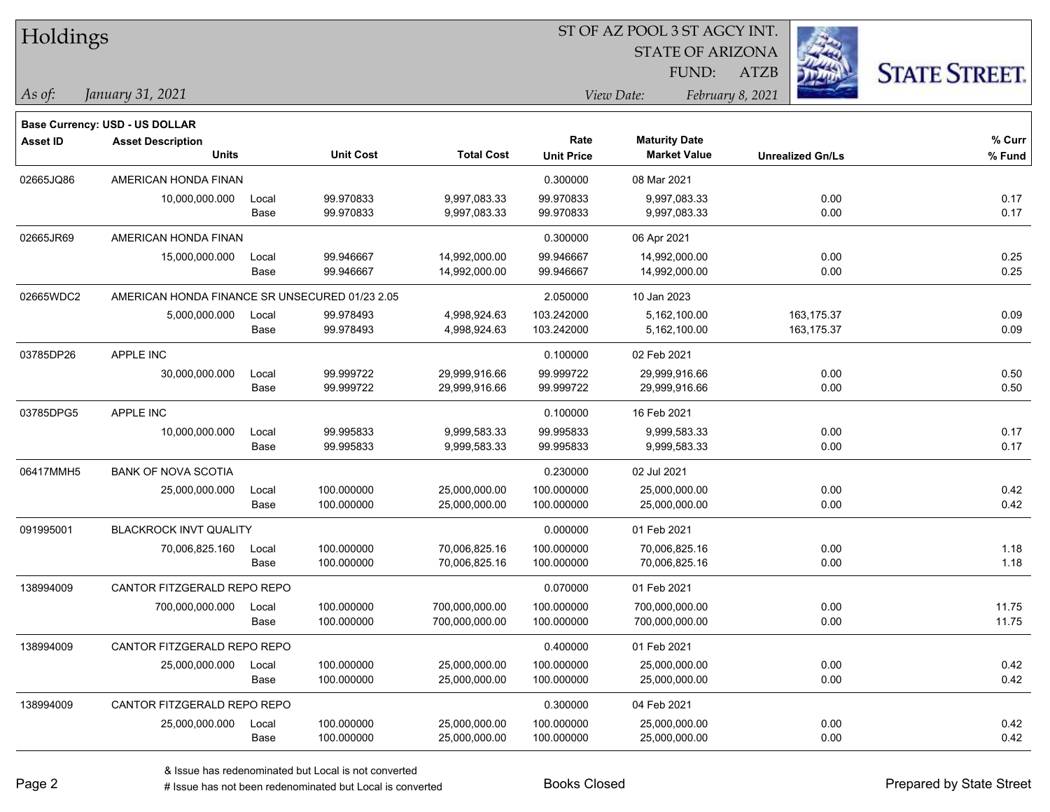| Holdings        |                                                                   |       |                  |                   |                   |                         |                         |                      |
|-----------------|-------------------------------------------------------------------|-------|------------------|-------------------|-------------------|-------------------------|-------------------------|----------------------|
|                 |                                                                   |       |                  |                   |                   | <b>STATE OF ARIZONA</b> |                         |                      |
|                 |                                                                   |       |                  |                   |                   | FUND:                   | <b>ATZB</b>             | <b>STATE STREET.</b> |
| As of:          | January 31, 2021                                                  |       |                  |                   |                   | View Date:              | February 8, 2021        |                      |
|                 |                                                                   |       |                  |                   |                   |                         |                         |                      |
| <b>Asset ID</b> | <b>Base Currency: USD - US DOLLAR</b><br><b>Asset Description</b> |       |                  |                   | Rate              | <b>Maturity Date</b>    |                         | % Curr               |
|                 | <b>Units</b>                                                      |       | <b>Unit Cost</b> | <b>Total Cost</b> | <b>Unit Price</b> | <b>Market Value</b>     | <b>Unrealized Gn/Ls</b> | $%$ Fund             |
| 02665JQ86       | AMERICAN HONDA FINAN                                              |       |                  |                   | 0.300000          | 08 Mar 2021             |                         |                      |
|                 | 10,000,000.000                                                    | Local | 99.970833        | 9,997,083.33      | 99.970833         | 9,997,083.33            | 0.00                    | 0.17                 |
|                 |                                                                   | Base  | 99.970833        | 9,997,083.33      | 99.970833         | 9,997,083.33            | 0.00                    | 0.17                 |
| 02665JR69       | AMERICAN HONDA FINAN                                              |       |                  |                   | 0.300000          | 06 Apr 2021             |                         |                      |
|                 | 15,000,000.000                                                    | Local | 99.946667        | 14,992,000.00     | 99.946667         | 14,992,000.00           | 0.00                    | 0.25                 |
|                 |                                                                   | Base  | 99.946667        | 14,992,000.00     | 99.946667         | 14,992,000.00           | 0.00                    | 0.25                 |
| 02665WDC2       | AMERICAN HONDA FINANCE SR UNSECURED 01/23 2.05                    |       |                  |                   | 2.050000          | 10 Jan 2023             |                         |                      |
|                 | 5,000,000.000                                                     | Local | 99.978493        | 4,998,924.63      | 103.242000        | 5,162,100.00            | 163,175.37              | 0.09                 |
|                 |                                                                   | Base  | 99.978493        | 4,998,924.63      | 103.242000        | 5,162,100.00            | 163, 175.37             | 0.09                 |
| 03785DP26       | APPLE INC                                                         |       |                  |                   | 0.100000          | 02 Feb 2021             |                         |                      |
|                 | 30,000,000.000                                                    | Local | 99.999722        | 29,999,916.66     | 99.999722         | 29,999,916.66           | 0.00                    | 0.50                 |
|                 |                                                                   | Base  | 99.999722        | 29,999,916.66     | 99.999722         | 29,999,916.66           | 0.00                    | 0.50                 |
| 03785DPG5       | APPLE INC                                                         |       |                  |                   | 0.100000          | 16 Feb 2021             |                         |                      |
|                 | 10,000,000.000                                                    | Local | 99.995833        | 9,999,583.33      | 99.995833         | 9,999,583.33            | 0.00                    | 0.17                 |
|                 |                                                                   | Base  | 99.995833        | 9,999,583.33      | 99.995833         | 9,999,583.33            | 0.00                    | 0.17                 |
| 06417MMH5       | <b>BANK OF NOVA SCOTIA</b>                                        |       |                  |                   | 0.230000          | 02 Jul 2021             |                         |                      |
|                 | 25,000,000.000                                                    | Local | 100.000000       | 25,000,000.00     | 100.000000        | 25,000,000.00           | 0.00                    | 0.42                 |
|                 |                                                                   | Base  | 100.000000       | 25,000,000.00     | 100.000000        | 25,000,000.00           | 0.00                    | 0.42                 |
| 091995001       | BLACKROCK INVT QUALITY                                            |       |                  |                   | 0.000000          | 01 Feb 2021             |                         |                      |
|                 | 70,006,825.160                                                    | Local | 100.000000       | 70,006,825.16     | 100.000000        | 70,006,825.16           | 0.00                    | 1.18                 |
|                 |                                                                   | Base  | 100.000000       | 70,006,825.16     | 100.000000        | 70,006,825.16           | 0.00                    | 1.18                 |
| 138994009       | CANTOR FITZGERALD REPO REPO                                       |       |                  |                   | 0.070000          | 01 Feb 2021             |                         |                      |
|                 | 700,000,000.000                                                   | Local | 100.000000       | 700,000,000.00    | 100.000000        | 700,000,000.00          | 0.00                    | 11.75                |
|                 |                                                                   | Base  | 100.000000       | 700,000,000.00    | 100.000000        | 700,000,000.00          | 0.00                    | 11.75                |
| 138994009       | CANTOR FITZGERALD REPO REPO                                       |       |                  |                   | 0.400000          | 01 Feb 2021             |                         |                      |
|                 | 25,000,000.000                                                    | Local | 100.000000       | 25,000,000.00     | 100.000000        | 25,000,000.00           | 0.00                    | 0.42                 |
|                 |                                                                   | Base  | 100.000000       | 25,000,000.00     | 100.000000        | 25,000,000.00           | 0.00                    | 0.42                 |
| 138994009       | CANTOR FITZGERALD REPO REPO                                       |       |                  |                   | 0.300000          | 04 Feb 2021             |                         |                      |
|                 | 25,000,000.000                                                    | Local | 100.000000       | 25,000,000.00     | 100.000000        | 25,000,000.00           | 0.00                    | 0.42                 |
|                 |                                                                   | Base  | 100.000000       | 25,000,000.00     | 100.000000        | 25,000,000.00           | 0.00                    | 0.42                 |

denote the redenominated but Local is converted Books Closed Prepared by State Street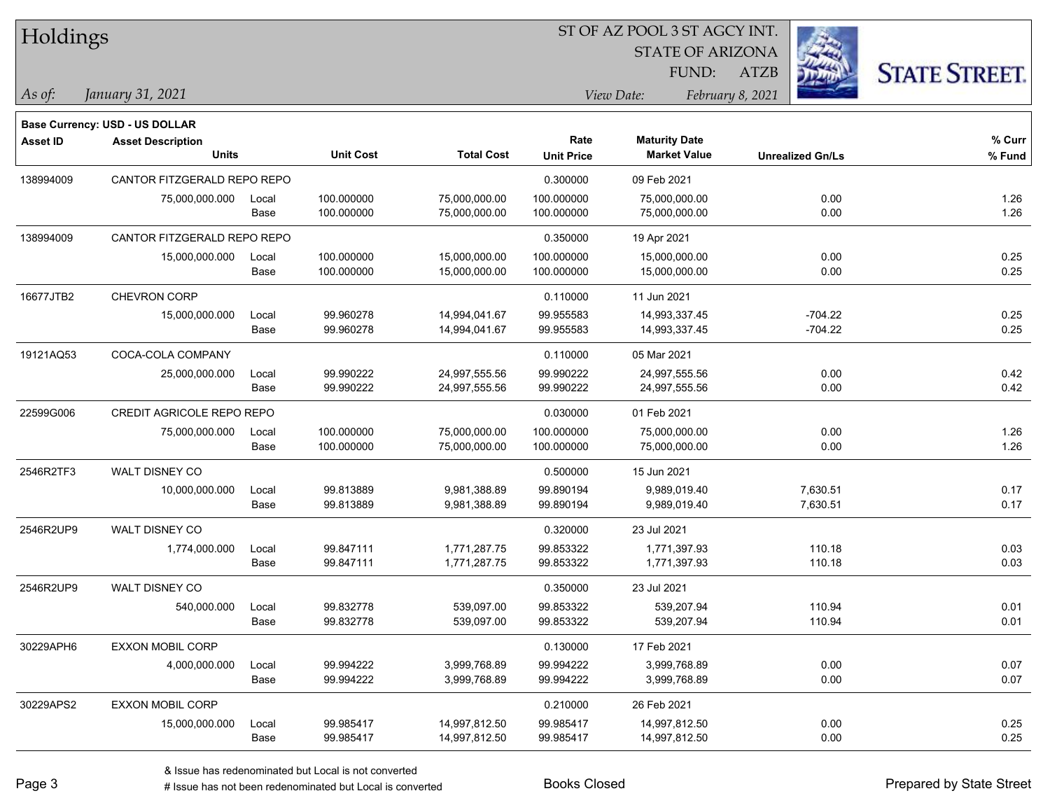|  | <b>Holdings</b> |
|--|-----------------|
|  |                 |

STATE OF ARIZONA

ATZB



*January 31, 2021 As of: View Date: February 8, 2021*

**Base Currency: USD - US DOLLAR**

FUND:

| Asset ID  | <b>Asset Description</b><br><b>Units</b> |               | <b>Unit Cost</b>         | <b>Total Cost</b>              | Rate<br><b>Unit Price</b> | <b>Maturity Date</b><br><b>Market Value</b> | <b>Unrealized Gn/Ls</b> | % Curr<br>% Fund |
|-----------|------------------------------------------|---------------|--------------------------|--------------------------------|---------------------------|---------------------------------------------|-------------------------|------------------|
| 138994009 | CANTOR FITZGERALD REPO REPO              |               |                          |                                | 0.300000                  | 09 Feb 2021                                 |                         |                  |
|           | 75,000,000.000                           | Local<br>Base | 100.000000<br>100.000000 | 75,000,000.00<br>75,000,000.00 | 100.000000<br>100.000000  | 75,000,000.00<br>75,000,000.00              | 0.00<br>0.00            | 1.26<br>1.26     |
| 138994009 | CANTOR FITZGERALD REPO REPO              |               |                          |                                | 0.350000                  | 19 Apr 2021                                 |                         |                  |
|           | 15,000,000.000                           | Local<br>Base | 100.000000<br>100.000000 | 15,000,000.00<br>15,000,000.00 | 100.000000<br>100.000000  | 15,000,000.00<br>15,000,000.00              | 0.00<br>0.00            | 0.25<br>0.25     |
| 16677JTB2 | CHEVRON CORP                             |               |                          |                                | 0.110000                  | 11 Jun 2021                                 |                         |                  |
|           | 15,000,000.000                           | Local<br>Base | 99.960278<br>99.960278   | 14,994,041.67<br>14,994,041.67 | 99.955583<br>99.955583    | 14,993,337.45<br>14,993,337.45              | $-704.22$<br>$-704.22$  | 0.25<br>0.25     |
| 19121AQ53 | COCA-COLA COMPANY                        |               |                          |                                | 0.110000                  | 05 Mar 2021                                 |                         |                  |
|           | 25,000,000.000                           | Local<br>Base | 99.990222<br>99.990222   | 24,997,555.56<br>24,997,555.56 | 99.990222<br>99.990222    | 24,997,555.56<br>24,997,555.56              | 0.00<br>0.00            | 0.42<br>0.42     |
| 22599G006 | CREDIT AGRICOLE REPO REPO                |               |                          |                                | 0.030000                  | 01 Feb 2021                                 |                         |                  |
|           | 75,000,000.000                           | Local<br>Base | 100.000000<br>100.000000 | 75,000,000.00<br>75,000,000.00 | 100.000000<br>100.000000  | 75,000,000.00<br>75,000,000.00              | 0.00<br>0.00            | 1.26<br>1.26     |
| 2546R2TF3 | WALT DISNEY CO                           |               |                          |                                | 0.500000                  | 15 Jun 2021                                 |                         |                  |
|           | 10,000,000.000                           | Local<br>Base | 99.813889<br>99.813889   | 9,981,388.89<br>9,981,388.89   | 99.890194<br>99.890194    | 9,989,019.40<br>9,989,019.40                | 7,630.51<br>7,630.51    | 0.17<br>0.17     |
| 2546R2UP9 | <b>WALT DISNEY CO</b>                    |               |                          |                                | 0.320000                  | 23 Jul 2021                                 |                         |                  |
|           | 1,774,000.000                            | Local<br>Base | 99.847111<br>99.847111   | 1,771,287.75<br>1,771,287.75   | 99.853322<br>99.853322    | 1,771,397.93<br>1,771,397.93                | 110.18<br>110.18        | 0.03<br>0.03     |
| 2546R2UP9 | WALT DISNEY CO                           |               |                          |                                | 0.350000                  | 23 Jul 2021                                 |                         |                  |
|           | 540,000.000                              | Local<br>Base | 99.832778<br>99.832778   | 539,097.00<br>539,097.00       | 99.853322<br>99.853322    | 539,207.94<br>539,207.94                    | 110.94<br>110.94        | 0.01<br>0.01     |
| 30229APH6 | <b>EXXON MOBIL CORP</b>                  |               |                          |                                | 0.130000                  | 17 Feb 2021                                 |                         |                  |
|           | 4,000,000.000                            | Local<br>Base | 99.994222<br>99.994222   | 3,999,768.89<br>3,999,768.89   | 99.994222<br>99.994222    | 3,999,768.89<br>3,999,768.89                | 0.00<br>0.00            | 0.07<br>0.07     |
| 30229APS2 | <b>EXXON MOBIL CORP</b>                  |               |                          |                                | 0.210000                  | 26 Feb 2021                                 |                         |                  |
|           | 15,000,000.000                           | Local<br>Base | 99.985417<br>99.985417   | 14,997,812.50<br>14,997,812.50 | 99.985417<br>99.985417    | 14,997,812.50<br>14,997,812.50              | 0.00<br>0.00            | 0.25<br>0.25     |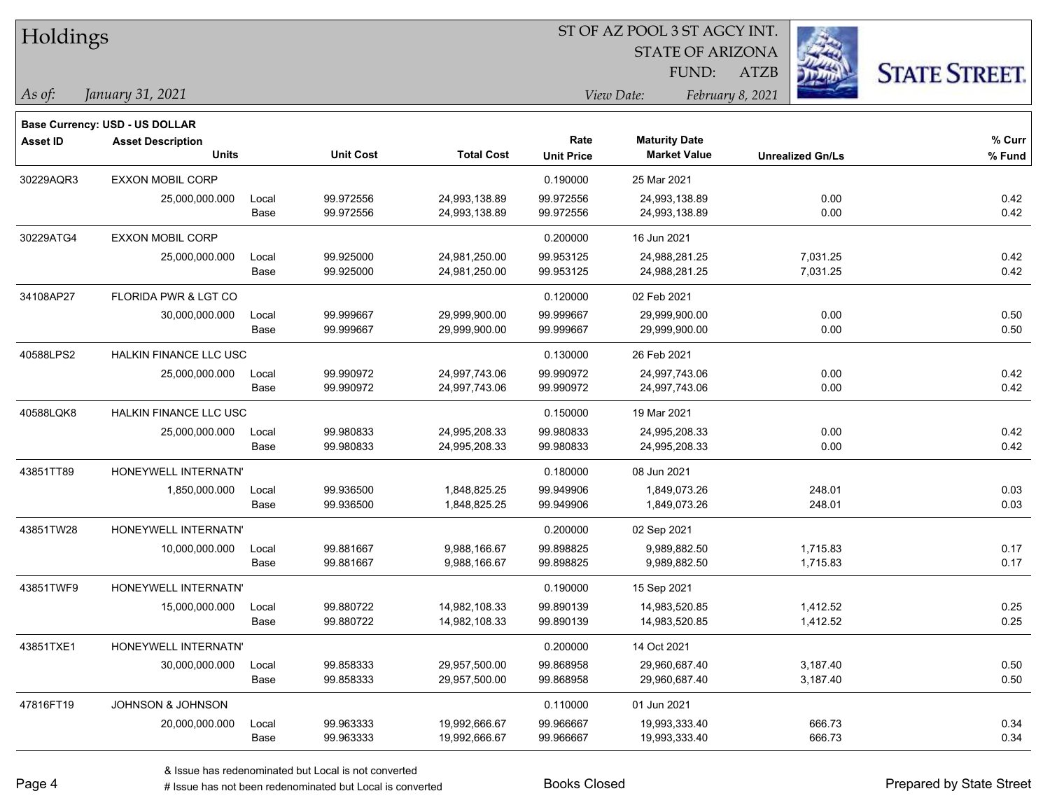| Holdings        |                                          |               |                        |                                |                           | <b>STATE OF ARIZONA</b><br>FUND:            | <b>ATZB</b>             | <b>STATE STREET.</b> |
|-----------------|------------------------------------------|---------------|------------------------|--------------------------------|---------------------------|---------------------------------------------|-------------------------|----------------------|
| As of:          | January 31, 2021                         |               |                        |                                |                           | View Date:                                  | February 8, 2021        |                      |
|                 | Base Currency: USD - US DOLLAR           |               |                        |                                |                           |                                             |                         |                      |
| <b>Asset ID</b> | <b>Asset Description</b><br><b>Units</b> |               | <b>Unit Cost</b>       | <b>Total Cost</b>              | Rate<br><b>Unit Price</b> | <b>Maturity Date</b><br><b>Market Value</b> | <b>Unrealized Gn/Ls</b> | % Curr<br>% Fund     |
| 30229AQR3       | <b>EXXON MOBIL CORP</b>                  |               |                        |                                | 0.190000                  | 25 Mar 2021                                 |                         |                      |
|                 | 25,000,000.000                           | Local<br>Base | 99.972556<br>99.972556 | 24,993,138.89<br>24,993,138.89 | 99.972556<br>99.972556    | 24,993,138.89<br>24,993,138.89              | 0.00<br>0.00            | 0.42<br>0.42         |
| 30229ATG4       | <b>EXXON MOBIL CORP</b>                  |               |                        |                                | 0.200000                  | 16 Jun 2021                                 |                         |                      |
|                 | 25,000,000.000                           | Local<br>Base | 99.925000<br>99.925000 | 24,981,250.00<br>24,981,250.00 | 99.953125<br>99.953125    | 24,988,281.25<br>24,988,281.25              | 7,031.25<br>7,031.25    | 0.42<br>0.42         |
| 34108AP27       | FLORIDA PWR & LGT CO                     |               |                        |                                | 0.120000                  | 02 Feb 2021                                 |                         |                      |
|                 | 30,000,000.000                           | Local<br>Base | 99.999667<br>99.999667 | 29,999,900.00<br>29,999,900.00 | 99.999667<br>99.999667    | 29,999,900.00<br>29,999,900.00              | 0.00<br>0.00            | 0.50<br>0.50         |
| 40588LPS2       | HALKIN FINANCE LLC USC                   |               |                        |                                | 0.130000                  | 26 Feb 2021                                 |                         |                      |
|                 | 25,000,000.000                           | Local<br>Base | 99.990972<br>99.990972 | 24,997,743.06<br>24,997,743.06 | 99.990972<br>99.990972    | 24,997,743.06<br>24,997,743.06              | 0.00<br>0.00            | 0.42<br>0.42         |
| 40588LQK8       | <b>HALKIN FINANCE LLC USC</b>            |               |                        |                                | 0.150000                  | 19 Mar 2021                                 |                         |                      |
|                 | 25,000,000.000                           | Local         | 99.980833              | 24,995,208.33                  | 99.980833                 | 24,995,208.33                               | 0.00                    | 0.42                 |
|                 |                                          | Base          | 99.980833              | 24,995,208.33                  | 99.980833                 | 24,995,208.33                               | 0.00                    | 0.42                 |
| 43851TT89       | HONEYWELL INTERNATN'                     |               |                        |                                | 0.180000                  | 08 Jun 2021                                 |                         |                      |
|                 | 1,850,000.000                            | Local         | 99.936500              | 1,848,825.25                   | 99.949906                 | 1,849,073.26                                | 248.01                  | 0.03                 |
|                 |                                          | Base          | 99.936500              | 1,848,825.25                   | 99.949906                 | 1,849,073.26                                | 248.01                  | 0.03                 |
| 43851TW28       | HONEYWELL INTERNATN'                     |               |                        |                                | 0.200000                  | 02 Sep 2021                                 |                         |                      |
|                 | 10,000,000.000                           | Local         | 99.881667              | 9,988,166.67                   | 99.898825                 | 9,989,882.50                                | 1,715.83                | 0.17                 |
|                 |                                          | Base          | 99.881667              | 9,988,166.67                   | 99.898825                 | 9,989,882.50                                | 1,715.83                | 0.17                 |
| 43851TWF9       | HONEYWELL INTERNATN'                     |               |                        |                                | 0.190000                  | 15 Sep 2021                                 |                         |                      |
|                 | 15,000,000.000                           | Local         | 99.880722              | 14,982,108.33                  | 99.890139                 | 14,983,520.85                               | 1,412.52                | 0.25<br>0.25         |
|                 |                                          | Base          | 99.880722              | 14,982,108.33                  | 99.890139                 | 14,983,520.85                               | 1,412.52                |                      |
| 43851TXE1       | HONEYWELL INTERNATN'                     |               |                        |                                | 0.200000                  | 14 Oct 2021                                 |                         |                      |
|                 | 30,000,000.000                           | Local<br>Base | 99.858333<br>99.858333 | 29,957,500.00<br>29,957,500.00 | 99.868958<br>99.868958    | 29,960,687.40<br>29,960,687.40              | 3,187.40<br>3,187.40    | 0.50<br>0.50         |
| 47816FT19       | JOHNSON & JOHNSON                        |               |                        |                                | 0.110000                  | 01 Jun 2021                                 |                         |                      |
|                 | 20,000,000.000                           | Local         | 99.963333              | 19,992,666.67                  | 99.966667                 | 19,993,333.40                               | 666.73                  | 0.34                 |
|                 |                                          | Base          | 99.963333              | 19,992,666.67                  | 99.966667                 | 19,993,333.40                               | 666.73                  | 0.34                 |

**CONSTRUCTION** 

 $TT.1.1:$ 

 $\overline{\phantom{0}}$ 

 $\overline{\phantom{0}}$ 

 $\overline{\phantom{0}}$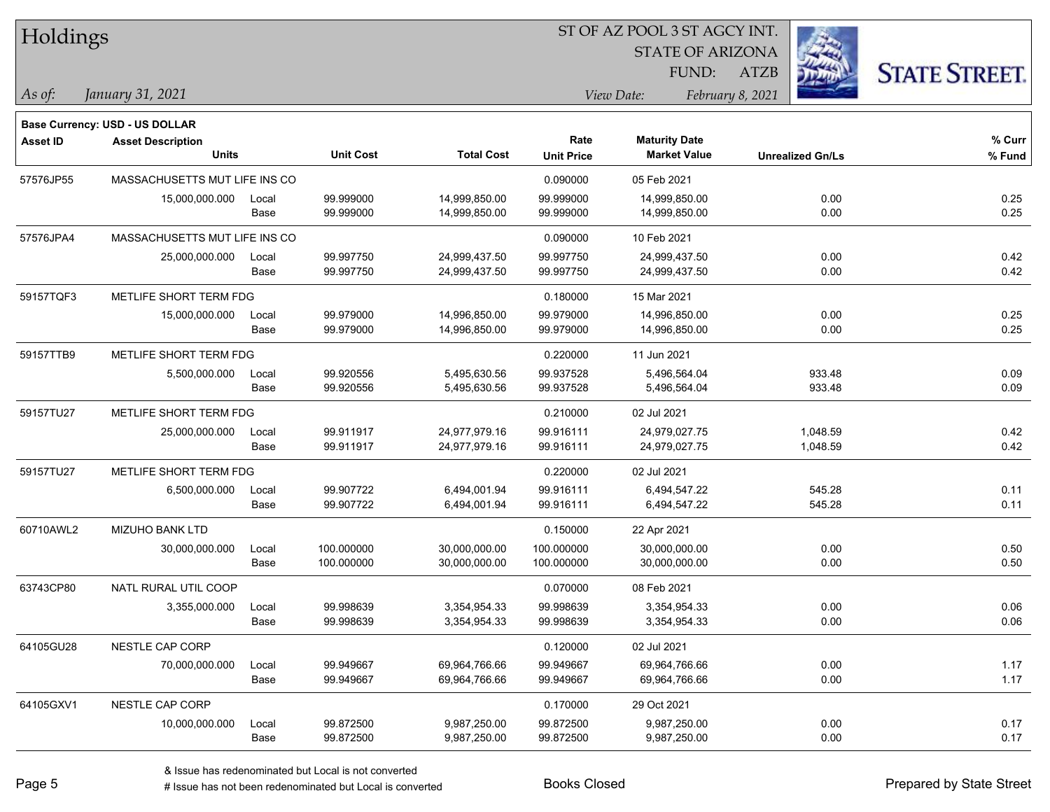| Holdings  |                                          |               |                          |                                |                           | ST OF AZ POOL 3 ST AGCY INT.                |                         |                      |
|-----------|------------------------------------------|---------------|--------------------------|--------------------------------|---------------------------|---------------------------------------------|-------------------------|----------------------|
|           |                                          |               |                          |                                |                           | <b>STATE OF ARIZONA</b><br>FUND:            | <b>ATZB</b>             |                      |
| As of:    | January 31, 2021                         |               |                          |                                |                           | <i>View Date:</i>                           | February 8, 2021        | <b>STATE STREET.</b> |
|           | <b>Base Currency: USD - US DOLLAR</b>    |               |                          |                                |                           |                                             |                         |                      |
| Asset ID  | <b>Asset Description</b><br><b>Units</b> |               | <b>Unit Cost</b>         | <b>Total Cost</b>              | Rate<br><b>Unit Price</b> | <b>Maturity Date</b><br><b>Market Value</b> | <b>Unrealized Gn/Ls</b> | % Curr<br>% Fund     |
| 57576JP55 | MASSACHUSETTS MUT LIFE INS CO            |               |                          |                                | 0.090000                  | 05 Feb 2021                                 |                         |                      |
|           | 15,000,000.000                           | Local<br>Base | 99.999000<br>99.999000   | 14,999,850.00<br>14,999,850.00 | 99.999000<br>99.999000    | 14,999,850.00<br>14,999,850.00              | 0.00<br>0.00            | 0.25<br>0.25         |
| 57576JPA4 | MASSACHUSETTS MUT LIFE INS CO            |               |                          |                                | 0.090000                  | 10 Feb 2021                                 |                         |                      |
|           | 25,000,000.000                           | Local<br>Base | 99.997750<br>99.997750   | 24,999,437.50<br>24,999,437.50 | 99.997750<br>99.997750    | 24,999,437.50<br>24,999,437.50              | 0.00<br>0.00            | 0.42<br>0.42         |
| 59157TQF3 | METLIFE SHORT TERM FDG                   |               |                          |                                | 0.180000                  | 15 Mar 2021                                 |                         |                      |
|           | 15,000,000.000                           | Local<br>Base | 99.979000<br>99.979000   | 14,996,850.00<br>14,996,850.00 | 99.979000<br>99.979000    | 14,996,850.00<br>14,996,850.00              | 0.00<br>0.00            | 0.25<br>0.25         |
| 59157TTB9 | METLIFE SHORT TERM FDG                   |               |                          |                                | 0.220000                  | 11 Jun 2021                                 |                         |                      |
|           | 5,500,000.000                            | Local<br>Base | 99.920556<br>99.920556   | 5,495,630.56<br>5,495,630.56   | 99.937528<br>99.937528    | 5,496,564.04<br>5,496,564.04                | 933.48<br>933.48        | 0.09<br>0.09         |
| 59157TU27 | METLIFE SHORT TERM FDG                   |               |                          |                                | 0.210000                  | 02 Jul 2021                                 |                         |                      |
|           | 25,000,000.000                           | Local<br>Base | 99.911917<br>99.911917   | 24,977,979.16<br>24,977,979.16 | 99.916111<br>99.916111    | 24,979,027.75<br>24,979,027.75              | 1,048.59<br>1,048.59    | 0.42<br>0.42         |
| 59157TU27 | METLIFE SHORT TERM FDG                   |               |                          |                                | 0.220000                  | 02 Jul 2021                                 |                         |                      |
|           | 6,500,000.000                            | Local<br>Base | 99.907722<br>99.907722   | 6,494,001.94<br>6,494,001.94   | 99.916111<br>99.916111    | 6,494,547.22<br>6,494,547.22                | 545.28<br>545.28        | 0.11<br>0.11         |
| 60710AWL2 | <b>MIZUHO BANK LTD</b>                   |               |                          |                                | 0.150000                  | 22 Apr 2021                                 |                         |                      |
|           | 30,000,000.000                           | Local<br>Base | 100.000000<br>100.000000 | 30,000,000.00<br>30,000,000.00 | 100.000000<br>100.000000  | 30,000,000.00<br>30,000,000.00              | 0.00<br>0.00            | 0.50<br>0.50         |
| 63743CP80 | NATL RURAL UTIL COOP                     |               |                          |                                | 0.070000                  | 08 Feb 2021                                 |                         |                      |
|           | 3,355,000.000                            | Local<br>Base | 99.998639<br>99.998639   | 3,354,954.33<br>3,354,954.33   | 99.998639<br>99.998639    | 3,354,954.33<br>3,354,954.33                | 0.00<br>0.00            | 0.06<br>0.06         |
| 64105GU28 | NESTLE CAP CORP                          |               |                          |                                | 0.120000                  | 02 Jul 2021                                 |                         |                      |
|           | 70,000,000.000                           | Local<br>Base | 99.949667<br>99.949667   | 69,964,766.66<br>69,964,766.66 | 99.949667<br>99.949667    | 69,964,766.66<br>69,964,766.66              | 0.00<br>0.00            | 1.17<br>1.17         |

A ISSUE ISSUE ISSUE ISSUE ISSUE ISSUE ISSUE ISSUE ISSUE ISSUE ISSUE ISSUE ISSUE ISSUE ISSUE ISSUE ISSUE ISSUE A<br>
# Issue has not been redenominated but Local is converted **BOOKS** Closed **Prepared by State Street** 

64105GXV1 NESTLE CAP CORP 0.170000 29 Oct 2021

10,000,000.000 Local 99.872500 9,987,250.00 99.872500 9,987,250.00 0.00 0.17

Base 99.872500 9,987,250.00 99.872500 9,987,250.00 0.00 0.17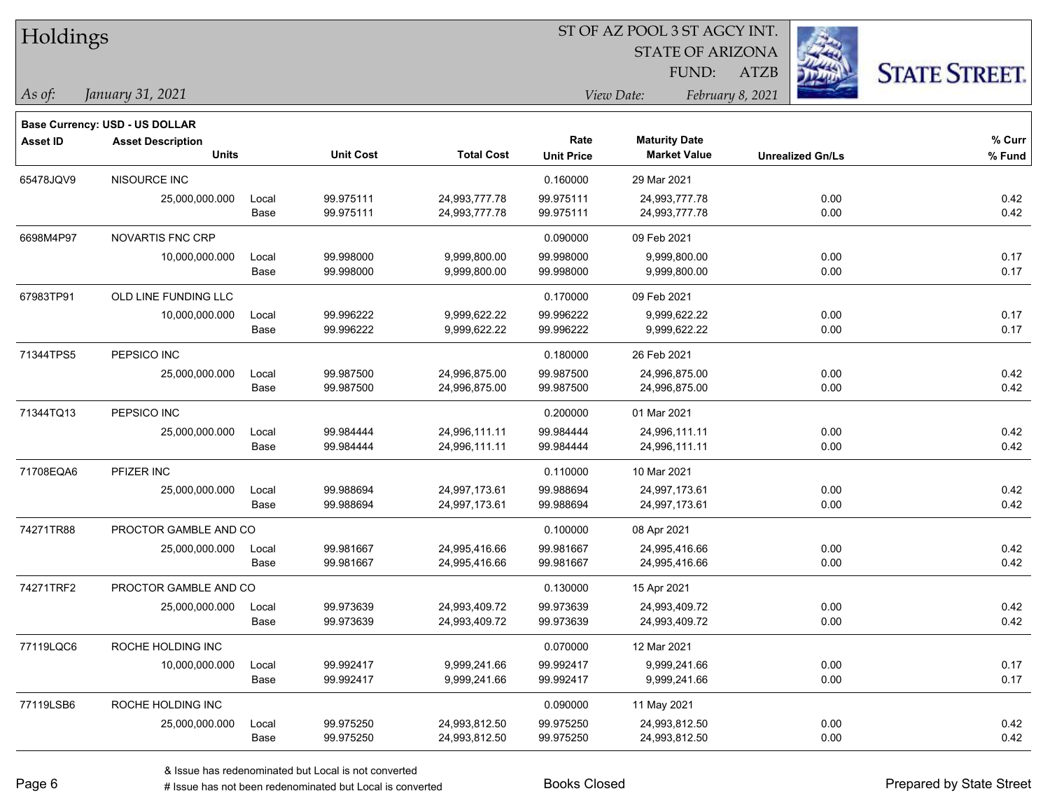| Holdings       |                                       |       |                  |                   |                   | ST OF AZ POOL 3 ST AGCY INT. |                         |                      |
|----------------|---------------------------------------|-------|------------------|-------------------|-------------------|------------------------------|-------------------------|----------------------|
|                |                                       |       |                  |                   |                   | <b>STATE OF ARIZONA</b>      |                         |                      |
|                |                                       |       |                  |                   |                   | FUND:                        | <b>ATZB</b>             | <b>STATE STREET.</b> |
| $\vert$ As of: | January 31, 2021                      |       |                  |                   |                   | View Date:                   | February 8, 2021        |                      |
|                | <b>Base Currency: USD - US DOLLAR</b> |       |                  |                   |                   |                              |                         |                      |
| Asset ID       | <b>Asset Description</b>              |       |                  |                   | Rate              | <b>Maturity Date</b>         |                         | % Curr               |
|                | <b>Units</b>                          |       | <b>Unit Cost</b> | <b>Total Cost</b> | <b>Unit Price</b> | <b>Market Value</b>          | <b>Unrealized Gn/Ls</b> | % Fund               |
| 65478JQV9      | NISOURCE INC                          |       |                  |                   | 0.160000          | 29 Mar 2021                  |                         |                      |
|                | 25,000,000.000                        | Local | 99.975111        | 24,993,777.78     | 99.975111         | 24,993,777.78                | 0.00                    | 0.42                 |
|                |                                       | Base  | 99.975111        | 24,993,777.78     | 99.975111         | 24,993,777.78                | 0.00                    | 0.42                 |
| 6698M4P97      | NOVARTIS FNC CRP                      |       |                  |                   | 0.090000          | 09 Feb 2021                  |                         |                      |
|                | 10,000,000.000                        | Local | 99.998000        | 9,999,800.00      | 99.998000         | 9,999,800.00                 | 0.00                    | 0.17                 |
|                |                                       | Base  | 99.998000        | 9,999,800.00      | 99.998000         | 9,999,800.00                 | 0.00                    | 0.17                 |
| 67983TP91      | OLD LINE FUNDING LLC                  |       |                  |                   | 0.170000          | 09 Feb 2021                  |                         |                      |
|                | 10,000,000.000                        | Local | 99.996222        | 9,999,622.22      | 99.996222         | 9,999,622.22                 | 0.00                    | 0.17                 |
|                |                                       | Base  | 99.996222        | 9,999,622.22      | 99.996222         | 9,999,622.22                 | 0.00                    | 0.17                 |
| 71344TPS5      | PEPSICO INC                           |       |                  |                   | 0.180000          | 26 Feb 2021                  |                         |                      |
|                | 25,000,000.000                        | Local | 99.987500        | 24,996,875.00     | 99.987500         | 24,996,875.00                | 0.00                    | 0.42                 |
|                |                                       | Base  | 99.987500        | 24,996,875.00     | 99.987500         | 24,996,875.00                | 0.00                    | 0.42                 |
| 71344TQ13      | PEPSICO INC                           |       |                  |                   | 0.200000          | 01 Mar 2021                  |                         |                      |
|                | 25,000,000.000                        | Local | 99.984444        | 24,996,111.11     | 99.984444         | 24,996,111.11                | 0.00                    | 0.42                 |
|                |                                       | Base  | 99.984444        | 24,996,111.11     | 99.984444         | 24,996,111.11                | 0.00                    | 0.42                 |
| 71708EQA6      | PFIZER INC                            |       |                  |                   | 0.110000          | 10 Mar 2021                  |                         |                      |
|                | 25,000,000.000                        | Local | 99.988694        | 24,997,173.61     | 99.988694         | 24,997,173.61                | 0.00                    | 0.42                 |
|                |                                       | Base  | 99.988694        | 24,997,173.61     | 99.988694         | 24,997,173.61                | 0.00                    | 0.42                 |
| 74271TR88      | PROCTOR GAMBLE AND CO                 |       |                  |                   | 0.100000          | 08 Apr 2021                  |                         |                      |
|                | 25,000,000.000                        | Local | 99.981667        | 24,995,416.66     | 99.981667         | 24,995,416.66                | 0.00                    | 0.42                 |
|                |                                       | Base  | 99.981667        | 24,995,416.66     | 99.981667         | 24,995,416.66                | 0.00                    | 0.42                 |
| 74271TRF2      | PROCTOR GAMBLE AND CO                 |       |                  |                   | 0.130000          | 15 Apr 2021                  |                         |                      |
|                | 25,000,000.000                        | Local | 99.973639        | 24,993,409.72     | 99.973639         | 24,993,409.72                | 0.00                    | 0.42                 |
|                |                                       | Base  | 99.973639        | 24,993,409.72     | 99.973639         | 24,993,409.72                | 0.00                    | 0.42                 |
| 77119LQC6      | ROCHE HOLDING INC                     |       |                  |                   | 0.070000          | 12 Mar 2021                  |                         |                      |
|                | 10,000,000.000                        | Local | 99.992417        | 9,999,241.66      | 99.992417         | 9,999,241.66                 | 0.00                    | 0.17                 |
|                |                                       | Base  | 99.992417        | 9,999,241.66      | 99.992417         | 9,999,241.66                 | 0.00                    | 0.17                 |
| 77119LSB6      | ROCHE HOLDING INC                     |       |                  |                   | 0.090000          | 11 May 2021                  |                         |                      |
|                | 25,000,000.000                        | Local | 99.975250        | 24,993,812.50     | 99.975250         | 24,993,812.50                | 0.00                    | 0.42                 |
|                |                                       | Base  | 99.975250        | 24,993,812.50     | 99.975250         | 24,993,812.50                | 0.00                    | 0.42                 |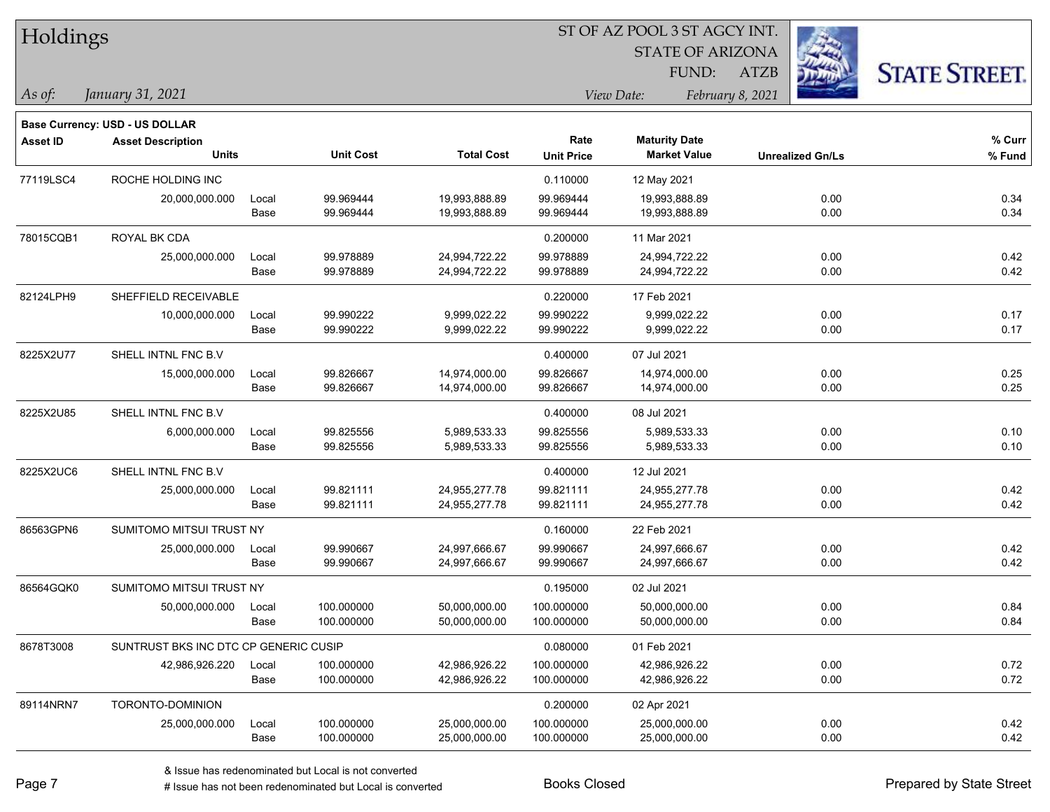| Holdings        |                                                            |       |                  |                   |                   | ST OF AZ POOL 3 ST AGCY INT. |                         |                      |
|-----------------|------------------------------------------------------------|-------|------------------|-------------------|-------------------|------------------------------|-------------------------|----------------------|
|                 |                                                            |       |                  |                   |                   | <b>STATE OF ARIZONA</b>      |                         |                      |
|                 |                                                            |       |                  |                   |                   | FUND:                        | <b>ATZB</b>             | <b>STATE STREET.</b> |
| As of:          | January 31, 2021                                           |       |                  |                   |                   | View Date:                   | February 8, 2021        |                      |
|                 |                                                            |       |                  |                   |                   |                              |                         |                      |
| <b>Asset ID</b> | Base Currency: USD - US DOLLAR<br><b>Asset Description</b> |       |                  |                   | Rate              | <b>Maturity Date</b>         |                         | % Curr               |
|                 | <b>Units</b>                                               |       | <b>Unit Cost</b> | <b>Total Cost</b> | <b>Unit Price</b> | <b>Market Value</b>          | <b>Unrealized Gn/Ls</b> | % Fund               |
| 77119LSC4       | ROCHE HOLDING INC                                          |       |                  |                   | 0.110000          | 12 May 2021                  |                         |                      |
|                 | 20,000,000.000                                             | Local | 99.969444        | 19,993,888.89     | 99.969444         | 19,993,888.89                | 0.00                    | 0.34                 |
|                 |                                                            | Base  | 99.969444        | 19,993,888.89     | 99.969444         | 19,993,888.89                | 0.00                    | 0.34                 |
| 78015CQB1       | ROYAL BK CDA                                               |       |                  |                   | 0.200000          | 11 Mar 2021                  |                         |                      |
|                 | 25,000,000.000                                             | Local | 99.978889        | 24,994,722.22     | 99.978889         | 24,994,722.22                | 0.00                    | 0.42                 |
|                 |                                                            | Base  | 99.978889        | 24,994,722.22     | 99.978889         | 24,994,722.22                | 0.00                    | 0.42                 |
| 82124LPH9       | SHEFFIELD RECEIVABLE                                       |       |                  |                   | 0.220000          | 17 Feb 2021                  |                         |                      |
|                 | 10,000,000.000                                             | Local | 99.990222        | 9,999,022.22      | 99.990222         | 9,999,022.22                 | 0.00                    | 0.17                 |
|                 |                                                            | Base  | 99.990222        | 9,999,022.22      | 99.990222         | 9,999,022.22                 | 0.00                    | 0.17                 |
| 8225X2U77       | SHELL INTNL FNC B.V                                        |       |                  |                   | 0.400000          | 07 Jul 2021                  |                         |                      |
|                 | 15,000,000.000                                             | Local | 99.826667        | 14,974,000.00     | 99.826667         | 14,974,000.00                | 0.00                    | 0.25                 |
|                 |                                                            | Base  | 99.826667        | 14,974,000.00     | 99.826667         | 14,974,000.00                | 0.00                    | 0.25                 |
| 8225X2U85       | SHELL INTNL FNC B.V                                        |       |                  |                   | 0.400000          | 08 Jul 2021                  |                         |                      |
|                 | 6,000,000.000                                              | Local | 99.825556        | 5,989,533.33      | 99.825556         | 5,989,533.33                 | 0.00                    | 0.10                 |
|                 |                                                            | Base  | 99.825556        | 5,989,533.33      | 99.825556         | 5,989,533.33                 | 0.00                    | 0.10                 |
| 8225X2UC6       | SHELL INTNL FNC B.V                                        |       |                  |                   | 0.400000          | 12 Jul 2021                  |                         |                      |
|                 | 25,000,000.000                                             | Local | 99.821111        | 24,955,277.78     | 99.821111         | 24,955,277.78                | 0.00                    | 0.42                 |
|                 |                                                            | Base  | 99.821111        | 24,955,277.78     | 99.821111         | 24,955,277.78                | 0.00                    | 0.42                 |
| 86563GPN6       | SUMITOMO MITSUI TRUST NY                                   |       |                  |                   | 0.160000          | 22 Feb 2021                  |                         |                      |
|                 | 25,000,000.000                                             | Local | 99.990667        | 24,997,666.67     | 99.990667         | 24,997,666.67                | 0.00                    | 0.42                 |
|                 |                                                            | Base  | 99.990667        | 24,997,666.67     | 99.990667         | 24,997,666.67                | 0.00                    | 0.42                 |
| 86564GQK0       | SUMITOMO MITSUI TRUST NY                                   |       |                  |                   | 0.195000          | 02 Jul 2021                  |                         |                      |
|                 | 50,000,000.000                                             | Local | 100.000000       | 50,000,000.00     | 100.000000        | 50,000,000.00                | 0.00                    | 0.84                 |
|                 |                                                            | Base  | 100.000000       | 50,000,000.00     | 100.000000        | 50,000,000.00                | 0.00                    | 0.84                 |
| 8678T3008       | SUNTRUST BKS INC DTC CP GENERIC CUSIP                      |       |                  |                   | 0.080000          | 01 Feb 2021                  |                         |                      |
|                 | 42,986,926.220                                             | Local | 100.000000       | 42,986,926.22     | 100.000000        | 42,986,926.22                | 0.00                    | 0.72                 |
|                 |                                                            | Base  | 100.000000       | 42,986,926.22     | 100.000000        | 42,986,926.22                | 0.00                    | 0.72                 |
| 89114NRN7       | TORONTO-DOMINION                                           |       |                  |                   | 0.200000          | 02 Apr 2021                  |                         |                      |
|                 | 25,000,000.000                                             | Local | 100.000000       | 25,000,000.00     | 100.000000        | 25,000,000.00                | 0.00                    | 0.42                 |
|                 |                                                            | Base  | 100.000000       | 25,000,000.00     | 100.000000        | 25,000,000.00                | 0.00                    | 0.42                 |

 $\frac{1}{2}$ 

 $\overline{\phantom{0}}$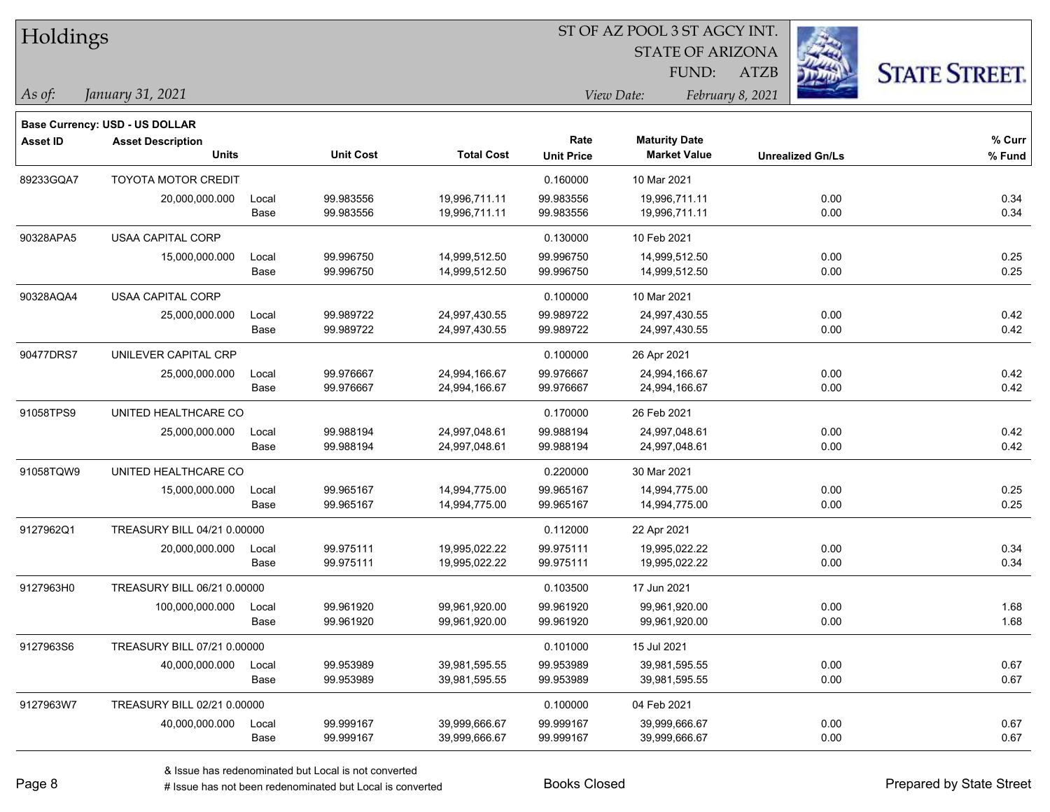| Holdings        |                                       |       |                  |                   | ST OF AZ POOL 3 ST AGCY INT.   |                         |                         |                      |  |  |
|-----------------|---------------------------------------|-------|------------------|-------------------|--------------------------------|-------------------------|-------------------------|----------------------|--|--|
|                 |                                       |       |                  |                   |                                | <b>STATE OF ARIZONA</b> |                         |                      |  |  |
|                 |                                       |       |                  |                   |                                | FUND:                   | فارتبت<br><b>ATZB</b>   | <b>STATE STREET.</b> |  |  |
| As of:          | January 31, 2021                      |       |                  |                   | View Date:<br>February 8, 2021 |                         |                         |                      |  |  |
|                 | <b>Base Currency: USD - US DOLLAR</b> |       |                  |                   |                                |                         |                         |                      |  |  |
| <b>Asset ID</b> | <b>Asset Description</b>              |       |                  |                   | Rate                           | <b>Maturity Date</b>    |                         | % Curr               |  |  |
|                 | <b>Units</b>                          |       | <b>Unit Cost</b> | <b>Total Cost</b> | <b>Unit Price</b>              | <b>Market Value</b>     | <b>Unrealized Gn/Ls</b> | % Fund               |  |  |
| 89233GQA7       | <b>TOYOTA MOTOR CREDIT</b>            |       |                  |                   | 0.160000                       | 10 Mar 2021             |                         |                      |  |  |
|                 | 20,000,000.000                        | Local | 99.983556        | 19,996,711.11     | 99.983556                      | 19,996,711.11           | 0.00                    | 0.34                 |  |  |
|                 |                                       | Base  | 99.983556        | 19,996,711.11     | 99.983556                      | 19,996,711.11           | 0.00                    | 0.34                 |  |  |
| 90328APA5       | USAA CAPITAL CORP                     |       |                  |                   | 0.130000                       | 10 Feb 2021             |                         |                      |  |  |
|                 | 15,000,000.000                        | Local | 99.996750        | 14,999,512.50     | 99.996750                      | 14,999,512.50           | 0.00                    | 0.25                 |  |  |
|                 |                                       | Base  | 99.996750        | 14,999,512.50     | 99.996750                      | 14,999,512.50           | 0.00                    | 0.25                 |  |  |
| 90328AQA4       | USAA CAPITAL CORP                     |       |                  |                   | 0.100000                       | 10 Mar 2021             |                         |                      |  |  |
|                 | 25,000,000.000                        | Local | 99.989722        | 24,997,430.55     | 99.989722                      | 24,997,430.55           | 0.00                    | 0.42                 |  |  |
|                 |                                       | Base  | 99.989722        | 24,997,430.55     | 99.989722                      | 24,997,430.55           | 0.00                    | 0.42                 |  |  |
| 90477DRS7       | UNILEVER CAPITAL CRP                  |       |                  |                   | 0.100000                       | 26 Apr 2021             |                         |                      |  |  |
|                 | 25,000,000.000                        | Local | 99.976667        | 24,994,166.67     | 99.976667                      | 24,994,166.67           | 0.00                    | 0.42                 |  |  |
|                 |                                       | Base  | 99.976667        | 24,994,166.67     | 99.976667                      | 24,994,166.67           | 0.00                    | 0.42                 |  |  |
| 91058TPS9       | UNITED HEALTHCARE CO                  |       |                  |                   | 0.170000                       | 26 Feb 2021             |                         |                      |  |  |
|                 | 25,000,000.000                        | Local | 99.988194        | 24,997,048.61     | 99.988194                      | 24,997,048.61           | 0.00                    | 0.42                 |  |  |
|                 |                                       | Base  | 99.988194        | 24,997,048.61     | 99.988194                      | 24,997,048.61           | 0.00                    | 0.42                 |  |  |
| 91058TQW9       | UNITED HEALTHCARE CO                  |       |                  |                   | 0.220000                       | 30 Mar 2021             |                         |                      |  |  |
|                 | 15,000,000.000                        | Local | 99.965167        | 14,994,775.00     | 99.965167                      | 14,994,775.00           | 0.00                    | 0.25                 |  |  |
|                 |                                       | Base  | 99.965167        | 14,994,775.00     | 99.965167                      | 14,994,775.00           | 0.00                    | 0.25                 |  |  |
| 9127962Q1       | TREASURY BILL 04/21 0.00000           |       |                  |                   | 0.112000                       | 22 Apr 2021             |                         |                      |  |  |
|                 | 20,000,000.000                        | Local | 99.975111        | 19,995,022.22     | 99.975111                      | 19,995,022.22           | 0.00                    | 0.34                 |  |  |
|                 |                                       | Base  | 99.975111        | 19,995,022.22     | 99.975111                      | 19,995,022.22           | 0.00                    | 0.34                 |  |  |
| 9127963H0       | TREASURY BILL 06/21 0.00000           |       |                  |                   | 0.103500                       | 17 Jun 2021             |                         |                      |  |  |
|                 | 100,000,000.000                       | Local | 99.961920        | 99,961,920.00     | 99.961920                      | 99,961,920.00           | 0.00                    | 1.68                 |  |  |
|                 |                                       | Base  | 99.961920        | 99,961,920.00     | 99.961920                      | 99,961,920.00           | 0.00                    | 1.68                 |  |  |
| 9127963S6       | TREASURY BILL 07/21 0.00000           |       |                  |                   | 0.101000                       | 15 Jul 2021             |                         |                      |  |  |
|                 | 40,000,000.000                        | Local | 99.953989        | 39,981,595.55     | 99.953989                      | 39,981,595.55           | 0.00                    | 0.67                 |  |  |
|                 |                                       | Base  | 99.953989        | 39,981,595.55     | 99.953989                      | 39,981,595.55           | 0.00                    | 0.67                 |  |  |
| 9127963W7       | TREASURY BILL 02/21 0.00000           |       |                  |                   | 0.100000                       | 04 Feb 2021             |                         |                      |  |  |
|                 | 40,000,000.000                        | Local | 99.999167        | 39,999,666.67     | 99.999167                      | 39,999,666.67           | 0.00                    | 0.67                 |  |  |
|                 |                                       | Base  | 99.999167        | 39,999,666.67     | 99.999167                      | 39,999,666.67           | 0.00                    | 0.67                 |  |  |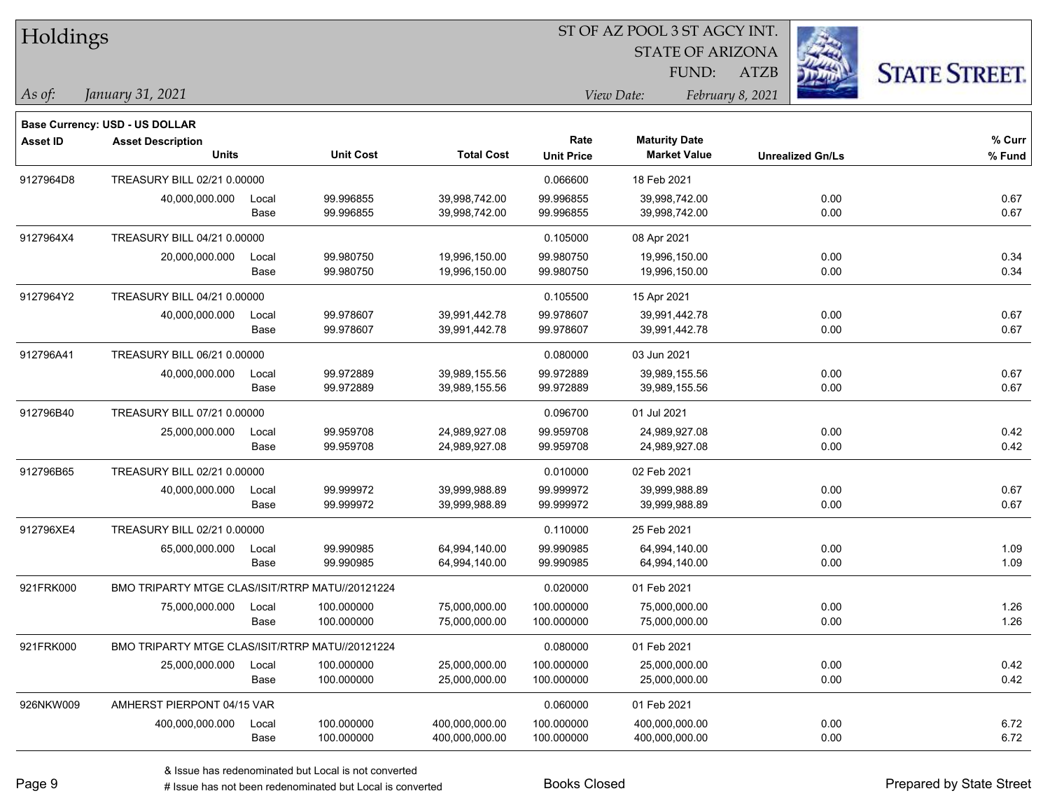| Holdings        |                                                                   |       |                  |                   |                   | ST OF AZ POOL 3 ST AGCY INT. |                  |                         |                      |
|-----------------|-------------------------------------------------------------------|-------|------------------|-------------------|-------------------|------------------------------|------------------|-------------------------|----------------------|
|                 |                                                                   |       |                  |                   |                   | <b>STATE OF ARIZONA</b>      |                  |                         |                      |
|                 |                                                                   |       |                  |                   |                   | FUND:                        | <b>ATZB</b>      |                         | <b>STATE STREET.</b> |
| As of:          | January 31, 2021                                                  |       |                  |                   |                   | View Date:                   | February 8, 2021 |                         |                      |
|                 |                                                                   |       |                  |                   |                   |                              |                  |                         |                      |
| <b>Asset ID</b> | <b>Base Currency: USD - US DOLLAR</b><br><b>Asset Description</b> |       |                  |                   | Rate              | <b>Maturity Date</b>         |                  |                         | $%$ Curr             |
|                 | <b>Units</b>                                                      |       | <b>Unit Cost</b> | <b>Total Cost</b> | <b>Unit Price</b> | <b>Market Value</b>          |                  | <b>Unrealized Gn/Ls</b> | % Fund               |
| 9127964D8       | TREASURY BILL 02/21 0.00000                                       |       |                  |                   | 0.066600          | 18 Feb 2021                  |                  |                         |                      |
|                 | 40,000,000.000                                                    | Local | 99.996855        | 39,998,742.00     | 99.996855         | 39,998,742.00                |                  | 0.00                    | 0.67                 |
|                 |                                                                   | Base  | 99.996855        | 39,998,742.00     | 99.996855         | 39,998,742.00                |                  | 0.00                    | 0.67                 |
| 9127964X4       | TREASURY BILL 04/21 0.00000                                       |       |                  |                   | 0.105000          | 08 Apr 2021                  |                  |                         |                      |
|                 | 20,000,000.000                                                    | Local | 99.980750        | 19,996,150.00     | 99.980750         | 19,996,150.00                |                  | 0.00                    | 0.34                 |
|                 |                                                                   | Base  | 99.980750        | 19,996,150.00     | 99.980750         | 19,996,150.00                |                  | 0.00                    | 0.34                 |
| 9127964Y2       | TREASURY BILL 04/21 0.00000                                       |       |                  |                   | 0.105500          | 15 Apr 2021                  |                  |                         |                      |
|                 | 40,000,000.000                                                    | Local | 99.978607        | 39,991,442.78     | 99.978607         | 39,991,442.78                |                  | 0.00                    | 0.67                 |
|                 |                                                                   | Base  | 99.978607        | 39,991,442.78     | 99.978607         | 39,991,442.78                |                  | 0.00                    | 0.67                 |
| 912796A41       | TREASURY BILL 06/21 0.00000                                       |       |                  |                   | 0.080000          | 03 Jun 2021                  |                  |                         |                      |
|                 | 40,000,000.000                                                    | Local | 99.972889        | 39,989,155.56     | 99.972889         | 39,989,155.56                |                  | 0.00                    | 0.67                 |
|                 |                                                                   | Base  | 99.972889        | 39,989,155.56     | 99.972889         | 39,989,155.56                |                  | 0.00                    | 0.67                 |
| 912796B40       | TREASURY BILL 07/21 0.00000                                       |       |                  |                   | 0.096700          | 01 Jul 2021                  |                  |                         |                      |
|                 | 25,000,000.000                                                    | Local | 99.959708        | 24,989,927.08     | 99.959708         | 24,989,927.08                |                  | 0.00                    | 0.42                 |
|                 |                                                                   | Base  | 99.959708        | 24,989,927.08     | 99.959708         | 24,989,927.08                |                  | 0.00                    | 0.42                 |
| 912796B65       | TREASURY BILL 02/21 0.00000                                       |       |                  |                   | 0.010000          | 02 Feb 2021                  |                  |                         |                      |
|                 | 40,000,000.000                                                    | Local | 99.999972        | 39,999,988.89     | 99.999972         | 39,999,988.89                |                  | 0.00                    | 0.67                 |
|                 |                                                                   | Base  | 99.999972        | 39,999,988.89     | 99.999972         | 39,999,988.89                |                  | 0.00                    | 0.67                 |
| 912796XE4       | TREASURY BILL 02/21 0.00000                                       |       |                  |                   | 0.110000          | 25 Feb 2021                  |                  |                         |                      |
|                 | 65,000,000.000                                                    | Local | 99.990985        | 64,994,140.00     | 99.990985         | 64,994,140.00                |                  | 0.00                    | 1.09                 |
|                 |                                                                   | Base  | 99.990985        | 64,994,140.00     | 99.990985         | 64,994,140.00                |                  | 0.00                    | 1.09                 |
| 921FRK000       | BMO TRIPARTY MTGE CLAS/ISIT/RTRP MATU//20121224                   |       |                  |                   | 0.020000          | 01 Feb 2021                  |                  |                         |                      |
|                 | 75,000,000.000                                                    | Local | 100.000000       | 75,000,000.00     | 100.000000        | 75,000,000.00                |                  | 0.00                    | 1.26                 |
|                 |                                                                   | Base  | 100.000000       | 75,000,000.00     | 100.000000        | 75,000,000.00                |                  | 0.00                    | 1.26                 |
| 921FRK000       | BMO TRIPARTY MTGE CLAS/ISIT/RTRP MATU//20121224                   |       |                  |                   | 0.080000          | 01 Feb 2021                  |                  |                         |                      |
|                 | 25,000,000.000                                                    | Local | 100.000000       | 25,000,000.00     | 100.000000        | 25,000,000.00                |                  | 0.00                    | 0.42                 |
|                 |                                                                   | Base  | 100.000000       | 25,000,000.00     | 100.000000        | 25,000,000.00                |                  | 0.00                    | 0.42                 |
| 926NKW009       | AMHERST PIERPONT 04/15 VAR                                        |       |                  |                   | 0.060000          | 01 Feb 2021                  |                  |                         |                      |
|                 | 400,000,000.000                                                   | Local | 100.000000       | 400,000,000.00    | 100.000000        | 400,000,000.00               |                  | 0.00                    | 6.72                 |
|                 |                                                                   | Base  | 100.000000       | 400,000,000.00    | 100.000000        | 400,000,000.00               |                  | 0.00                    | 6.72                 |

 $\overline{\phantom{0}}$ 

 $\overline{\phantom{a}}$ 

 $\overline{\phantom{0}}$ 

 $\overline{\phantom{a}}$ 

 $\overline{\phantom{a}}$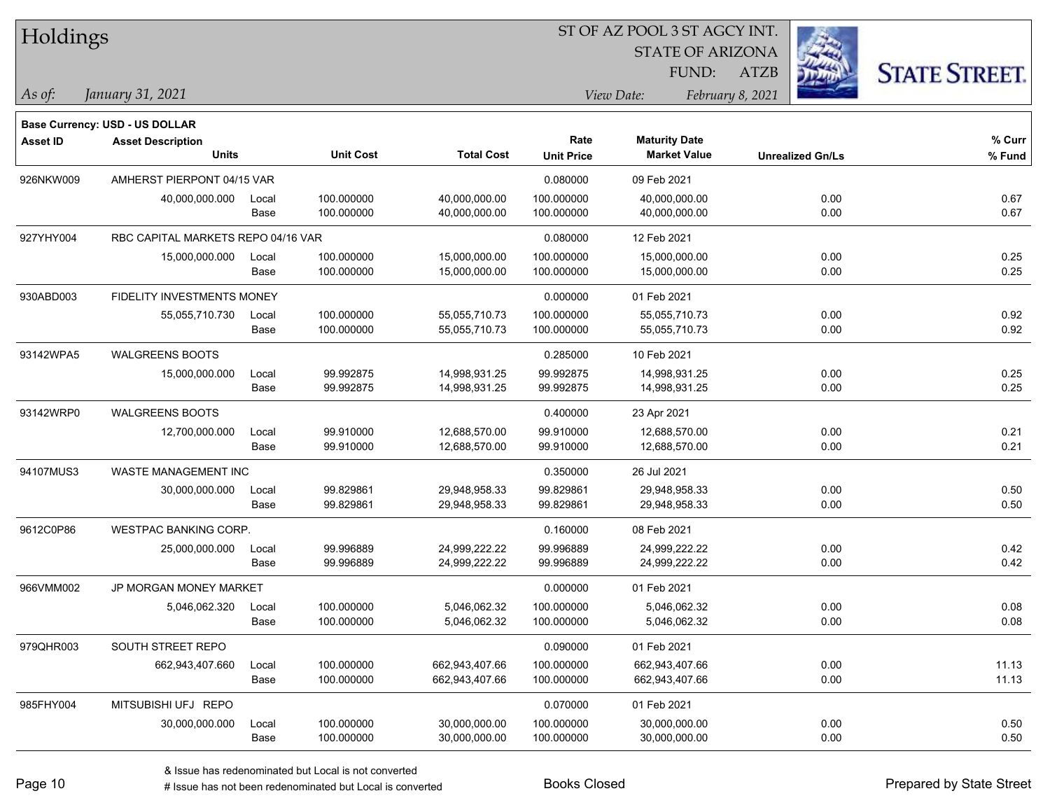| Holdings        |                                       |       |                  |                   |                   | ST OF AZ POOL 3 ST AGCY INT.     |                  |                         |                      |
|-----------------|---------------------------------------|-------|------------------|-------------------|-------------------|----------------------------------|------------------|-------------------------|----------------------|
|                 |                                       |       |                  |                   |                   |                                  |                  |                         |                      |
|                 |                                       |       |                  |                   |                   | <b>STATE OF ARIZONA</b><br>FUND: | <b>ATZB</b>      |                         | <b>STATE STREET.</b> |
| $\vert$ As of:  | January 31, 2021                      |       |                  |                   |                   | View Date:                       | February 8, 2021 |                         |                      |
|                 | <b>Base Currency: USD - US DOLLAR</b> |       |                  |                   |                   |                                  |                  |                         |                      |
| <b>Asset ID</b> | <b>Asset Description</b>              |       |                  |                   | Rate              | <b>Maturity Date</b>             |                  |                         | % Curr               |
|                 | <b>Units</b>                          |       | <b>Unit Cost</b> | <b>Total Cost</b> | <b>Unit Price</b> | <b>Market Value</b>              |                  | <b>Unrealized Gn/Ls</b> | % Fund               |
| 926NKW009       | AMHERST PIERPONT 04/15 VAR            |       |                  |                   | 0.080000          | 09 Feb 2021                      |                  |                         |                      |
|                 | 40,000,000.000                        | Local | 100.000000       | 40,000,000.00     | 100.000000        | 40,000,000.00                    |                  | 0.00                    | 0.67                 |
|                 |                                       | Base  | 100.000000       | 40,000,000.00     | 100.000000        | 40,000,000.00                    |                  | 0.00                    | 0.67                 |
| 927YHY004       | RBC CAPITAL MARKETS REPO 04/16 VAR    |       |                  |                   | 0.080000          | 12 Feb 2021                      |                  |                         |                      |
|                 | 15,000,000.000                        | Local | 100.000000       | 15,000,000.00     | 100.000000        | 15,000,000.00                    |                  | 0.00                    | 0.25                 |
|                 |                                       | Base  | 100.000000       | 15,000,000.00     | 100.000000        | 15,000,000.00                    |                  | 0.00                    | 0.25                 |
| 930ABD003       | FIDELITY INVESTMENTS MONEY            |       |                  |                   | 0.000000          | 01 Feb 2021                      |                  |                         |                      |
|                 | 55,055,710.730                        | Local | 100.000000       | 55,055,710.73     | 100.000000        | 55,055,710.73                    |                  | 0.00                    | 0.92                 |
|                 |                                       | Base  | 100.000000       | 55,055,710.73     | 100.000000        | 55,055,710.73                    |                  | 0.00                    | 0.92                 |
| 93142WPA5       | <b>WALGREENS BOOTS</b>                |       |                  |                   | 0.285000          | 10 Feb 2021                      |                  |                         |                      |
|                 | 15,000,000.000                        | Local | 99.992875        | 14,998,931.25     | 99.992875         | 14,998,931.25                    |                  | 0.00                    | 0.25                 |
|                 |                                       | Base  | 99.992875        | 14,998,931.25     | 99.992875         | 14,998,931.25                    |                  | 0.00                    | 0.25                 |
| 93142WRP0       | <b>WALGREENS BOOTS</b>                |       |                  |                   | 0.400000          | 23 Apr 2021                      |                  |                         |                      |
|                 | 12,700,000.000                        | Local | 99.910000        | 12,688,570.00     | 99.910000         | 12,688,570.00                    |                  | 0.00                    | 0.21                 |
|                 |                                       | Base  | 99.910000        | 12,688,570.00     | 99.910000         | 12,688,570.00                    |                  | 0.00                    | 0.21                 |
| 94107MUS3       | WASTE MANAGEMENT INC                  |       |                  |                   | 0.350000          | 26 Jul 2021                      |                  |                         |                      |
|                 | 30,000,000.000                        | Local | 99.829861        | 29,948,958.33     | 99.829861         | 29,948,958.33                    |                  | 0.00                    | 0.50                 |
|                 |                                       | Base  | 99.829861        | 29,948,958.33     | 99.829861         | 29,948,958.33                    |                  | 0.00                    | 0.50                 |
| 9612C0P86       | <b>WESTPAC BANKING CORP.</b>          |       |                  |                   | 0.160000          | 08 Feb 2021                      |                  |                         |                      |
|                 | 25,000,000.000                        | Local | 99.996889        | 24,999,222.22     | 99.996889         | 24,999,222.22                    |                  | 0.00                    | 0.42                 |
|                 |                                       | Base  | 99.996889        | 24,999,222.22     | 99.996889         | 24,999,222.22                    |                  | 0.00                    | 0.42                 |
| 966VMM002       | JP MORGAN MONEY MARKET                |       |                  |                   | 0.000000          | 01 Feb 2021                      |                  |                         |                      |
|                 | 5,046,062.320                         | Local | 100.000000       | 5,046,062.32      | 100.000000        | 5,046,062.32                     |                  | 0.00                    | 0.08                 |
|                 |                                       | Base  | 100.000000       | 5,046,062.32      | 100.000000        | 5,046,062.32                     |                  | 0.00                    | 0.08                 |
| 979QHR003       | SOUTH STREET REPO                     |       |                  |                   | 0.090000          | 01 Feb 2021                      |                  |                         |                      |
|                 | 662,943,407.660                       | Local | 100.000000       | 662,943,407.66    | 100.000000        | 662,943,407.66                   |                  | 0.00                    | 11.13                |
|                 |                                       | Base  | 100.000000       | 662,943,407.66    | 100.000000        | 662,943,407.66                   |                  | 0.00                    | 11.13                |
| 985FHY004       | MITSUBISHI UFJ REPO                   |       |                  |                   | 0.070000          | 01 Feb 2021                      |                  |                         |                      |
|                 | 30,000,000.000                        | Local | 100.000000       | 30,000,000.00     | 100.000000        | 30,000,000.00                    |                  | 0.00                    | 0.50                 |
|                 |                                       | Base  | 100.000000       | 30,000,000.00     | 100.000000        | 30,000,000.00                    |                  | 0.00                    | 0.50                 |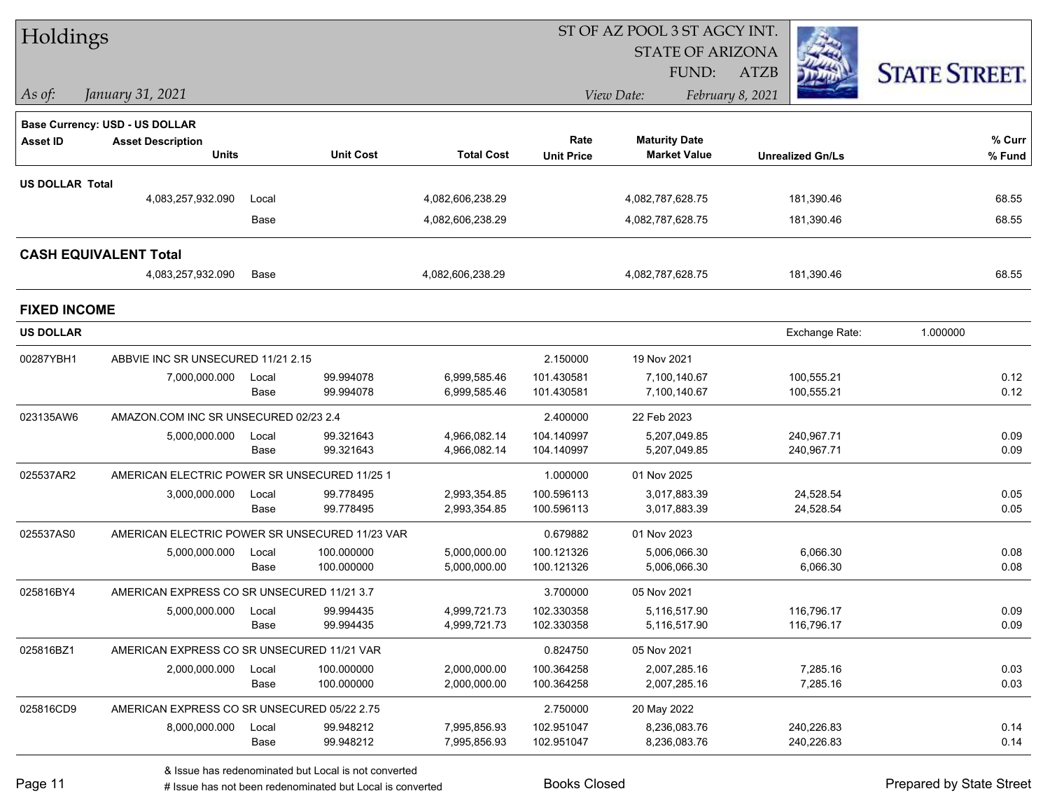| Holdings               |                                                |       |                  |                   |                   | ST OF AZ POOL 3 ST AGCY INT. |                         |                      |
|------------------------|------------------------------------------------|-------|------------------|-------------------|-------------------|------------------------------|-------------------------|----------------------|
|                        |                                                |       |                  |                   |                   | <b>STATE OF ARIZONA</b>      |                         |                      |
|                        |                                                |       |                  |                   |                   | <b>FUND:</b>                 | <b>ATZB</b>             | <b>STATE STREET.</b> |
| $\vert$ As of:         | January 31, 2021                               |       |                  |                   |                   | View Date:                   | February 8, 2021        |                      |
|                        | Base Currency: USD - US DOLLAR                 |       |                  |                   |                   |                              |                         |                      |
| <b>Asset ID</b>        | <b>Asset Description</b>                       |       |                  |                   | Rate              | <b>Maturity Date</b>         |                         | % Curr               |
|                        | <b>Units</b>                                   |       | <b>Unit Cost</b> | <b>Total Cost</b> | <b>Unit Price</b> | <b>Market Value</b>          | <b>Unrealized Gn/Ls</b> | % Fund               |
| <b>US DOLLAR Total</b> |                                                |       |                  |                   |                   |                              |                         |                      |
|                        | 4,083,257,932.090                              | Local |                  | 4,082,606,238.29  |                   | 4,082,787,628.75             | 181,390.46              | 68.55                |
|                        |                                                | Base  |                  | 4,082,606,238.29  |                   | 4,082,787,628.75             | 181,390.46              | 68.55                |
|                        | <b>CASH EQUIVALENT Total</b>                   |       |                  |                   |                   |                              |                         |                      |
|                        | 4,083,257,932.090                              | Base  |                  | 4,082,606,238.29  |                   | 4,082,787,628.75             | 181,390.46              | 68.55                |
| <b>FIXED INCOME</b>    |                                                |       |                  |                   |                   |                              |                         |                      |
| <b>US DOLLAR</b>       |                                                |       |                  |                   |                   |                              | Exchange Rate:          | 1.000000             |
| 00287YBH1              | ABBVIE INC SR UNSECURED 11/21 2.15             |       |                  |                   | 2.150000          | 19 Nov 2021                  |                         |                      |
|                        | 7,000,000.000                                  | Local | 99.994078        | 6,999,585.46      | 101.430581        | 7,100,140.67                 | 100,555.21              | 0.12                 |
|                        |                                                | Base  | 99.994078        | 6,999,585.46      | 101.430581        | 7,100,140.67                 | 100,555.21              | 0.12                 |
| 023135AW6              | AMAZON.COM INC SR UNSECURED 02/23 2.4          |       |                  |                   | 2.400000          | 22 Feb 2023                  |                         |                      |
|                        | 5,000,000.000                                  | Local | 99.321643        | 4,966,082.14      | 104.140997        | 5,207,049.85                 | 240,967.71              | 0.09                 |
|                        |                                                | Base  | 99.321643        | 4,966,082.14      | 104.140997        | 5,207,049.85                 | 240,967.71              | 0.09                 |
| 025537AR2              | AMERICAN ELECTRIC POWER SR UNSECURED 11/25 1   |       |                  |                   | 1.000000          | 01 Nov 2025                  |                         |                      |
|                        | 3,000,000.000                                  | Local | 99.778495        | 2,993,354.85      | 100.596113        | 3,017,883.39                 | 24,528.54               | 0.05                 |
|                        |                                                | Base  | 99.778495        | 2,993,354.85      | 100.596113        | 3,017,883.39                 | 24,528.54               | 0.05                 |
| 025537AS0              | AMERICAN ELECTRIC POWER SR UNSECURED 11/23 VAR |       |                  |                   | 0.679882          | 01 Nov 2023                  |                         |                      |
|                        | 5,000,000.000                                  | Local | 100.000000       | 5,000,000.00      | 100.121326        | 5,006,066.30                 | 6,066.30                | 0.08                 |
|                        |                                                | Base  | 100.000000       | 5,000,000.00      | 100.121326        | 5,006,066.30                 | 6,066.30                | 0.08                 |
| 025816BY4              | AMERICAN EXPRESS CO SR UNSECURED 11/21 3.7     |       |                  |                   | 3.700000          | 05 Nov 2021                  |                         |                      |
|                        | 5,000,000.000 Local                            |       | 99.994435        | 4,999,721.73      | 102.330358        | 5,116,517.90                 | 116,796.17              | 0.09                 |
|                        |                                                | Base  | 99.994435        | 4,999,721.73      | 102.330358        | 5,116,517.90                 | 116,796.17              | 0.09                 |
| 025816BZ1              | AMERICAN EXPRESS CO SR UNSECURED 11/21 VAR     |       |                  |                   | 0.824750          | 05 Nov 2021                  |                         |                      |
|                        | 2,000,000.000                                  | Local | 100.000000       | 2,000,000.00      | 100.364258        | 2,007,285.16                 | 7,285.16                | 0.03                 |
|                        |                                                | Base  | 100.000000       | 2,000,000.00      | 100.364258        | 2,007,285.16                 | 7,285.16                | 0.03                 |
| 025816CD9              | AMERICAN EXPRESS CO SR UNSECURED 05/22 2.75    |       |                  |                   | 2.750000          | 20 May 2022                  |                         |                      |
|                        | 8,000,000.000                                  | Local | 99.948212        | 7,995,856.93      | 102.951047        | 8,236,083.76                 | 240,226.83              | 0.14                 |
|                        |                                                | Base  | 99.948212        | 7,995,856.93      | 102.951047        | 8,236,083.76                 | 240,226.83              | 0.14                 |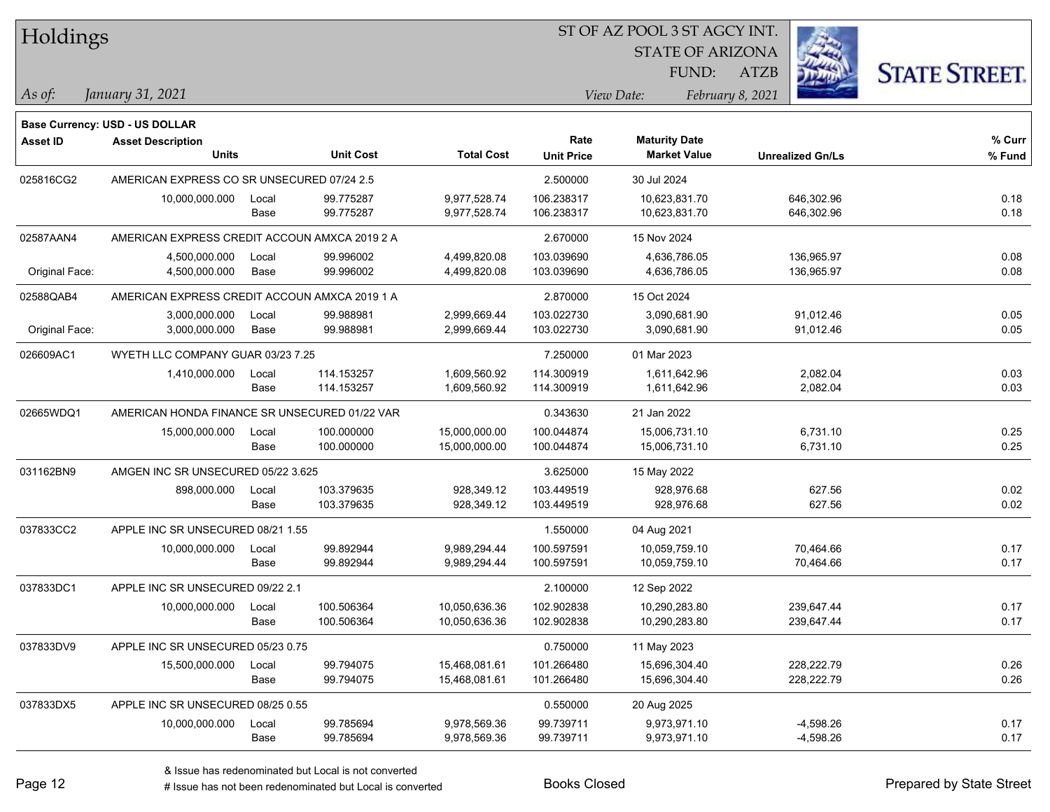| Holdings        |                                               |       |                  |                   |                   |                         |                         |                      |
|-----------------|-----------------------------------------------|-------|------------------|-------------------|-------------------|-------------------------|-------------------------|----------------------|
|                 |                                               |       |                  |                   |                   | <b>STATE OF ARIZONA</b> |                         |                      |
|                 |                                               |       |                  |                   |                   | FUND:                   | <b>ATZB</b>             | <b>STATE STREET.</b> |
| As of:          | January 31, 2021                              |       |                  |                   |                   | View Date:              | February 8, 2021        |                      |
|                 | Base Currency: USD - US DOLLAR                |       |                  |                   |                   |                         |                         |                      |
| <b>Asset ID</b> | <b>Asset Description</b>                      |       |                  |                   | Rate              | <b>Maturity Date</b>    |                         | % Curr               |
|                 | <b>Units</b>                                  |       | <b>Unit Cost</b> | <b>Total Cost</b> | <b>Unit Price</b> | <b>Market Value</b>     | <b>Unrealized Gn/Ls</b> | % Fund               |
| 025816CG2       | AMERICAN EXPRESS CO SR UNSECURED 07/24 2.5    |       |                  |                   | 2.500000          | 30 Jul 2024             |                         |                      |
|                 | 10,000,000.000                                | Local | 99.775287        | 9,977,528.74      | 106.238317        | 10,623,831.70           | 646,302.96              | 0.18                 |
|                 |                                               | Base  | 99.775287        | 9,977,528.74      | 106.238317        | 10,623,831.70           | 646,302.96              | 0.18                 |
| 02587AAN4       | AMERICAN EXPRESS CREDIT ACCOUN AMXCA 2019 2 A |       |                  |                   | 2.670000          | 15 Nov 2024             |                         |                      |
|                 | 4,500,000.000                                 | Local | 99.996002        | 4,499,820.08      | 103.039690        | 4,636,786.05            | 136,965.97              | 0.08                 |
| Original Face:  | 4,500,000.000                                 | Base  | 99.996002        | 4,499,820.08      | 103.039690        | 4,636,786.05            | 136,965.97              | 0.08                 |
| 02588QAB4       | AMERICAN EXPRESS CREDIT ACCOUN AMXCA 2019 1 A |       |                  |                   | 2.870000          | 15 Oct 2024             |                         |                      |
|                 | 3,000,000.000                                 | Local | 99.988981        | 2,999,669.44      | 103.022730        | 3,090,681.90            | 91,012.46               | 0.05                 |
| Original Face:  | 3,000,000.000                                 | Base  | 99.988981        | 2,999,669.44      | 103.022730        | 3,090,681.90            | 91,012.46               | 0.05                 |
| 026609AC1       | WYETH LLC COMPANY GUAR 03/23 7.25             |       |                  |                   | 7.250000          | 01 Mar 2023             |                         |                      |
|                 | 1,410,000.000                                 | Local | 114.153257       | 1,609,560.92      | 114.300919        | 1,611,642.96            | 2,082.04                | 0.03                 |
|                 |                                               | Base  | 114.153257       | 1,609,560.92      | 114.300919        | 1,611,642.96            | 2,082.04                | 0.03                 |
| 02665WDQ1       | AMERICAN HONDA FINANCE SR UNSECURED 01/22 VAR |       |                  |                   | 0.343630          | 21 Jan 2022             |                         |                      |
|                 | 15,000,000.000                                | Local | 100.000000       | 15,000,000.00     | 100.044874        | 15,006,731.10           | 6,731.10                | 0.25                 |
|                 |                                               | Base  | 100.000000       | 15,000,000.00     | 100.044874        | 15,006,731.10           | 6,731.10                | 0.25                 |
| 031162BN9       | AMGEN INC SR UNSECURED 05/22 3.625            |       |                  |                   | 3.625000          | 15 May 2022             |                         |                      |
|                 | 898,000.000                                   | Local | 103.379635       | 928,349.12        | 103.449519        | 928,976.68              | 627.56                  | 0.02                 |
|                 |                                               | Base  | 103.379635       | 928,349.12        | 103.449519        | 928,976.68              | 627.56                  | 0.02                 |
| 037833CC2       | APPLE INC SR UNSECURED 08/21 1.55             |       |                  |                   | 1.550000          | 04 Aug 2021             |                         |                      |
|                 | 10,000,000.000                                | Local | 99.892944        | 9,989,294.44      | 100.597591        | 10,059,759.10           | 70,464.66               | 0.17                 |
|                 |                                               | Base  | 99.892944        | 9,989,294.44      | 100.597591        | 10,059,759.10           | 70,464.66               | 0.17                 |
| 037833DC1       | APPLE INC SR UNSECURED 09/22 2.1              |       |                  |                   | 2.100000          | 12 Sep 2022             |                         |                      |
|                 | 10,000,000.000                                | Local | 100.506364       | 10,050,636.36     | 102.902838        | 10,290,283.80           | 239,647.44              | 0.17                 |
|                 |                                               | Base  | 100.506364       | 10,050,636.36     | 102.902838        | 10,290,283.80           | 239,647.44              | 0.17                 |
| 037833DV9       | APPLE INC SR UNSECURED 05/23 0.75             |       |                  |                   | 0.750000          | 11 May 2023             |                         |                      |
|                 | 15,500,000.000                                | Local | 99.794075        | 15,468,081.61     | 101.266480        | 15,696,304.40           | 228,222.79              | 0.26                 |
|                 |                                               | Base  | 99.794075        | 15,468,081.61     | 101.266480        | 15,696,304.40           | 228,222.79              | 0.26                 |
| 037833DX5       | APPLE INC SR UNSECURED 08/25 0.55             |       |                  |                   | 0.550000          | 20 Aug 2025             |                         |                      |
|                 | 10,000,000.000                                | Local | 99.785694        | 9,978,569.36      | 99.739711         | 9,973,971.10            | $-4,598.26$             | 0.17                 |
|                 |                                               | Base  | 99.785694        | 9,978,569.36      | 99.739711         | 9,973,971.10            | $-4,598.26$             | 0.17                 |

 $\overline{\phantom{0}}$ 

 $\overline{\phantom{0}}$ 

 $\overline{\phantom{0}}$ 

 $\overline{\phantom{0}}$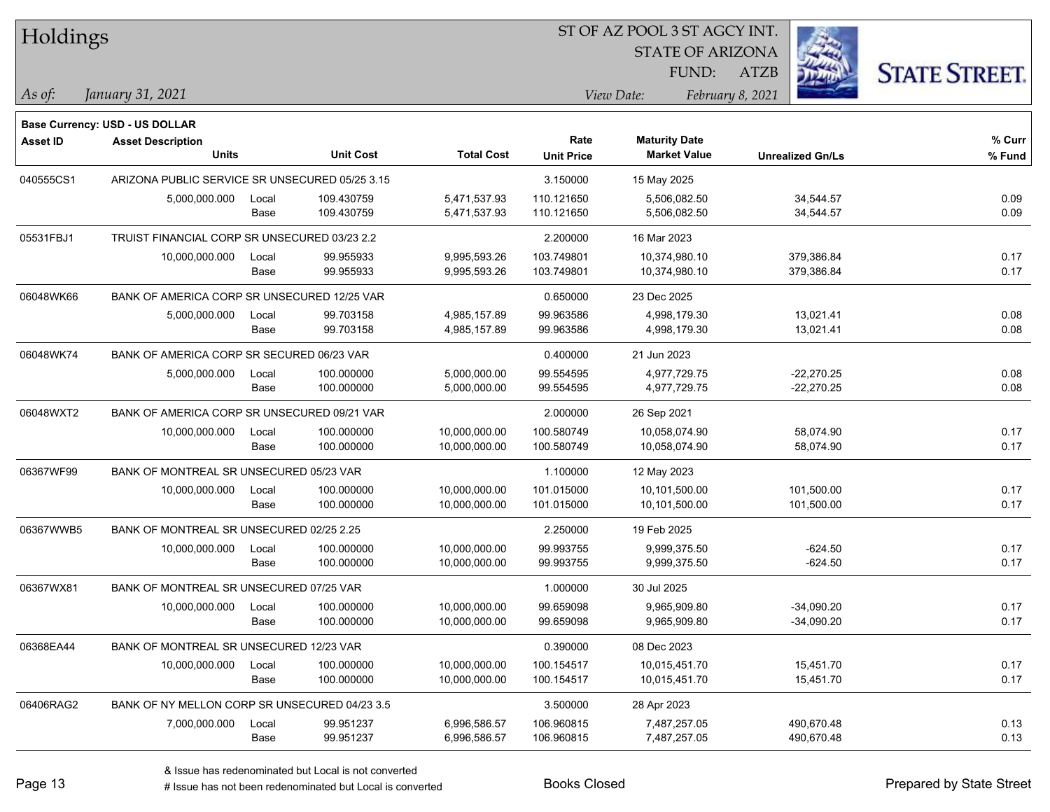| Holdings        |                                                |       |                  |                   | ST OF AZ POOL 3 ST AGCY INT. |                         |                         |                      |  |  |  |
|-----------------|------------------------------------------------|-------|------------------|-------------------|------------------------------|-------------------------|-------------------------|----------------------|--|--|--|
|                 |                                                |       |                  |                   |                              | <b>STATE OF ARIZONA</b> |                         |                      |  |  |  |
|                 |                                                |       |                  |                   |                              | FUND:                   | <b>ATZB</b>             | <b>STATE STREET.</b> |  |  |  |
| As of:          | January 31, 2021                               |       |                  |                   |                              | View Date:              | February 8, 2021        |                      |  |  |  |
|                 | <b>Base Currency: USD - US DOLLAR</b>          |       |                  |                   |                              |                         |                         |                      |  |  |  |
| <b>Asset ID</b> | <b>Asset Description</b>                       |       |                  |                   | Rate                         | <b>Maturity Date</b>    |                         | % Curr               |  |  |  |
|                 | <b>Units</b>                                   |       | <b>Unit Cost</b> | <b>Total Cost</b> | <b>Unit Price</b>            | <b>Market Value</b>     | <b>Unrealized Gn/Ls</b> | % Fund               |  |  |  |
| 040555CS1       | ARIZONA PUBLIC SERVICE SR UNSECURED 05/25 3.15 |       |                  |                   | 3.150000                     | 15 May 2025             |                         |                      |  |  |  |
|                 | 5,000,000.000                                  | Local | 109.430759       | 5,471,537.93      | 110.121650                   | 5,506,082.50            | 34,544.57               | 0.09                 |  |  |  |
|                 |                                                | Base  | 109.430759       | 5,471,537.93      | 110.121650                   | 5,506,082.50            | 34,544.57               | 0.09                 |  |  |  |
| 05531FBJ1       | TRUIST FINANCIAL CORP SR UNSECURED 03/23 2.2   |       |                  |                   | 2.200000                     | 16 Mar 2023             |                         |                      |  |  |  |
|                 | 10,000,000.000                                 | Local | 99.955933        | 9,995,593.26      | 103.749801                   | 10,374,980.10           | 379,386.84              | 0.17                 |  |  |  |
|                 |                                                | Base  | 99.955933        | 9,995,593.26      | 103.749801                   | 10,374,980.10           | 379,386.84              | 0.17                 |  |  |  |
| 06048WK66       | BANK OF AMERICA CORP SR UNSECURED 12/25 VAR    |       |                  |                   | 0.650000                     | 23 Dec 2025             |                         |                      |  |  |  |
|                 | 5,000,000.000                                  | Local | 99.703158        | 4,985,157.89      | 99.963586                    | 4,998,179.30            | 13,021.41               | 0.08                 |  |  |  |
|                 |                                                | Base  | 99.703158        | 4,985,157.89      | 99.963586                    | 4,998,179.30            | 13,021.41               | 0.08                 |  |  |  |
| 06048WK74       | BANK OF AMERICA CORP SR SECURED 06/23 VAR      |       |                  |                   | 0.400000                     | 21 Jun 2023             |                         |                      |  |  |  |
|                 | 5,000,000.000                                  | Local | 100.000000       | 5,000,000.00      | 99.554595                    | 4,977,729.75            | $-22,270.25$            | 0.08                 |  |  |  |
|                 |                                                | Base  | 100.000000       | 5,000,000.00      | 99.554595                    | 4,977,729.75            | $-22,270.25$            | 0.08                 |  |  |  |
| 06048WXT2       | BANK OF AMERICA CORP SR UNSECURED 09/21 VAR    |       |                  |                   | 2.000000                     | 26 Sep 2021             |                         |                      |  |  |  |
|                 | 10,000,000.000                                 | Local | 100.000000       | 10,000,000.00     | 100.580749                   | 10,058,074.90           | 58,074.90               | 0.17                 |  |  |  |
|                 |                                                | Base  | 100.000000       | 10,000,000.00     | 100.580749                   | 10,058,074.90           | 58,074.90               | 0.17                 |  |  |  |
| 06367WF99       | BANK OF MONTREAL SR UNSECURED 05/23 VAR        |       |                  |                   | 1.100000                     | 12 May 2023             |                         |                      |  |  |  |
|                 | 10,000,000.000                                 | Local | 100.000000       | 10,000,000.00     | 101.015000                   | 10,101,500.00           | 101,500.00              | 0.17                 |  |  |  |
|                 |                                                | Base  | 100.000000       | 10,000,000.00     | 101.015000                   | 10,101,500.00           | 101,500.00              | 0.17                 |  |  |  |
| 06367WWB5       | BANK OF MONTREAL SR UNSECURED 02/25 2.25       |       |                  |                   | 2.250000                     | 19 Feb 2025             |                         |                      |  |  |  |
|                 | 10,000,000.000                                 | Local | 100.000000       | 10,000,000.00     | 99.993755                    | 9,999,375.50            | $-624.50$               | 0.17                 |  |  |  |
|                 |                                                | Base  | 100.000000       | 10,000,000.00     | 99.993755                    | 9,999,375.50            | $-624.50$               | 0.17                 |  |  |  |
| 06367WX81       | BANK OF MONTREAL SR UNSECURED 07/25 VAR        |       |                  |                   | 1.000000                     | 30 Jul 2025             |                         |                      |  |  |  |
|                 | 10,000,000.000                                 | Local | 100.000000       | 10,000,000.00     | 99.659098                    | 9,965,909.80            | $-34,090.20$            | 0.17                 |  |  |  |
|                 |                                                | Base  | 100.000000       | 10,000,000.00     | 99.659098                    | 9,965,909.80            | $-34,090.20$            | 0.17                 |  |  |  |
| 06368EA44       | BANK OF MONTREAL SR UNSECURED 12/23 VAR        |       |                  |                   | 0.390000                     | 08 Dec 2023             |                         |                      |  |  |  |
|                 | 10,000,000.000                                 | Local | 100.000000       | 10,000,000.00     | 100.154517                   | 10,015,451.70           | 15,451.70               | 0.17                 |  |  |  |
|                 |                                                | Base  | 100.000000       | 10,000,000.00     | 100.154517                   | 10,015,451.70           | 15,451.70               | 0.17                 |  |  |  |
| 06406RAG2       | BANK OF NY MELLON CORP SR UNSECURED 04/23 3.5  |       |                  |                   | 3.500000                     | 28 Apr 2023             |                         |                      |  |  |  |
|                 | 7,000,000.000                                  | Local | 99.951237        | 6,996,586.57      | 106.960815                   | 7,487,257.05            | 490,670.48              | 0.13                 |  |  |  |
|                 |                                                | Base  | 99.951237        | 6,996,586.57      | 106.960815                   | 7,487,257.05            | 490,670.48              | 0.13                 |  |  |  |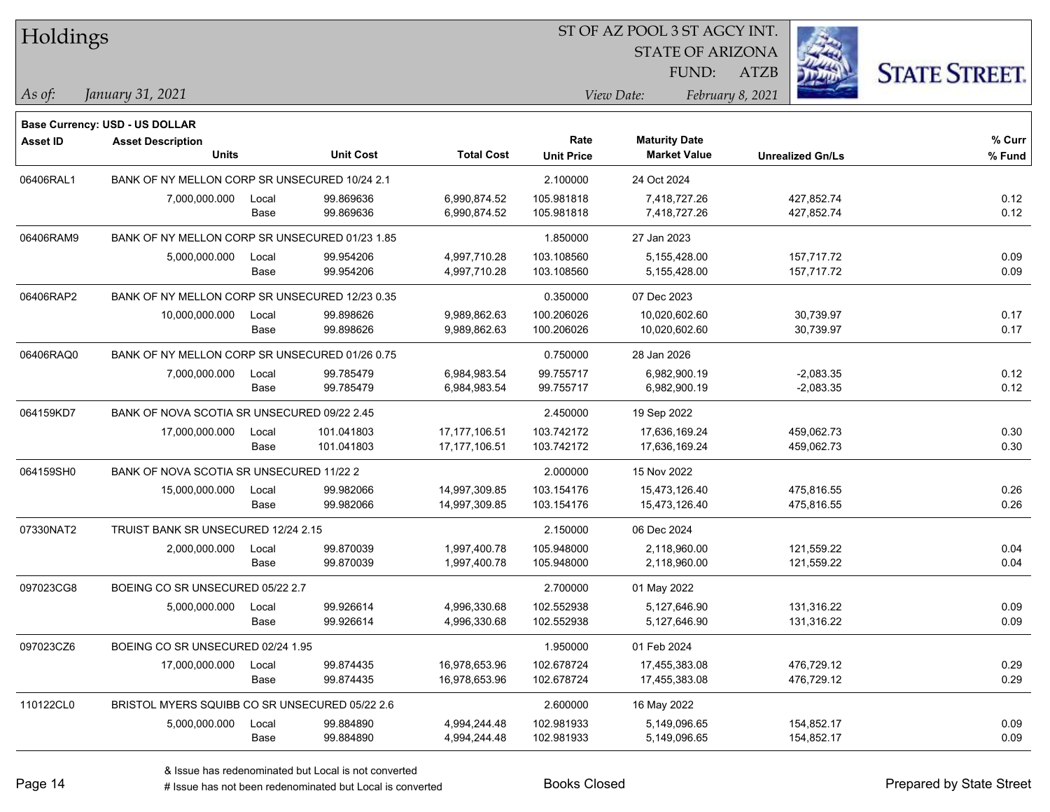| Holdings        |                                                |               |                        |                              | ST OF AZ POOL 3 ST AGCY INT. |                                             |                          |                      |  |  |  |
|-----------------|------------------------------------------------|---------------|------------------------|------------------------------|------------------------------|---------------------------------------------|--------------------------|----------------------|--|--|--|
|                 |                                                |               |                        |                              |                              | <b>STATE OF ARIZONA</b>                     |                          |                      |  |  |  |
|                 |                                                |               |                        |                              |                              | FUND:                                       | <b>ATZB</b>              | <b>STATE STREET.</b> |  |  |  |
| $\vert$ As of:  | January 31, 2021                               |               |                        |                              |                              | View Date:                                  | February 8, 2021         |                      |  |  |  |
|                 |                                                |               |                        |                              |                              |                                             |                          |                      |  |  |  |
|                 | <b>Base Currency: USD - US DOLLAR</b>          |               |                        |                              |                              |                                             |                          |                      |  |  |  |
| <b>Asset ID</b> | <b>Asset Description</b><br><b>Units</b>       |               | <b>Unit Cost</b>       | <b>Total Cost</b>            | Rate<br><b>Unit Price</b>    | <b>Maturity Date</b><br><b>Market Value</b> | <b>Unrealized Gn/Ls</b>  | $%$ Curr<br>% Fund   |  |  |  |
|                 |                                                |               |                        |                              |                              |                                             |                          |                      |  |  |  |
| 06406RAL1       | BANK OF NY MELLON CORP SR UNSECURED 10/24 2.1  |               |                        |                              | 2.100000                     | 24 Oct 2024                                 |                          |                      |  |  |  |
|                 | 7,000,000.000                                  | Local<br>Base | 99.869636<br>99.869636 | 6,990,874.52<br>6,990,874.52 | 105.981818<br>105.981818     | 7,418,727.26<br>7,418,727.26                | 427,852.74<br>427,852.74 | 0.12<br>0.12         |  |  |  |
|                 |                                                |               |                        |                              |                              |                                             |                          |                      |  |  |  |
| 06406RAM9       | BANK OF NY MELLON CORP SR UNSECURED 01/23 1.85 |               |                        |                              | 1.850000                     | 27 Jan 2023                                 |                          |                      |  |  |  |
|                 | 5,000,000.000                                  | Local<br>Base | 99.954206<br>99.954206 | 4,997,710.28<br>4,997,710.28 | 103.108560<br>103.108560     | 5,155,428.00<br>5,155,428.00                | 157,717.72<br>157,717.72 | 0.09<br>0.09         |  |  |  |
|                 |                                                |               |                        |                              |                              |                                             |                          |                      |  |  |  |
| 06406RAP2       | BANK OF NY MELLON CORP SR UNSECURED 12/23 0.35 |               |                        |                              | 0.350000                     | 07 Dec 2023                                 |                          |                      |  |  |  |
|                 | 10,000,000.000                                 | Local<br>Base | 99.898626<br>99.898626 | 9,989,862.63<br>9,989,862.63 | 100.206026<br>100.206026     | 10,020,602.60<br>10,020,602.60              | 30,739.97<br>30,739.97   | 0.17<br>0.17         |  |  |  |
|                 |                                                |               |                        |                              |                              |                                             |                          |                      |  |  |  |
| 06406RAQ0       | BANK OF NY MELLON CORP SR UNSECURED 01/26 0.75 |               |                        |                              | 0.750000                     | 28 Jan 2026                                 |                          |                      |  |  |  |
|                 | 7,000,000.000                                  | Local         | 99.785479              | 6,984,983.54                 | 99.755717                    | 6,982,900.19                                | $-2,083.35$              | 0.12                 |  |  |  |
|                 |                                                | Base          | 99.785479              | 6,984,983.54                 | 99.755717                    | 6,982,900.19                                | $-2,083.35$              | 0.12                 |  |  |  |
| 064159KD7       | BANK OF NOVA SCOTIA SR UNSECURED 09/22 2.45    |               |                        |                              | 2.450000                     | 19 Sep 2022                                 |                          |                      |  |  |  |
|                 | 17,000,000.000                                 | Local         | 101.041803             | 17, 177, 106.51              | 103.742172                   | 17,636,169.24                               | 459,062.73               | 0.30                 |  |  |  |
|                 |                                                | Base          | 101.041803             | 17,177,106.51                | 103.742172                   | 17,636,169.24                               | 459,062.73               | 0.30                 |  |  |  |
| 064159SH0       | BANK OF NOVA SCOTIA SR UNSECURED 11/22 2       |               |                        |                              | 2.000000                     | 15 Nov 2022                                 |                          |                      |  |  |  |
|                 | 15,000,000.000                                 | Local         | 99.982066              | 14,997,309.85                | 103.154176                   | 15,473,126.40                               | 475,816.55               | 0.26                 |  |  |  |
|                 |                                                | Base          | 99.982066              | 14,997,309.85                | 103.154176                   | 15,473,126.40                               | 475,816.55               | 0.26                 |  |  |  |
| 07330NAT2       | TRUIST BANK SR UNSECURED 12/24 2.15            |               |                        |                              | 2.150000                     | 06 Dec 2024                                 |                          |                      |  |  |  |
|                 | 2,000,000.000                                  | Local         | 99.870039              | 1,997,400.78                 | 105.948000                   | 2,118,960.00                                | 121,559.22               | 0.04                 |  |  |  |
|                 |                                                | Base          | 99.870039              | 1,997,400.78                 | 105.948000                   | 2,118,960.00                                | 121,559.22               | 0.04                 |  |  |  |
| 097023CG8       | BOEING CO SR UNSECURED 05/22 2.7               |               |                        |                              | 2.700000                     | 01 May 2022                                 |                          |                      |  |  |  |
|                 | 5,000,000.000                                  | Local         | 99.926614              | 4,996,330.68                 | 102.552938                   | 5,127,646.90                                | 131,316.22               | 0.09                 |  |  |  |
|                 |                                                | Base          | 99.926614              | 4,996,330.68                 | 102.552938                   | 5,127,646.90                                | 131,316.22               | 0.09                 |  |  |  |
| 097023CZ6       | BOEING CO SR UNSECURED 02/24 1.95              |               |                        |                              | 1.950000                     | 01 Feb 2024                                 |                          |                      |  |  |  |
|                 | 17,000,000.000                                 | Local         | 99.874435              | 16,978,653.96                | 102.678724                   | 17,455,383.08                               | 476,729.12               | 0.29                 |  |  |  |
|                 |                                                | Base          | 99.874435              | 16,978,653.96                | 102.678724                   | 17,455,383.08                               | 476,729.12               | 0.29                 |  |  |  |
| 110122CL0       | BRISTOL MYERS SQUIBB CO SR UNSECURED 05/22 2.6 |               |                        |                              | 2.600000                     | 16 May 2022                                 |                          |                      |  |  |  |
|                 | 5,000,000.000                                  | Local         | 99.884890              | 4,994,244.48                 | 102.981933                   | 5,149,096.65                                | 154,852.17               | 0.09                 |  |  |  |
|                 |                                                | Base          | 99.884890              | 4,994,244.48                 | 102.981933                   | 5,149,096.65                                | 154,852.17               | 0.09                 |  |  |  |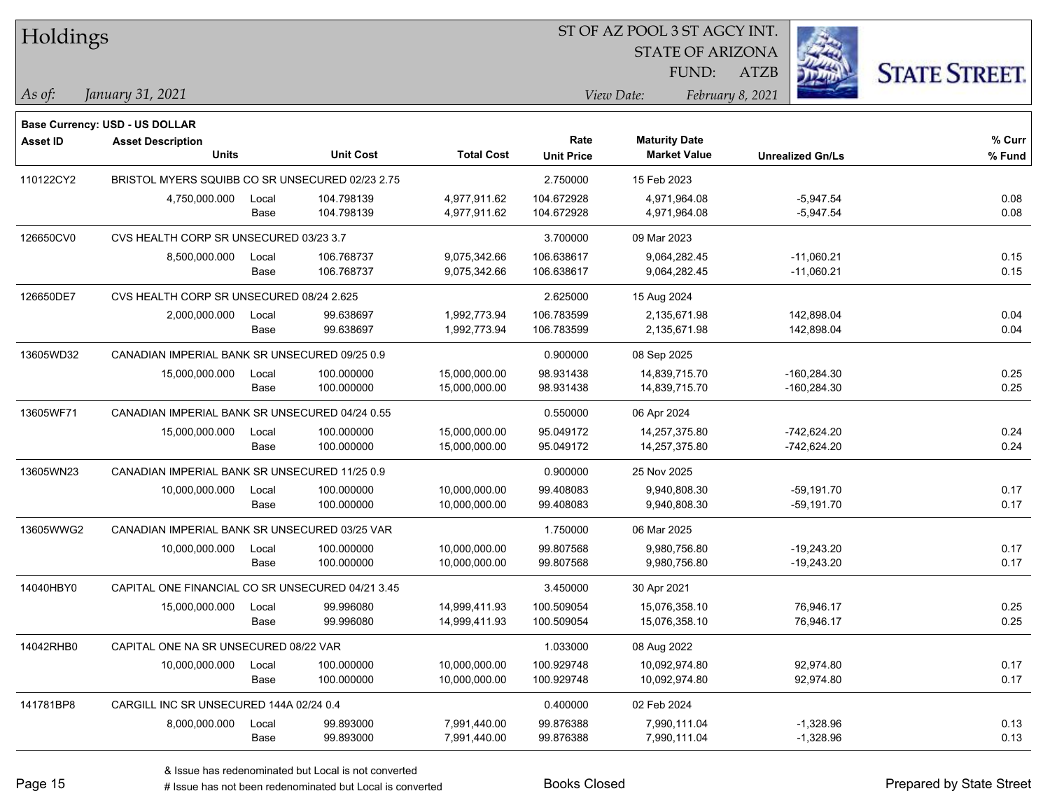| Holdings        |                                                                   |       |                  |                   |                   | 51 OF AZ POOL 3 51 AGCY INT. |                         |                      |
|-----------------|-------------------------------------------------------------------|-------|------------------|-------------------|-------------------|------------------------------|-------------------------|----------------------|
|                 |                                                                   |       |                  |                   |                   | <b>STATE OF ARIZONA</b>      |                         |                      |
|                 |                                                                   |       |                  |                   |                   | FUND:                        | ATZB                    | <b>STATE STREET.</b> |
| $ $ As of:      | January 31, 2021                                                  |       |                  |                   |                   | View Date:                   | February 8, 2021        |                      |
|                 |                                                                   |       |                  |                   |                   |                              |                         |                      |
| <b>Asset ID</b> | <b>Base Currency: USD - US DOLLAR</b><br><b>Asset Description</b> |       |                  |                   | Rate              | <b>Maturity Date</b>         |                         | $%$ Curr             |
|                 | <b>Units</b>                                                      |       | <b>Unit Cost</b> | <b>Total Cost</b> | <b>Unit Price</b> | <b>Market Value</b>          | <b>Unrealized Gn/Ls</b> | % Fund               |
| 110122CY2       | BRISTOL MYERS SQUIBB CO SR UNSECURED 02/23 2.75                   |       |                  |                   | 2.750000          | 15 Feb 2023                  |                         |                      |
|                 | 4,750,000.000                                                     | Local | 104.798139       | 4,977,911.62      | 104.672928        | 4,971,964.08                 | $-5,947.54$             | 0.08                 |
|                 |                                                                   | Base  | 104.798139       | 4,977,911.62      | 104.672928        | 4,971,964.08                 | $-5,947.54$             | 0.08                 |
| 126650CV0       | CVS HEALTH CORP SR UNSECURED 03/23 3.7                            |       |                  |                   | 3.700000          | 09 Mar 2023                  |                         |                      |
|                 | 8,500,000.000                                                     | Local | 106.768737       | 9,075,342.66      | 106.638617        | 9,064,282.45                 | $-11,060.21$            | 0.15                 |
|                 |                                                                   | Base  | 106.768737       | 9,075,342.66      | 106.638617        | 9,064,282.45                 | $-11,060.21$            | 0.15                 |
| 126650DE7       | CVS HEALTH CORP SR UNSECURED 08/24 2.625                          |       |                  |                   | 2.625000          | 15 Aug 2024                  |                         |                      |
|                 | 2,000,000.000                                                     | Local | 99.638697        | 1,992,773.94      | 106.783599        | 2,135,671.98                 | 142,898.04              | 0.04                 |
|                 |                                                                   | Base  | 99.638697        | 1,992,773.94      | 106.783599        | 2,135,671.98                 | 142,898.04              | 0.04                 |
| 13605WD32       | CANADIAN IMPERIAL BANK SR UNSECURED 09/25 0.9                     |       |                  |                   | 0.900000          | 08 Sep 2025                  |                         |                      |
|                 | 15,000,000.000                                                    | Local | 100.000000       | 15,000,000.00     | 98.931438         | 14,839,715.70                | $-160,284.30$           | 0.25                 |
|                 |                                                                   | Base  | 100.000000       | 15,000,000.00     | 98.931438         | 14,839,715.70                | -160,284.30             | 0.25                 |
| 13605WF71       | CANADIAN IMPERIAL BANK SR UNSECURED 04/24 0.55                    |       |                  |                   | 0.550000          | 06 Apr 2024                  |                         |                      |
|                 | 15,000,000.000                                                    | Local | 100.000000       | 15,000,000.00     | 95.049172         | 14,257,375.80                | $-742,624.20$           | 0.24                 |
|                 |                                                                   | Base  | 100.000000       | 15,000,000.00     | 95.049172         | 14,257,375.80                | $-742,624.20$           | 0.24                 |
| 13605WN23       | CANADIAN IMPERIAL BANK SR UNSECURED 11/25 0.9                     |       |                  |                   | 0.900000          | 25 Nov 2025                  |                         |                      |
|                 | 10,000,000.000                                                    | Local | 100.000000       | 10,000,000.00     | 99.408083         | 9,940,808.30                 | $-59,191.70$            | 0.17                 |
|                 |                                                                   | Base  | 100.000000       | 10,000,000.00     | 99.408083         | 9,940,808.30                 | $-59,191.70$            | 0.17                 |
| 13605WWG2       | CANADIAN IMPERIAL BANK SR UNSECURED 03/25 VAR                     |       |                  |                   | 1.750000          | 06 Mar 2025                  |                         |                      |
|                 | 10,000,000.000                                                    | Local | 100.000000       | 10,000,000.00     | 99.807568         | 9,980,756.80                 | $-19,243.20$            | 0.17                 |
|                 |                                                                   | Base  | 100.000000       | 10,000,000.00     | 99.807568         | 9,980,756.80                 | $-19,243.20$            | 0.17                 |
| 14040HBY0       | CAPITAL ONE FINANCIAL CO SR UNSECURED 04/21 3.45                  |       |                  |                   | 3.450000          | 30 Apr 2021                  |                         |                      |
|                 | 15,000,000.000                                                    | Local | 99.996080        | 14,999,411.93     | 100.509054        | 15,076,358.10                | 76,946.17               | 0.25                 |
|                 |                                                                   | Base  | 99.996080        | 14,999,411.93     | 100.509054        | 15,076,358.10                | 76,946.17               | 0.25                 |
| 14042RHB0       | CAPITAL ONE NA SR UNSECURED 08/22 VAR                             |       |                  |                   | 1.033000          | 08 Aug 2022                  |                         |                      |
|                 | 10,000,000.000                                                    | Local | 100.000000       | 10,000,000.00     | 100.929748        | 10,092,974.80                | 92,974.80               | 0.17                 |
|                 |                                                                   | Base  | 100.000000       | 10,000,000.00     | 100.929748        | 10,092,974.80                | 92,974.80               | 0.17                 |
| 141781BP8       | CARGILL INC SR UNSECURED 144A 02/24 0.4                           |       |                  |                   | 0.400000          | 02 Feb 2024                  |                         |                      |
|                 | 8,000,000.000                                                     | Local | 99.893000        | 7,991,440.00      | 99.876388         | 7,990,111.04                 | $-1,328.96$             | 0.13                 |
|                 |                                                                   | Base  | 99.893000        | 7,991,440.00      | 99.876388         | 7,990,111.04                 | $-1,328.96$             | 0.13                 |

ST OF A Z POOL 2 ST ACCV INT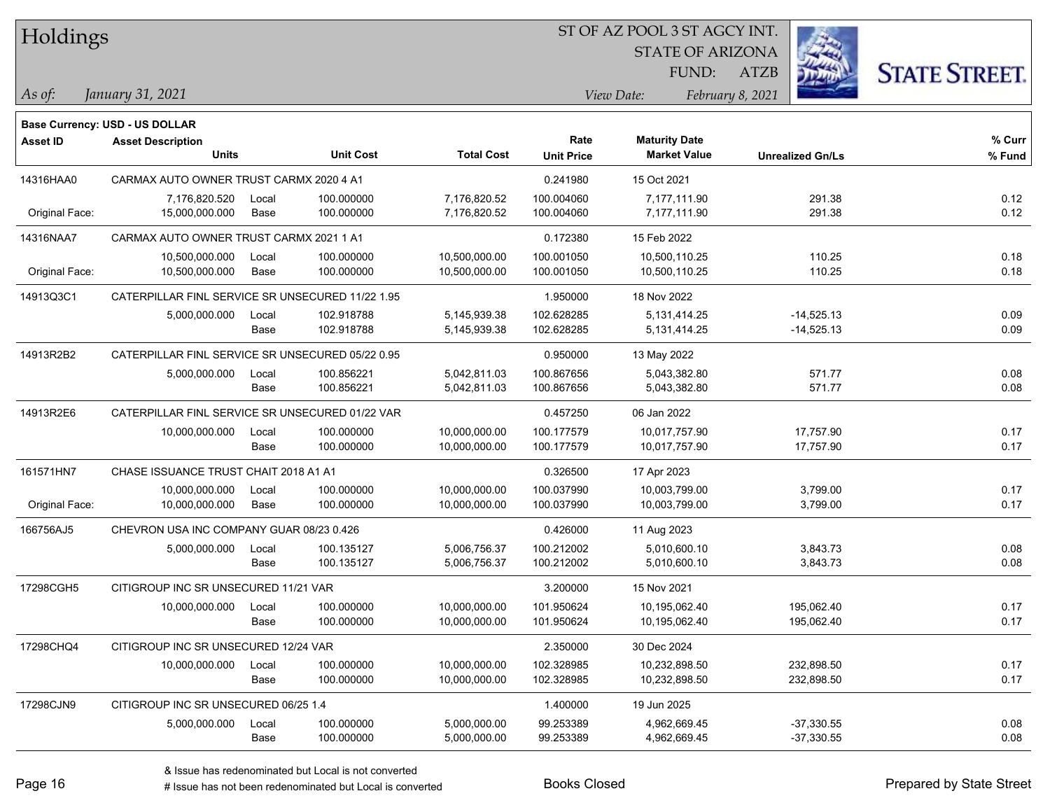|  |  | Holdings |
|--|--|----------|
|--|--|----------|

STATE OF ARIZONA

ATZB



*January 31, 2021 As of: View Date: February 8, 2021*

**Base Currency: USD - US DOLLAR**

FUND:

| <b>Asset ID</b> | <b>Asset Description</b><br><b>Units</b>         |       | <b>Unit Cost</b> | <b>Total Cost</b> | Rate<br><b>Unit Price</b> | <b>Maturity Date</b><br><b>Market Value</b> | <b>Unrealized Gn/Ls</b> | % Curr<br>% Fund |
|-----------------|--------------------------------------------------|-------|------------------|-------------------|---------------------------|---------------------------------------------|-------------------------|------------------|
| 14316HAA0       | CARMAX AUTO OWNER TRUST CARMX 2020 4 A1          |       |                  |                   | 0.241980                  | 15 Oct 2021                                 |                         |                  |
|                 | 7,176,820.520                                    | Local | 100.000000       | 7,176,820.52      | 100.004060                | 7,177,111.90                                | 291.38                  | 0.12             |
| Original Face:  | 15,000,000.000                                   | Base  | 100.000000       | 7,176,820.52      | 100.004060                | 7,177,111.90                                | 291.38                  | 0.12             |
| 14316NAA7       | CARMAX AUTO OWNER TRUST CARMX 2021 1 A1          |       |                  |                   | 0.172380                  | 15 Feb 2022                                 |                         |                  |
|                 | 10,500,000.000                                   | Local | 100.000000       | 10,500,000.00     | 100.001050                | 10,500,110.25                               | 110.25                  | 0.18             |
| Original Face:  | 10,500,000.000                                   | Base  | 100.000000       | 10,500,000.00     | 100.001050                | 10,500,110.25                               | 110.25                  | 0.18             |
| 14913Q3C1       | CATERPILLAR FINL SERVICE SR UNSECURED 11/22 1.95 |       |                  |                   | 1.950000                  | 18 Nov 2022                                 |                         |                  |
|                 | 5,000,000.000                                    | Local | 102.918788       | 5,145,939.38      | 102.628285                | 5,131,414.25                                | $-14,525.13$            | 0.09             |
|                 |                                                  | Base  | 102.918788       | 5,145,939.38      | 102.628285                | 5,131,414.25                                | $-14,525.13$            | 0.09             |
| 14913R2B2       | CATERPILLAR FINL SERVICE SR UNSECURED 05/22 0.95 |       |                  |                   | 0.950000                  | 13 May 2022                                 |                         |                  |
|                 | 5,000,000.000                                    | Local | 100.856221       | 5,042,811.03      | 100.867656                | 5,043,382.80                                | 571.77                  | 0.08             |
|                 |                                                  | Base  | 100.856221       | 5,042,811.03      | 100.867656                | 5,043,382.80                                | 571.77                  | 0.08             |
| 14913R2E6       | CATERPILLAR FINL SERVICE SR UNSECURED 01/22 VAR  |       |                  |                   | 0.457250                  | 06 Jan 2022                                 |                         |                  |
|                 | 10,000,000.000                                   | Local | 100.000000       | 10,000,000.00     | 100.177579                | 10,017,757.90                               | 17,757.90               | 0.17             |
|                 |                                                  | Base  | 100.000000       | 10,000,000.00     | 100.177579                | 10,017,757.90                               | 17,757.90               | 0.17             |
| 161571HN7       | CHASE ISSUANCE TRUST CHAIT 2018 A1 A1            |       |                  |                   | 0.326500                  | 17 Apr 2023                                 |                         |                  |
|                 | 10,000,000.000                                   | Local | 100.000000       | 10,000,000.00     | 100.037990                | 10,003,799.00                               | 3,799.00                | 0.17             |
| Original Face:  | 10,000,000.000                                   | Base  | 100.000000       | 10,000,000.00     | 100.037990                | 10,003,799.00                               | 3,799.00                | 0.17             |
| 166756AJ5       | CHEVRON USA INC COMPANY GUAR 08/23 0.426         |       |                  |                   | 0.426000                  | 11 Aug 2023                                 |                         |                  |
|                 | 5,000,000.000                                    | Local | 100.135127       | 5,006,756.37      | 100.212002                | 5,010,600.10                                | 3,843.73                | 0.08             |
|                 |                                                  | Base  | 100.135127       | 5,006,756.37      | 100.212002                | 5,010,600.10                                | 3,843.73                | 0.08             |
| 17298CGH5       | CITIGROUP INC SR UNSECURED 11/21 VAR             |       |                  |                   | 3.200000                  | 15 Nov 2021                                 |                         |                  |
|                 | 10,000,000.000                                   | Local | 100.000000       | 10,000,000.00     | 101.950624                | 10,195,062.40                               | 195,062.40              | 0.17             |
|                 |                                                  | Base  | 100.000000       | 10,000,000.00     | 101.950624                | 10,195,062.40                               | 195,062.40              | 0.17             |
| 17298CHQ4       | CITIGROUP INC SR UNSECURED 12/24 VAR             |       |                  |                   | 2.350000                  | 30 Dec 2024                                 |                         |                  |
|                 | 10,000,000.000                                   | Local | 100.000000       | 10,000,000.00     | 102.328985                | 10,232,898.50                               | 232,898.50              | 0.17             |
|                 |                                                  | Base  | 100.000000       | 10,000,000.00     | 102.328985                | 10,232,898.50                               | 232,898.50              | 0.17             |
| 17298CJN9       | CITIGROUP INC SR UNSECURED 06/25 1.4             |       |                  |                   | 1.400000                  | 19 Jun 2025                                 |                         |                  |
|                 | 5,000,000.000                                    | Local | 100.000000       | 5,000,000.00      | 99.253389                 | 4,962,669.45                                | $-37,330.55$            | 0.08             |
|                 |                                                  | Base  | 100.000000       | 5,000,000.00      | 99.253389                 | 4,962,669.45                                | $-37,330.55$            | 0.08             |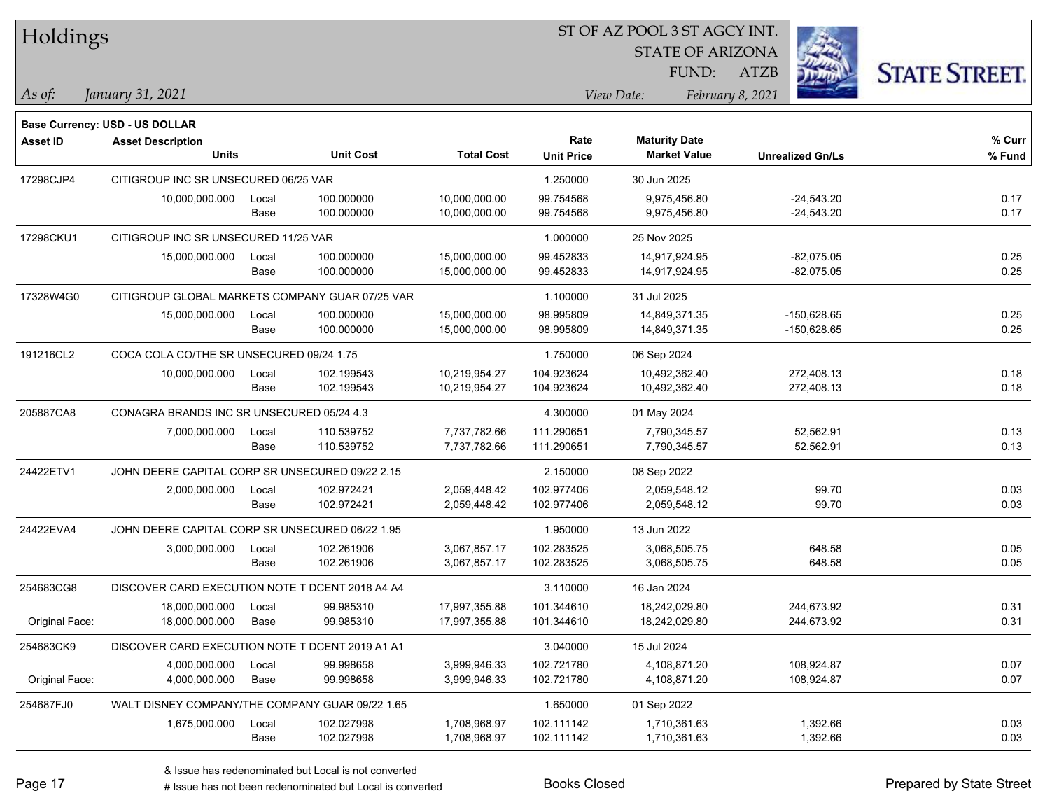| Holdings        |                                                 |       |                  |                   |                   | 51 OF AZ POOL 3 51 AGCY INT. |                  |                         |                      |
|-----------------|-------------------------------------------------|-------|------------------|-------------------|-------------------|------------------------------|------------------|-------------------------|----------------------|
|                 |                                                 |       |                  |                   |                   | <b>STATE OF ARIZONA</b>      |                  |                         |                      |
|                 |                                                 |       |                  |                   |                   | FUND:                        | ATZB             |                         | <b>STATE STREET.</b> |
| As of:          | January 31, 2021                                |       |                  |                   |                   | View Date:                   | February 8, 2021 |                         |                      |
|                 |                                                 |       |                  |                   |                   |                              |                  |                         |                      |
|                 | Base Currency: USD - US DOLLAR                  |       |                  |                   |                   |                              |                  |                         |                      |
| <b>Asset ID</b> | <b>Asset Description</b>                        |       |                  |                   | Rate              | <b>Maturity Date</b>         |                  |                         | % Curr               |
|                 | <b>Units</b>                                    |       | <b>Unit Cost</b> | <b>Total Cost</b> | <b>Unit Price</b> | <b>Market Value</b>          |                  | <b>Unrealized Gn/Ls</b> | % Fund               |
| 17298CJP4       | CITIGROUP INC SR UNSECURED 06/25 VAR            |       |                  |                   | 1.250000          | 30 Jun 2025                  |                  |                         |                      |
|                 | 10,000,000.000                                  | Local | 100.000000       | 10,000,000.00     | 99.754568         | 9,975,456.80                 |                  | $-24,543.20$            | 0.17                 |
|                 |                                                 | Base  | 100.000000       | 10,000,000.00     | 99.754568         | 9,975,456.80                 |                  | $-24,543.20$            | 0.17                 |
| 17298CKU1       | CITIGROUP INC SR UNSECURED 11/25 VAR            |       |                  |                   | 1.000000          | 25 Nov 2025                  |                  |                         |                      |
|                 | 15,000,000.000                                  | Local | 100.000000       | 15,000,000.00     | 99.452833         | 14,917,924.95                |                  | $-82,075.05$            | 0.25                 |
|                 |                                                 | Base  | 100.000000       | 15,000,000.00     | 99.452833         | 14,917,924.95                |                  | $-82,075.05$            | 0.25                 |
| 17328W4G0       | CITIGROUP GLOBAL MARKETS COMPANY GUAR 07/25 VAR |       |                  |                   | 1.100000          | 31 Jul 2025                  |                  |                         |                      |
|                 | 15,000,000.000                                  | Local | 100.000000       | 15,000,000.00     | 98.995809         | 14,849,371.35                |                  | $-150,628.65$           | 0.25                 |
|                 |                                                 | Base  | 100.000000       | 15,000,000.00     | 98.995809         | 14,849,371.35                |                  | $-150,628.65$           | 0.25                 |
| 191216CL2       | COCA COLA CO/THE SR UNSECURED 09/24 1.75        |       |                  |                   | 1.750000          | 06 Sep 2024                  |                  |                         |                      |
|                 | 10,000,000.000                                  | Local | 102.199543       | 10,219,954.27     | 104.923624        | 10,492,362.40                |                  | 272,408.13              | 0.18                 |
|                 |                                                 | Base  | 102.199543       | 10,219,954.27     | 104.923624        | 10,492,362.40                |                  | 272,408.13              | 0.18                 |
| 205887CA8       | CONAGRA BRANDS INC SR UNSECURED 05/24 4.3       |       |                  |                   | 4.300000          | 01 May 2024                  |                  |                         |                      |
|                 | 7,000,000.000                                   | Local | 110.539752       | 7,737,782.66      | 111.290651        | 7,790,345.57                 |                  | 52,562.91               | 0.13                 |
|                 |                                                 | Base  | 110.539752       | 7,737,782.66      | 111.290651        | 7,790,345.57                 |                  | 52,562.91               | 0.13                 |
| 24422ETV1       | JOHN DEERE CAPITAL CORP SR UNSECURED 09/22 2.15 |       |                  |                   | 2.150000          | 08 Sep 2022                  |                  |                         |                      |
|                 | 2,000,000.000                                   | Local | 102.972421       | 2,059,448.42      | 102.977406        | 2,059,548.12                 |                  | 99.70                   | 0.03                 |
|                 |                                                 | Base  | 102.972421       | 2,059,448.42      | 102.977406        | 2,059,548.12                 |                  | 99.70                   | 0.03                 |
| 24422EVA4       | JOHN DEERE CAPITAL CORP SR UNSECURED 06/22 1.95 |       |                  |                   | 1.950000          | 13 Jun 2022                  |                  |                         |                      |
|                 | 3,000,000.000                                   | Local | 102.261906       | 3,067,857.17      | 102.283525        | 3,068,505.75                 |                  | 648.58                  | 0.05                 |
|                 |                                                 | Base  | 102.261906       | 3,067,857.17      | 102.283525        | 3,068,505.75                 |                  | 648.58                  | 0.05                 |
| 254683CG8       | DISCOVER CARD EXECUTION NOTE T DCENT 2018 A4 A4 |       |                  |                   | 3.110000          | 16 Jan 2024                  |                  |                         |                      |
|                 | 18,000,000.000                                  | Local | 99.985310        | 17,997,355.88     | 101.344610        | 18,242,029.80                |                  | 244,673.92              | 0.31                 |
| Original Face:  | 18,000,000.000                                  | Base  | 99.985310        | 17,997,355.88     | 101.344610        | 18,242,029.80                |                  | 244,673.92              | 0.31                 |
| 254683CK9       | DISCOVER CARD EXECUTION NOTE T DCENT 2019 A1 A1 |       |                  |                   | 3.040000          | 15 Jul 2024                  |                  |                         |                      |
|                 | 4,000,000.000                                   | Local | 99.998658        | 3,999,946.33      | 102.721780        | 4,108,871.20                 |                  | 108,924.87              | 0.07                 |
| Original Face:  | 4,000,000.000                                   | Base  | 99.998658        | 3,999,946.33      | 102.721780        | 4,108,871.20                 |                  | 108,924.87              | 0.07                 |
| 254687FJ0       | WALT DISNEY COMPANY/THE COMPANY GUAR 09/22 1.65 |       |                  |                   | 1.650000          | 01 Sep 2022                  |                  |                         |                      |
|                 | 1,675,000.000                                   | Local | 102.027998       | 1,708,968.97      | 102.111142        | 1,710,361.63                 |                  | 1,392.66                | 0.03                 |
|                 |                                                 | Base  | 102.027998       | 1,708,968.97      | 102.111142        | 1,710,361.63                 |                  | 1,392.66                | 0.03                 |

 $\overline{S}$ 

٦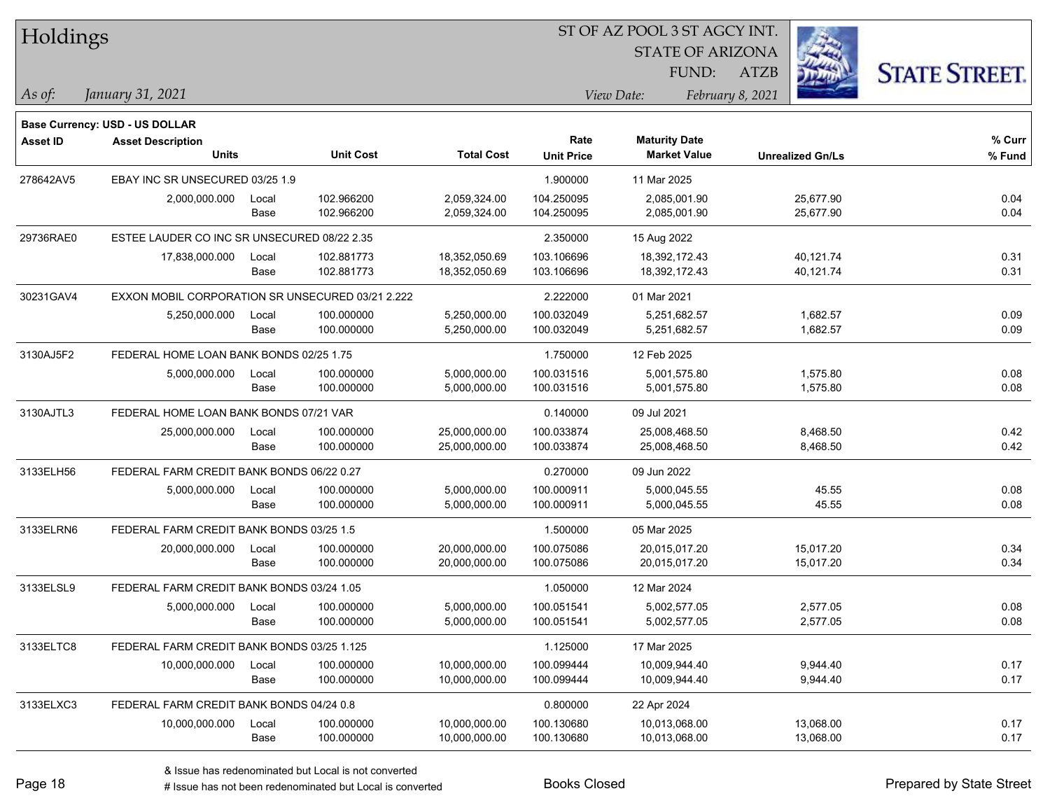| Holdings        |                                                  |       |                  | 51 OF AZ POOL 3 51 AGCY INT. |                   |                         |                  |                         |                      |
|-----------------|--------------------------------------------------|-------|------------------|------------------------------|-------------------|-------------------------|------------------|-------------------------|----------------------|
|                 |                                                  |       |                  |                              |                   | <b>STATE OF ARIZONA</b> |                  |                         |                      |
|                 |                                                  |       |                  |                              |                   | FUND:                   | ATZB             |                         | <b>STATE STREET.</b> |
| As of:          | January 31, 2021                                 |       |                  |                              |                   | View Date:              | February 8, 2021 |                         |                      |
|                 | Base Currency: USD - US DOLLAR                   |       |                  |                              |                   |                         |                  |                         |                      |
| <b>Asset ID</b> | <b>Asset Description</b>                         |       |                  |                              | Rate              | <b>Maturity Date</b>    |                  |                         | % Curr               |
|                 | <b>Units</b>                                     |       | <b>Unit Cost</b> | <b>Total Cost</b>            | <b>Unit Price</b> | <b>Market Value</b>     |                  | <b>Unrealized Gn/Ls</b> | % Fund               |
| 278642AV5       | EBAY INC SR UNSECURED 03/25 1.9                  |       |                  |                              | 1.900000          | 11 Mar 2025             |                  |                         |                      |
|                 | 2,000,000.000                                    | Local | 102.966200       | 2,059,324.00                 | 104.250095        | 2,085,001.90            |                  | 25,677.90               | 0.04                 |
|                 |                                                  | Base  | 102.966200       | 2,059,324.00                 | 104.250095        | 2,085,001.90            |                  | 25,677.90               | 0.04                 |
| 29736RAE0       | ESTEE LAUDER CO INC SR UNSECURED 08/22 2.35      |       |                  |                              | 2.350000          | 15 Aug 2022             |                  |                         |                      |
|                 | 17,838,000.000                                   | Local | 102.881773       | 18,352,050.69                | 103.106696        | 18,392,172.43           |                  | 40,121.74               | 0.31                 |
|                 |                                                  | Base  | 102.881773       | 18,352,050.69                | 103.106696        | 18,392,172.43           |                  | 40,121.74               | 0.31                 |
| 30231GAV4       | EXXON MOBIL CORPORATION SR UNSECURED 03/21 2.222 |       |                  |                              | 2.222000          | 01 Mar 2021             |                  |                         |                      |
|                 | 5,250,000.000                                    | Local | 100.000000       | 5,250,000.00                 | 100.032049        | 5,251,682.57            |                  | 1,682.57                | 0.09                 |
|                 |                                                  | Base  | 100.000000       | 5,250,000.00                 | 100.032049        | 5,251,682.57            |                  | 1,682.57                | 0.09                 |
| 3130AJ5F2       | FEDERAL HOME LOAN BANK BONDS 02/25 1.75          |       |                  |                              | 1.750000          | 12 Feb 2025             |                  |                         |                      |
|                 | 5,000,000.000                                    | Local | 100.000000       | 5,000,000.00                 | 100.031516        | 5,001,575.80            |                  | 1,575.80                | 0.08                 |
|                 |                                                  | Base  | 100.000000       | 5,000,000.00                 | 100.031516        | 5,001,575.80            |                  | 1,575.80                | 0.08                 |
| 3130AJTL3       | FEDERAL HOME LOAN BANK BONDS 07/21 VAR           |       |                  |                              | 0.140000          | 09 Jul 2021             |                  |                         |                      |
|                 | 25,000,000.000                                   | Local | 100.000000       | 25,000,000.00                | 100.033874        | 25,008,468.50           |                  | 8,468.50                | 0.42                 |
|                 |                                                  | Base  | 100.000000       | 25,000,000.00                | 100.033874        | 25,008,468.50           |                  | 8,468.50                | 0.42                 |
| 3133ELH56       | FEDERAL FARM CREDIT BANK BONDS 06/22 0.27        |       |                  |                              | 0.270000          | 09 Jun 2022             |                  |                         |                      |
|                 | 5,000,000.000                                    | Local | 100.000000       | 5,000,000.00                 | 100.000911        | 5,000,045.55            |                  | 45.55                   | 0.08                 |
|                 |                                                  | Base  | 100.000000       | 5,000,000.00                 | 100.000911        | 5,000,045.55            |                  | 45.55                   | 0.08                 |
| 3133ELRN6       | FEDERAL FARM CREDIT BANK BONDS 03/25 1.5         |       |                  |                              | 1.500000          | 05 Mar 2025             |                  |                         |                      |
|                 | 20,000,000.000                                   | Local | 100.000000       | 20,000,000.00                | 100.075086        | 20,015,017.20           |                  | 15,017.20               | 0.34                 |
|                 |                                                  | Base  | 100.000000       | 20,000,000.00                | 100.075086        | 20,015,017.20           |                  | 15,017.20               | 0.34                 |
| 3133ELSL9       | FEDERAL FARM CREDIT BANK BONDS 03/24 1.05        |       |                  |                              | 1.050000          | 12 Mar 2024             |                  |                         |                      |
|                 | 5,000,000.000                                    | Local | 100.000000       | 5,000,000.00                 | 100.051541        | 5,002,577.05            |                  | 2,577.05                | 0.08                 |
|                 |                                                  | Base  | 100.000000       | 5,000,000.00                 | 100.051541        | 5,002,577.05            |                  | 2,577.05                | 0.08                 |
| 3133ELTC8       | FEDERAL FARM CREDIT BANK BONDS 03/25 1.125       |       |                  |                              | 1.125000          | 17 Mar 2025             |                  |                         |                      |
|                 | 10,000,000.000                                   | Local | 100.000000       | 10,000,000.00                | 100.099444        | 10,009,944.40           |                  | 9,944.40                | 0.17                 |
|                 |                                                  | Base  | 100.000000       | 10,000,000.00                | 100.099444        | 10,009,944.40           |                  | 9,944.40                | 0.17                 |
| 3133ELXC3       | FEDERAL FARM CREDIT BANK BONDS 04/24 0.8         |       |                  |                              | 0.800000          | 22 Apr 2024             |                  |                         |                      |
|                 | 10,000,000.000                                   | Local | 100.000000       | 10,000,000.00                | 100.130680        | 10,013,068.00           |                  | 13,068.00               | 0.17                 |
|                 |                                                  | Base  | 100.000000       | 10,000,000.00                | 100.130680        | 10,013,068.00           |                  | 13,068.00               | 0.17                 |

 $\overline{S}$ 

٦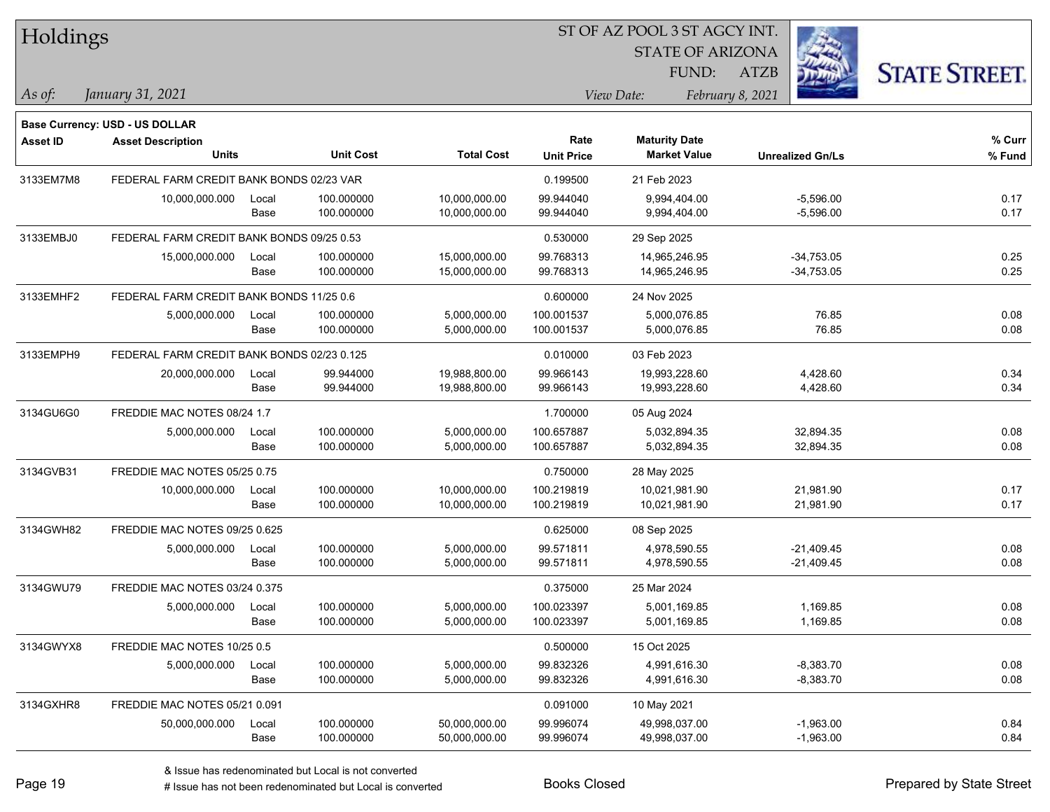| Holdings        |                                            |       |                  |                   | ST OF AZ POOL 3 ST AGCY INT. |                      |                         |                         |                      |  |  |
|-----------------|--------------------------------------------|-------|------------------|-------------------|------------------------------|----------------------|-------------------------|-------------------------|----------------------|--|--|
|                 |                                            |       |                  |                   |                              |                      | <b>STATE OF ARIZONA</b> |                         |                      |  |  |
|                 |                                            |       |                  |                   |                              | FUND:                | <b>ATZB</b>             |                         | <b>STATE STREET.</b> |  |  |
| As of:          | January 31, 2021                           |       |                  |                   |                              | View Date:           | February 8, 2021        |                         |                      |  |  |
|                 | Base Currency: USD - US DOLLAR             |       |                  |                   |                              |                      |                         |                         |                      |  |  |
| <b>Asset ID</b> | <b>Asset Description</b>                   |       |                  |                   | Rate                         | <b>Maturity Date</b> |                         |                         | % Curr               |  |  |
|                 | <b>Units</b>                               |       | <b>Unit Cost</b> | <b>Total Cost</b> | <b>Unit Price</b>            | <b>Market Value</b>  |                         | <b>Unrealized Gn/Ls</b> | % Fund               |  |  |
| 3133EM7M8       | FEDERAL FARM CREDIT BANK BONDS 02/23 VAR   |       |                  |                   | 0.199500                     | 21 Feb 2023          |                         |                         |                      |  |  |
|                 | 10,000,000.000                             | Local | 100.000000       | 10,000,000.00     | 99.944040                    | 9,994,404.00         |                         | $-5,596.00$             | 0.17                 |  |  |
|                 |                                            | Base  | 100.000000       | 10,000,000.00     | 99.944040                    | 9,994,404.00         |                         | $-5,596.00$             | 0.17                 |  |  |
| 3133EMBJ0       | FEDERAL FARM CREDIT BANK BONDS 09/25 0.53  |       |                  |                   | 0.530000                     | 29 Sep 2025          |                         |                         |                      |  |  |
|                 | 15,000,000.000                             | Local | 100.000000       | 15,000,000.00     | 99.768313                    | 14,965,246.95        |                         | $-34,753.05$            | 0.25                 |  |  |
|                 |                                            | Base  | 100.000000       | 15,000,000.00     | 99.768313                    | 14,965,246.95        |                         | $-34,753.05$            | 0.25                 |  |  |
| 3133EMHF2       | FEDERAL FARM CREDIT BANK BONDS 11/25 0.6   |       |                  |                   | 0.600000                     | 24 Nov 2025          |                         |                         |                      |  |  |
|                 | 5,000,000.000                              | Local | 100.000000       | 5,000,000.00      | 100.001537                   | 5,000,076.85         |                         | 76.85                   | 0.08                 |  |  |
|                 |                                            | Base  | 100.000000       | 5,000,000.00      | 100.001537                   | 5,000,076.85         |                         | 76.85                   | 0.08                 |  |  |
| 3133EMPH9       | FEDERAL FARM CREDIT BANK BONDS 02/23 0.125 |       |                  |                   | 0.010000                     | 03 Feb 2023          |                         |                         |                      |  |  |
|                 | 20,000,000.000                             | Local | 99.944000        | 19,988,800.00     | 99.966143                    | 19,993,228.60        |                         | 4,428.60                | 0.34                 |  |  |
|                 |                                            | Base  | 99.944000        | 19,988,800.00     | 99.966143                    | 19,993,228.60        |                         | 4,428.60                | 0.34                 |  |  |
| 3134GU6G0       | FREDDIE MAC NOTES 08/24 1.7                |       |                  |                   | 1.700000                     | 05 Aug 2024          |                         |                         |                      |  |  |
|                 | 5,000,000.000                              | Local | 100.000000       | 5,000,000.00      | 100.657887                   | 5,032,894.35         |                         | 32,894.35               | 0.08                 |  |  |
|                 |                                            | Base  | 100.000000       | 5,000,000.00      | 100.657887                   | 5,032,894.35         |                         | 32,894.35               | 0.08                 |  |  |
| 3134GVB31       | FREDDIE MAC NOTES 05/25 0.75               |       |                  |                   | 0.750000                     | 28 May 2025          |                         |                         |                      |  |  |
|                 | 10,000,000.000                             | Local | 100.000000       | 10,000,000.00     | 100.219819                   | 10,021,981.90        |                         | 21,981.90               | 0.17                 |  |  |
|                 |                                            | Base  | 100.000000       | 10,000,000.00     | 100.219819                   | 10,021,981.90        |                         | 21,981.90               | 0.17                 |  |  |
| 3134GWH82       | FREDDIE MAC NOTES 09/25 0.625              |       |                  |                   | 0.625000                     | 08 Sep 2025          |                         |                         |                      |  |  |
|                 | 5,000,000.000                              | Local | 100.000000       | 5,000,000.00      | 99.571811                    | 4,978,590.55         |                         | $-21,409.45$            | 0.08                 |  |  |
|                 |                                            | Base  | 100.000000       | 5,000,000.00      | 99.571811                    | 4,978,590.55         |                         | $-21,409.45$            | 0.08                 |  |  |
| 3134GWU79       | FREDDIE MAC NOTES 03/24 0.375              |       |                  |                   | 0.375000                     | 25 Mar 2024          |                         |                         |                      |  |  |
|                 | 5,000,000.000                              | Local | 100.000000       | 5,000,000.00      | 100.023397                   | 5,001,169.85         |                         | 1,169.85                | 0.08                 |  |  |
|                 |                                            | Base  | 100.000000       | 5,000,000.00      | 100.023397                   | 5,001,169.85         |                         | 1,169.85                | 0.08                 |  |  |
| 3134GWYX8       | FREDDIE MAC NOTES 10/25 0.5                |       |                  |                   | 0.500000                     | 15 Oct 2025          |                         |                         |                      |  |  |
|                 | 5,000,000.000                              | Local | 100.000000       | 5,000,000.00      | 99.832326                    | 4,991,616.30         |                         | $-8,383.70$             | 0.08                 |  |  |
|                 |                                            | Base  | 100.000000       | 5,000,000.00      | 99.832326                    | 4,991,616.30         |                         | $-8,383.70$             | 0.08                 |  |  |
| 3134GXHR8       | FREDDIE MAC NOTES 05/21 0.091              |       |                  |                   | 0.091000                     | 10 May 2021          |                         |                         |                      |  |  |
|                 | 50,000,000.000                             | Local | 100.000000       | 50,000,000.00     | 99.996074                    | 49,998,037.00        |                         | $-1,963.00$             | 0.84                 |  |  |
|                 |                                            | Base  | 100.000000       | 50,000,000.00     | 99.996074                    | 49,998,037.00        |                         | $-1,963.00$             | 0.84                 |  |  |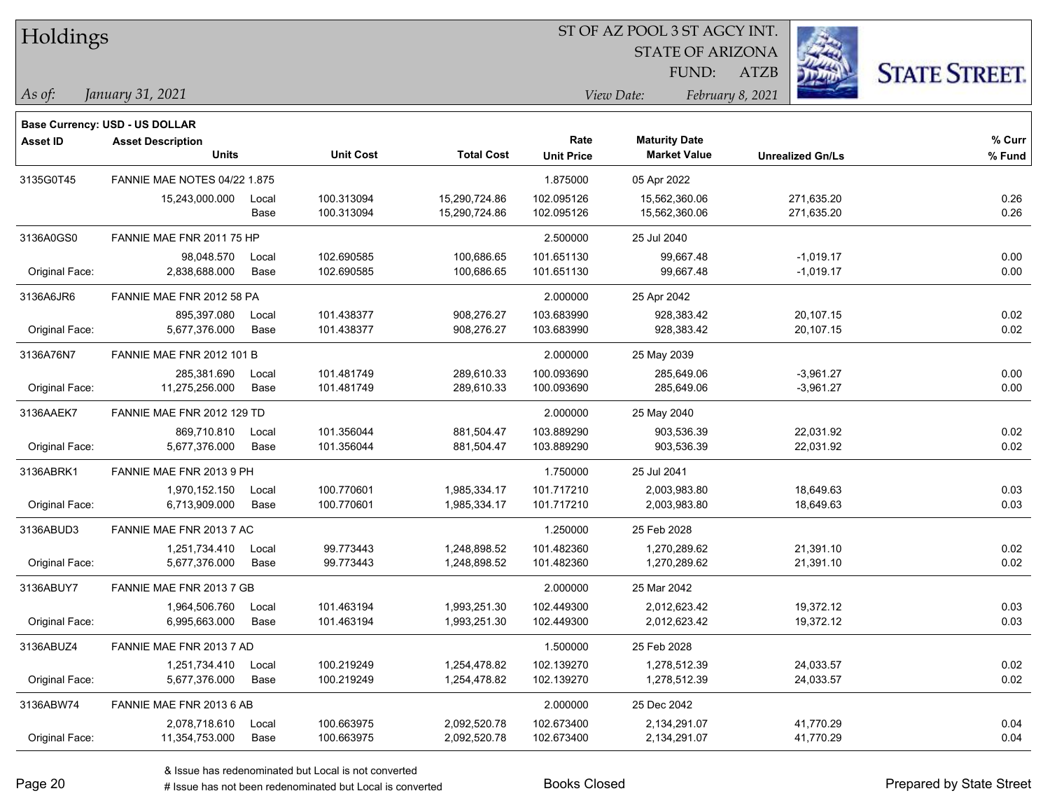| Holdings |
|----------|
|          |

STATE OF ARIZONA

ATZB



*January 31, 2021 As of: View Date: February 8, 2021*

**Base Currency: USD - US DOLLAR**

FUND:

| <b>Asset ID</b> | <b>Asset Description</b>            |       |                  |                   | Rate              | <b>Maturity Date</b> |                         | % Curr |
|-----------------|-------------------------------------|-------|------------------|-------------------|-------------------|----------------------|-------------------------|--------|
|                 | <b>Units</b>                        |       | <b>Unit Cost</b> | <b>Total Cost</b> | <b>Unit Price</b> | <b>Market Value</b>  | <b>Unrealized Gn/Ls</b> | % Fund |
| 3135G0T45       | <b>FANNIE MAE NOTES 04/22 1.875</b> |       |                  |                   | 1.875000          | 05 Apr 2022          |                         |        |
|                 | 15,243,000.000                      | Local | 100.313094       | 15,290,724.86     | 102.095126        | 15,562,360.06        | 271,635.20              | 0.26   |
|                 |                                     | Base  | 100.313094       | 15,290,724.86     | 102.095126        | 15,562,360.06        | 271,635.20              | 0.26   |
| 3136A0GS0       | FANNIE MAE FNR 2011 75 HP           |       |                  |                   | 2.500000          | 25 Jul 2040          |                         |        |
|                 | 98,048.570                          | Local | 102.690585       | 100,686.65        | 101.651130        | 99,667.48            | $-1,019.17$             | 0.00   |
| Original Face:  | 2,838,688.000                       | Base  | 102.690585       | 100,686.65        | 101.651130        | 99,667.48            | $-1,019.17$             | 0.00   |
| 3136A6JR6       | FANNIE MAE FNR 2012 58 PA           |       |                  |                   | 2.000000          | 25 Apr 2042          |                         |        |
|                 | 895.397.080                         | Local | 101.438377       | 908,276.27        | 103.683990        | 928,383.42           | 20,107.15               | 0.02   |
| Original Face:  | 5,677,376.000                       | Base  | 101.438377       | 908,276.27        | 103.683990        | 928,383.42           | 20,107.15               | 0.02   |
| 3136A76N7       | <b>FANNIE MAE FNR 2012 101 B</b>    |       |                  |                   | 2.000000          | 25 May 2039          |                         |        |
|                 | 285,381.690                         | Local | 101.481749       | 289,610.33        | 100.093690        | 285,649.06           | -3,961.27               | 0.00   |
| Original Face:  | 11,275,256.000                      | Base  | 101.481749       | 289,610.33        | 100.093690        | 285,649.06           | $-3,961.27$             | 0.00   |
| 3136AAEK7       | FANNIE MAE FNR 2012 129 TD          |       |                  |                   | 2.000000          | 25 May 2040          |                         |        |
|                 | 869,710.810                         | Local | 101.356044       | 881,504.47        | 103.889290        | 903,536.39           | 22,031.92               | 0.02   |
| Original Face:  | 5,677,376.000                       | Base  | 101.356044       | 881,504.47        | 103.889290        | 903,536.39           | 22,031.92               | 0.02   |
| 3136ABRK1       | FANNIE MAE FNR 2013 9 PH            |       |                  |                   | 1.750000          | 25 Jul 2041          |                         |        |
|                 | 1,970,152.150                       | Local | 100.770601       | 1,985,334.17      | 101.717210        | 2,003,983.80         | 18,649.63               | 0.03   |
| Original Face:  | 6,713,909.000                       | Base  | 100.770601       | 1,985,334.17      | 101.717210        | 2,003,983.80         | 18,649.63               | 0.03   |
| 3136ABUD3       | FANNIE MAE FNR 2013 7 AC            |       |                  |                   | 1.250000          | 25 Feb 2028          |                         |        |
|                 | 1,251,734.410                       | Local | 99.773443        | 1,248,898.52      | 101.482360        | 1,270,289.62         | 21,391.10               | 0.02   |
| Original Face:  | 5,677,376.000                       | Base  | 99.773443        | 1,248,898.52      | 101.482360        | 1,270,289.62         | 21,391.10               | 0.02   |
| 3136ABUY7       | FANNIE MAE FNR 2013 7 GB            |       |                  |                   | 2.000000          | 25 Mar 2042          |                         |        |
|                 | 1,964,506.760                       | Local | 101.463194       | 1,993,251.30      | 102.449300        | 2,012,623.42         | 19,372.12               | 0.03   |
| Original Face:  | 6,995,663.000                       | Base  | 101.463194       | 1,993,251.30      | 102.449300        | 2,012,623.42         | 19,372.12               | 0.03   |
| 3136ABUZ4       | FANNIE MAE FNR 2013 7 AD            |       |                  |                   | 1.500000          | 25 Feb 2028          |                         |        |
|                 | 1,251,734.410                       | Local | 100.219249       | 1,254,478.82      | 102.139270        | 1,278,512.39         | 24,033.57               | 0.02   |
| Original Face:  | 5,677,376.000                       | Base  | 100.219249       | 1,254,478.82      | 102.139270        | 1,278,512.39         | 24,033.57               | 0.02   |
| 3136ABW74       | FANNIE MAE FNR 2013 6 AB            |       |                  |                   | 2.000000          | 25 Dec 2042          |                         |        |
|                 | 2,078,718.610                       | Local | 100.663975       | 2,092,520.78      | 102.673400        | 2,134,291.07         | 41,770.29               | 0.04   |
| Original Face:  | 11,354,753.000                      | Base  | 100.663975       | 2,092,520.78      | 102.673400        | 2,134,291.07         | 41,770.29               | 0.04   |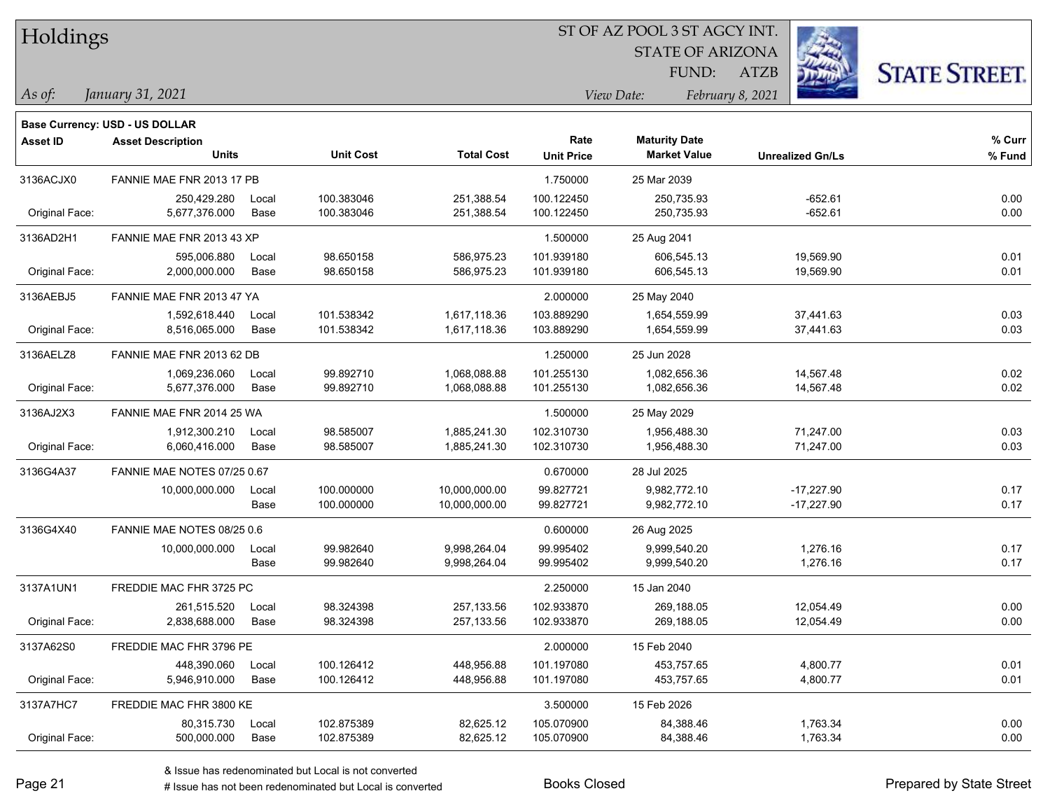| Holdings        |                                       |       |                  | ST OF AZ POOL 3 ST AGCY INT. |                   |                                |                         |                      |  |  |
|-----------------|---------------------------------------|-------|------------------|------------------------------|-------------------|--------------------------------|-------------------------|----------------------|--|--|
|                 |                                       |       |                  |                              |                   | <b>STATE OF ARIZONA</b>        |                         |                      |  |  |
|                 |                                       |       |                  |                              |                   | FUND:                          | <b>ATZB</b>             | <b>STATE STREET.</b> |  |  |
| $\vert$ As of:  | January 31, 2021                      |       |                  |                              |                   | View Date:<br>February 8, 2021 |                         |                      |  |  |
|                 | <b>Base Currency: USD - US DOLLAR</b> |       |                  |                              |                   |                                |                         |                      |  |  |
| <b>Asset ID</b> | <b>Asset Description</b>              |       |                  |                              | Rate              | <b>Maturity Date</b>           |                         | % Curr               |  |  |
|                 | <b>Units</b>                          |       | <b>Unit Cost</b> | <b>Total Cost</b>            | <b>Unit Price</b> | <b>Market Value</b>            | <b>Unrealized Gn/Ls</b> | % Fund               |  |  |
| 3136ACJX0       | FANNIE MAE FNR 2013 17 PB             |       |                  |                              | 1.750000          | 25 Mar 2039                    |                         |                      |  |  |
|                 | 250,429.280                           | Local | 100.383046       | 251,388.54                   | 100.122450        | 250,735.93                     | $-652.61$               | 0.00                 |  |  |
| Original Face:  | 5,677,376.000                         | Base  | 100.383046       | 251,388.54                   | 100.122450        | 250,735.93                     | $-652.61$               | 0.00                 |  |  |
| 3136AD2H1       | FANNIE MAE FNR 2013 43 XP             |       |                  |                              | 1.500000          | 25 Aug 2041                    |                         |                      |  |  |
|                 | 595,006.880                           | Local | 98.650158        | 586,975.23                   | 101.939180        | 606,545.13                     | 19,569.90               | 0.01                 |  |  |
| Original Face:  | 2,000,000.000                         | Base  | 98.650158        | 586,975.23                   | 101.939180        | 606,545.13                     | 19,569.90               | 0.01                 |  |  |
| 3136AEBJ5       | FANNIE MAE FNR 2013 47 YA             |       |                  |                              | 2.000000          | 25 May 2040                    |                         |                      |  |  |
|                 | 1,592,618.440                         | Local | 101.538342       | 1,617,118.36                 | 103.889290        | 1,654,559.99                   | 37,441.63               | 0.03                 |  |  |
| Original Face:  | 8,516,065.000                         | Base  | 101.538342       | 1,617,118.36                 | 103.889290        | 1,654,559.99                   | 37,441.63               | 0.03                 |  |  |
| 3136AELZ8       | FANNIE MAE FNR 2013 62 DB             |       |                  |                              | 1.250000          | 25 Jun 2028                    |                         |                      |  |  |
|                 | 1,069,236.060                         | Local | 99.892710        | 1,068,088.88                 | 101.255130        | 1,082,656.36                   | 14,567.48               | 0.02                 |  |  |
| Original Face:  | 5,677,376.000                         | Base  | 99.892710        | 1,068,088.88                 | 101.255130        | 1,082,656.36                   | 14,567.48               | 0.02                 |  |  |
| 3136AJ2X3       | FANNIE MAE FNR 2014 25 WA             |       |                  |                              | 1.500000          | 25 May 2029                    |                         |                      |  |  |
|                 | 1,912,300.210                         | Local | 98.585007        | 1,885,241.30                 | 102.310730        | 1,956,488.30                   | 71,247.00               | 0.03                 |  |  |
| Original Face:  | 6,060,416.000                         | Base  | 98.585007        | 1,885,241.30                 | 102.310730        | 1,956,488.30                   | 71,247.00               | 0.03                 |  |  |
| 3136G4A37       | FANNIE MAE NOTES 07/25 0.67           |       |                  |                              | 0.670000          | 28 Jul 2025                    |                         |                      |  |  |
|                 | 10,000,000.000                        | Local | 100.000000       | 10,000,000.00                | 99.827721         | 9,982,772.10                   | $-17,227.90$            | 0.17                 |  |  |
|                 |                                       | Base  | 100.000000       | 10,000,000.00                | 99.827721         | 9,982,772.10                   | $-17,227.90$            | 0.17                 |  |  |
| 3136G4X40       | FANNIE MAE NOTES 08/25 0.6            |       |                  |                              | 0.600000          | 26 Aug 2025                    |                         |                      |  |  |
|                 | 10,000,000.000                        | Local | 99.982640        | 9,998,264.04                 | 99.995402         | 9,999,540.20                   | 1,276.16                | 0.17                 |  |  |
|                 |                                       | Base  | 99.982640        | 9,998,264.04                 | 99.995402         | 9,999,540.20                   | 1,276.16                | 0.17                 |  |  |
| 3137A1UN1       | FREDDIE MAC FHR 3725 PC               |       |                  |                              | 2.250000          | 15 Jan 2040                    |                         |                      |  |  |
|                 | 261,515.520                           | Local | 98.324398        | 257,133.56                   | 102.933870        | 269,188.05                     | 12,054.49               | 0.00                 |  |  |
| Original Face:  | 2,838,688.000                         | Base  | 98.324398        | 257,133.56                   | 102.933870        | 269,188.05                     | 12,054.49               | 0.00                 |  |  |
| 3137A62S0       | FREDDIE MAC FHR 3796 PE               |       |                  |                              | 2.000000          | 15 Feb 2040                    |                         |                      |  |  |
|                 | 448,390.060                           | Local | 100.126412       | 448,956.88                   | 101.197080        | 453,757.65                     | 4,800.77                | 0.01                 |  |  |
| Original Face:  | 5,946,910.000                         | Base  | 100.126412       | 448,956.88                   | 101.197080        | 453,757.65                     | 4,800.77                | 0.01                 |  |  |
| 3137A7HC7       | FREDDIE MAC FHR 3800 KE               |       |                  |                              | 3.500000          | 15 Feb 2026                    |                         |                      |  |  |
|                 | 80,315.730                            | Local | 102.875389       | 82,625.12                    | 105.070900        | 84,388.46                      | 1,763.34                | 0.00                 |  |  |
| Original Face:  | 500,000.000                           | Base  | 102.875389       | 82,625.12                    | 105.070900        | 84,388.46                      | 1,763.34                | 0.00                 |  |  |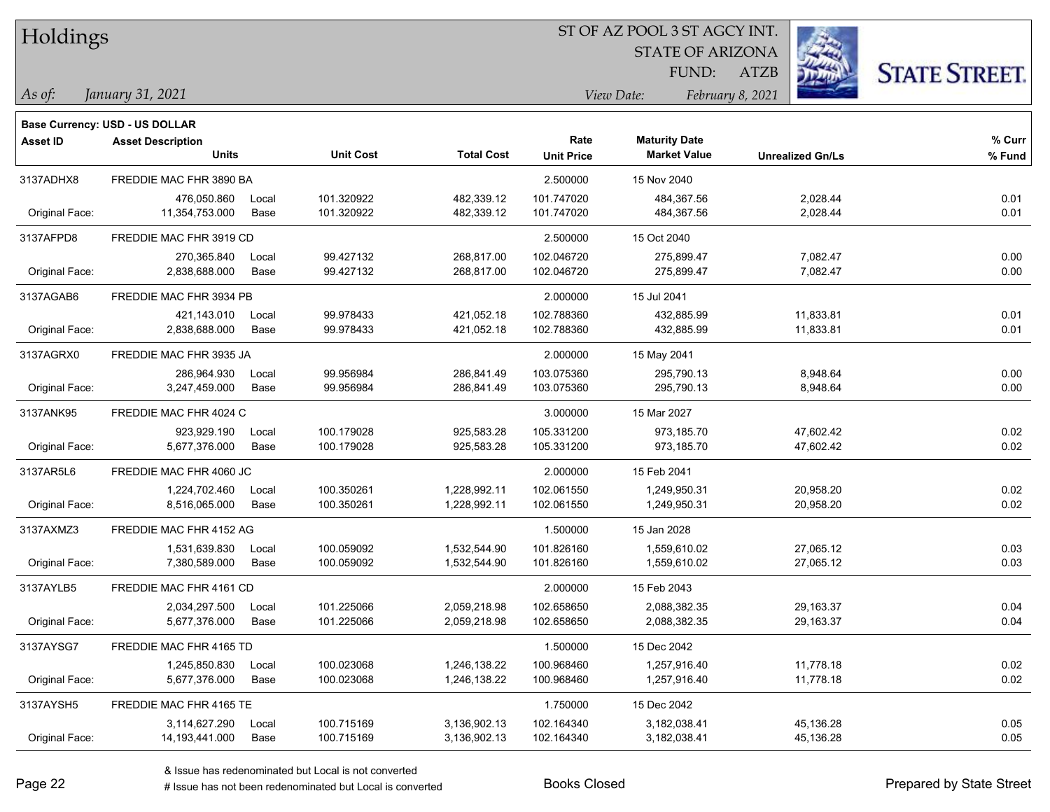| Holdings |
|----------|
|          |

STATE OF ARIZONA FUND:

ATZB



*January 31, 2021 As of: View Date: February 8, 2021*

| Base Currency: USD - US DOLLAR |                                |                                                                                                                                                                                                                                                                                   |                                |                                 |                                 |                                   |                                     |
|--------------------------------|--------------------------------|-----------------------------------------------------------------------------------------------------------------------------------------------------------------------------------------------------------------------------------------------------------------------------------|--------------------------------|---------------------------------|---------------------------------|-----------------------------------|-------------------------------------|
| <b>Asset Description</b>       |                                |                                                                                                                                                                                                                                                                                   |                                | Rate                            | <b>Maturity Date</b>            |                                   | % Curr<br>% Fund                    |
|                                |                                |                                                                                                                                                                                                                                                                                   |                                |                                 |                                 |                                   |                                     |
|                                |                                |                                                                                                                                                                                                                                                                                   |                                | 2.500000                        | 15 Nov 2040                     |                                   |                                     |
| 476,050.860                    | Local                          | 101.320922                                                                                                                                                                                                                                                                        | 482,339.12                     | 101.747020                      | 484,367.56                      | 2,028.44                          | 0.01                                |
|                                |                                |                                                                                                                                                                                                                                                                                   |                                |                                 |                                 |                                   | 0.01                                |
|                                |                                |                                                                                                                                                                                                                                                                                   |                                | 2.500000                        | 15 Oct 2040                     |                                   |                                     |
| 270,365.840                    | Local                          | 99.427132                                                                                                                                                                                                                                                                         | 268,817.00                     | 102.046720                      | 275,899.47                      | 7,082.47                          | 0.00                                |
| 2,838,688.000                  | Base                           | 99.427132                                                                                                                                                                                                                                                                         | 268,817.00                     | 102.046720                      | 275,899.47                      | 7,082.47                          | 0.00                                |
|                                |                                |                                                                                                                                                                                                                                                                                   |                                | 2.000000                        | 15 Jul 2041                     |                                   |                                     |
| 421,143.010                    | Local                          | 99.978433                                                                                                                                                                                                                                                                         | 421,052.18                     | 102.788360                      | 432,885.99                      | 11,833.81                         | 0.01                                |
| 2,838,688.000                  | Base                           | 99.978433                                                                                                                                                                                                                                                                         | 421,052.18                     | 102.788360                      | 432,885.99                      | 11,833.81                         | 0.01                                |
|                                |                                |                                                                                                                                                                                                                                                                                   |                                | 2.000000                        | 15 May 2041                     |                                   |                                     |
| 286,964.930                    | Local                          | 99.956984                                                                                                                                                                                                                                                                         | 286,841.49                     | 103.075360                      | 295,790.13                      | 8,948.64                          | 0.00                                |
| 3,247,459.000                  | Base                           | 99.956984                                                                                                                                                                                                                                                                         | 286,841.49                     | 103.075360                      | 295,790.13                      | 8,948.64                          | 0.00                                |
|                                |                                |                                                                                                                                                                                                                                                                                   |                                | 3.000000                        | 15 Mar 2027                     |                                   |                                     |
| 923,929.190                    | Local                          | 100.179028                                                                                                                                                                                                                                                                        | 925,583.28                     | 105.331200                      | 973,185.70                      | 47,602.42                         | 0.02                                |
| 5,677,376.000                  | Base                           | 100.179028                                                                                                                                                                                                                                                                        | 925,583.28                     | 105.331200                      | 973,185.70                      | 47,602.42                         | 0.02                                |
|                                |                                |                                                                                                                                                                                                                                                                                   |                                | 2.000000                        | 15 Feb 2041                     |                                   |                                     |
| 1,224,702.460                  | Local                          | 100.350261                                                                                                                                                                                                                                                                        | 1,228,992.11                   | 102.061550                      | 1,249,950.31                    | 20,958.20                         | 0.02                                |
| 8,516,065.000                  | Base                           | 100.350261                                                                                                                                                                                                                                                                        | 1,228,992.11                   | 102.061550                      | 1,249,950.31                    | 20,958.20                         | 0.02                                |
|                                |                                |                                                                                                                                                                                                                                                                                   |                                | 1.500000                        | 15 Jan 2028                     |                                   |                                     |
| 1,531,639.830                  | Local                          | 100.059092                                                                                                                                                                                                                                                                        | 1,532,544.90                   | 101.826160                      | 1,559,610.02                    | 27,065.12                         | 0.03                                |
| 7,380,589.000                  | Base                           | 100.059092                                                                                                                                                                                                                                                                        | 1,532,544.90                   | 101.826160                      | 1,559,610.02                    | 27,065.12                         | 0.03                                |
|                                |                                |                                                                                                                                                                                                                                                                                   |                                | 2.000000                        | 15 Feb 2043                     |                                   |                                     |
| 2,034,297.500                  | Local                          | 101.225066                                                                                                                                                                                                                                                                        | 2,059,218.98                   | 102.658650                      | 2,088,382.35                    | 29,163.37                         | 0.04                                |
| 5,677,376.000                  | Base                           | 101.225066                                                                                                                                                                                                                                                                        | 2,059,218.98                   | 102.658650                      | 2,088,382.35                    | 29,163.37                         | 0.04                                |
|                                |                                |                                                                                                                                                                                                                                                                                   |                                | 1.500000                        | 15 Dec 2042                     |                                   |                                     |
| 1,245,850.830                  | Local                          | 100.023068                                                                                                                                                                                                                                                                        | 1,246,138.22                   | 100.968460                      | 1,257,916.40                    | 11,778.18                         | 0.02                                |
| 5,677,376.000                  | Base                           | 100.023068                                                                                                                                                                                                                                                                        | 1,246,138.22                   | 100.968460                      | 1,257,916.40                    | 11,778.18                         | 0.02                                |
|                                |                                |                                                                                                                                                                                                                                                                                   |                                | 1.750000                        | 15 Dec 2042                     |                                   |                                     |
| 3,114,627.290                  | Local                          | 100.715169                                                                                                                                                                                                                                                                        | 3,136,902.13                   | 102.164340                      | 3,182,038.41                    | 45,136.28                         | 0.05                                |
| 14, 193, 441.000               | Base                           | 100.715169                                                                                                                                                                                                                                                                        | 3,136,902.13                   | 102.164340                      | 3,182,038.41                    | 45,136.28                         | 0.05                                |
|                                | <b>Units</b><br>11,354,753.000 | FREDDIE MAC FHR 3890 BA<br>Base<br>FREDDIE MAC FHR 3919 CD<br>FREDDIE MAC FHR 3934 PB<br>FREDDIE MAC FHR 3935 JA<br>FREDDIE MAC FHR 4024 C<br>FREDDIE MAC FHR 4060 JC<br>FREDDIE MAC FHR 4152 AG<br>FREDDIE MAC FHR 4161 CD<br>FREDDIE MAC FHR 4165 TD<br>FREDDIE MAC FHR 4165 TE | <b>Unit Cost</b><br>101.320922 | <b>Total Cost</b><br>482,339.12 | <b>Unit Price</b><br>101.747020 | <b>Market Value</b><br>484,367.56 | <b>Unrealized Gn/Ls</b><br>2,028.44 |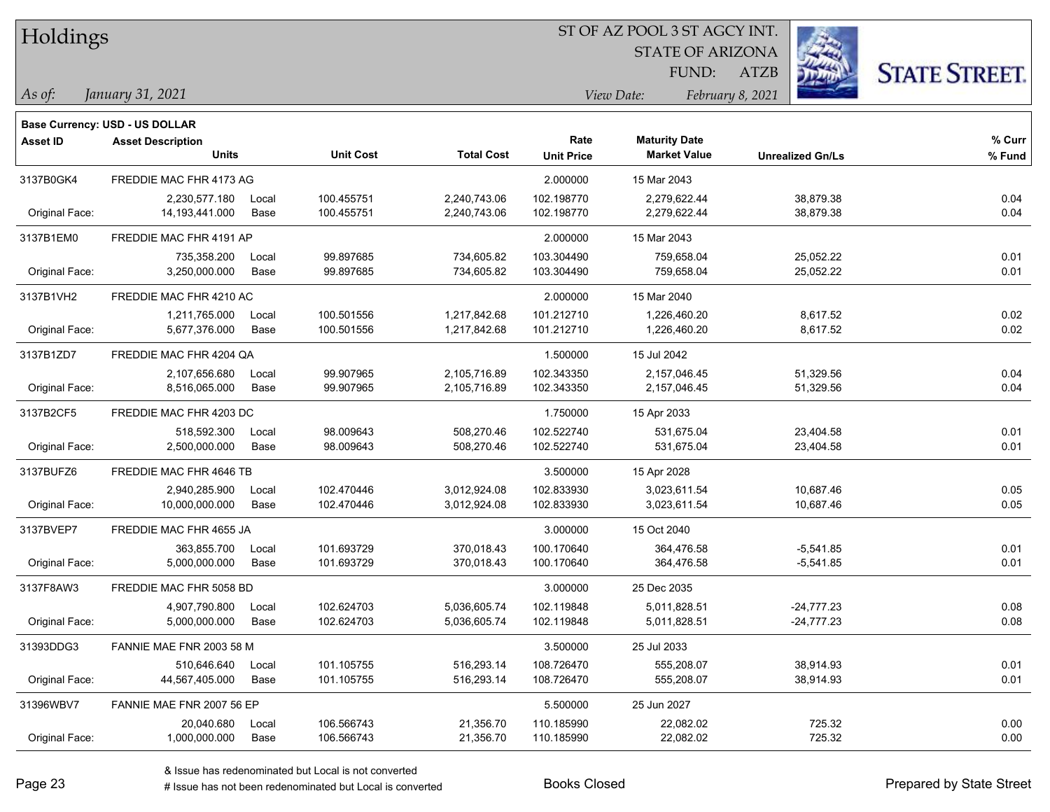|  | <b>Holdings</b> |
|--|-----------------|
|  |                 |

STATE OF ARIZONA

ATZB



*January 31, 2021 As of: View Date: February 8, 2021*

**Base Currency: USD - US DOLLAR**

FUND:

| Asset ID       | <b>Asset Description</b><br><b>Units</b> |       | <b>Unit Cost</b> | <b>Total Cost</b> | Rate<br><b>Unit Price</b> | <b>Maturity Date</b><br><b>Market Value</b> | <b>Unrealized Gn/Ls</b> | % Curr<br>% Fund |
|----------------|------------------------------------------|-------|------------------|-------------------|---------------------------|---------------------------------------------|-------------------------|------------------|
| 3137B0GK4      | FREDDIE MAC FHR 4173 AG                  |       |                  |                   | 2.000000                  | 15 Mar 2043                                 |                         |                  |
|                | 2,230,577.180                            | Local | 100.455751       | 2,240,743.06      | 102.198770                | 2,279,622.44                                | 38,879.38               | 0.04             |
| Original Face: | 14, 193, 441.000                         | Base  | 100.455751       | 2,240,743.06      | 102.198770                | 2,279,622.44                                | 38,879.38               | 0.04             |
| 3137B1EM0      | FREDDIE MAC FHR 4191 AP                  |       |                  |                   | 2.000000                  | 15 Mar 2043                                 |                         |                  |
|                | 735,358.200                              | Local | 99.897685        | 734,605.82        | 103.304490                | 759,658.04                                  | 25,052.22               | 0.01             |
| Original Face: | 3,250,000.000                            | Base  | 99.897685        | 734,605.82        | 103.304490                | 759,658.04                                  | 25,052.22               | 0.01             |
| 3137B1VH2      | FREDDIE MAC FHR 4210 AC                  |       |                  |                   | 2.000000                  | 15 Mar 2040                                 |                         |                  |
|                | 1,211,765.000                            | Local | 100.501556       | 1,217,842.68      | 101.212710                | 1,226,460.20                                | 8,617.52                | 0.02             |
| Original Face: | 5,677,376.000                            | Base  | 100.501556       | 1,217,842.68      | 101.212710                | 1,226,460.20                                | 8,617.52                | 0.02             |
| 3137B1ZD7      | FREDDIE MAC FHR 4204 QA                  |       |                  |                   | 1.500000                  | 15 Jul 2042                                 |                         |                  |
|                | 2,107,656.680                            | Local | 99.907965        | 2,105,716.89      | 102.343350                | 2,157,046.45                                | 51,329.56               | 0.04             |
| Original Face: | 8,516,065.000                            | Base  | 99.907965        | 2,105,716.89      | 102.343350                | 2,157,046.45                                | 51,329.56               | 0.04             |
| 3137B2CF5      | FREDDIE MAC FHR 4203 DC                  |       |                  |                   | 1.750000                  | 15 Apr 2033                                 |                         |                  |
|                | 518,592.300                              | Local | 98.009643        | 508,270.46        | 102.522740                | 531,675.04                                  | 23,404.58               | 0.01             |
| Original Face: | 2,500,000.000                            | Base  | 98.009643        | 508,270.46        | 102.522740                | 531,675.04                                  | 23,404.58               | 0.01             |
| 3137BUFZ6      | FREDDIE MAC FHR 4646 TB                  |       |                  |                   | 3.500000                  | 15 Apr 2028                                 |                         |                  |
|                | 2,940,285.900                            | Local | 102.470446       | 3,012,924.08      | 102.833930                | 3,023,611.54                                | 10,687.46               | 0.05             |
| Original Face: | 10,000,000.000                           | Base  | 102.470446       | 3,012,924.08      | 102.833930                | 3,023,611.54                                | 10,687.46               | 0.05             |
| 3137BVEP7      | FREDDIE MAC FHR 4655 JA                  |       |                  |                   | 3.000000                  | 15 Oct 2040                                 |                         |                  |
|                | 363,855.700                              | Local | 101.693729       | 370,018.43        | 100.170640                | 364,476.58                                  | $-5,541.85$             | 0.01             |
| Original Face: | 5,000,000.000                            | Base  | 101.693729       | 370,018.43        | 100.170640                | 364,476.58                                  | $-5,541.85$             | 0.01             |
| 3137F8AW3      | FREDDIE MAC FHR 5058 BD                  |       |                  |                   | 3.000000                  | 25 Dec 2035                                 |                         |                  |
|                | 4,907,790.800                            | Local | 102.624703       | 5,036,605.74      | 102.119848                | 5,011,828.51                                | -24,777.23              | 0.08             |
| Original Face: | 5,000,000.000                            | Base  | 102.624703       | 5,036,605.74      | 102.119848                | 5,011,828.51                                | $-24,777.23$            | 0.08             |
| 31393DDG3      | FANNIE MAE FNR 2003 58 M                 |       |                  |                   | 3.500000                  | 25 Jul 2033                                 |                         |                  |
|                | 510.646.640                              | Local | 101.105755       | 516,293.14        | 108.726470                | 555,208.07                                  | 38,914.93               | 0.01             |
| Original Face: | 44,567,405.000                           | Base  | 101.105755       | 516,293.14        | 108.726470                | 555,208.07                                  | 38,914.93               | 0.01             |
| 31396WBV7      | FANNIE MAE FNR 2007 56 EP                |       |                  |                   | 5.500000                  | 25 Jun 2027                                 |                         |                  |
|                | 20,040.680                               | Local | 106.566743       | 21,356.70         | 110.185990                | 22,082.02                                   | 725.32                  | 0.00             |
| Original Face: | 1,000,000.000                            | Base  | 106.566743       | 21,356.70         | 110.185990                | 22,082.02                                   | 725.32                  | 0.00             |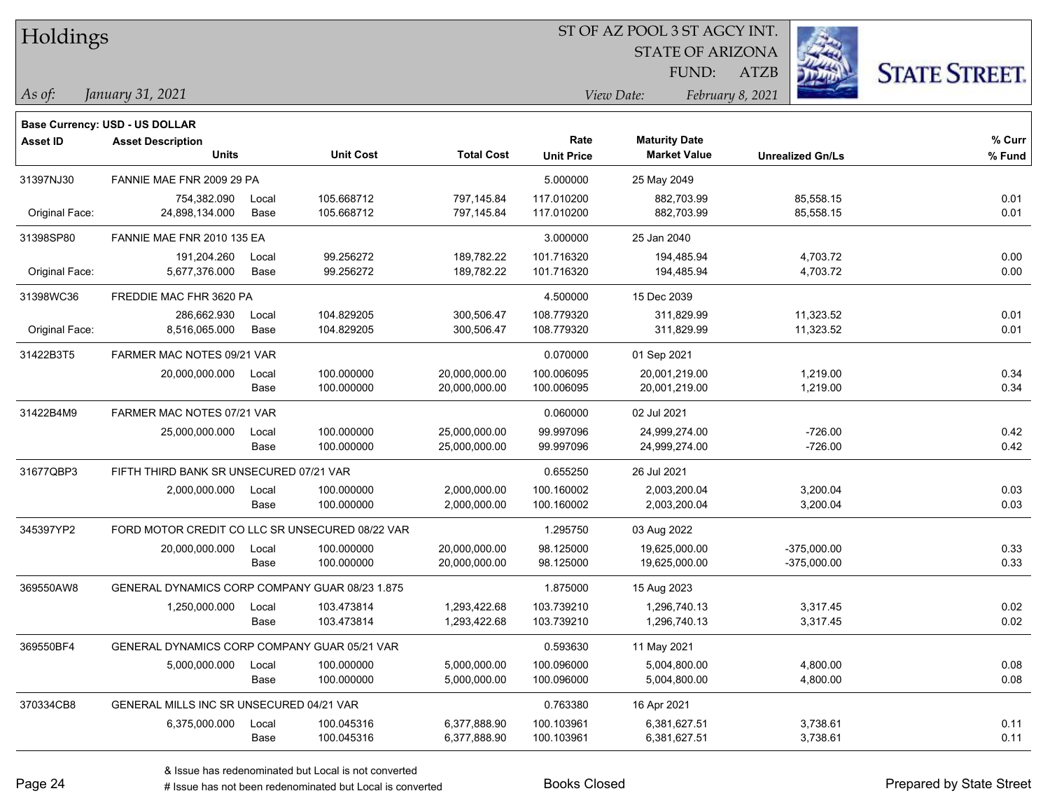|  |  | Holdings |
|--|--|----------|
|--|--|----------|

STATE OF ARIZONA

ATZB



FUND:

*January 31, 2021 As of: View Date: February 8, 2021*

|                 | <b>Base Currency: USD - US DOLLAR</b>           |       |                  |                   |                   |                      |                         |        |
|-----------------|-------------------------------------------------|-------|------------------|-------------------|-------------------|----------------------|-------------------------|--------|
| <b>Asset ID</b> | <b>Asset Description</b>                        |       |                  |                   | Rate              | <b>Maturity Date</b> |                         | % Curr |
|                 | <b>Units</b>                                    |       | <b>Unit Cost</b> | <b>Total Cost</b> | <b>Unit Price</b> | <b>Market Value</b>  | <b>Unrealized Gn/Ls</b> | % Fund |
| 31397NJ30       | FANNIE MAE FNR 2009 29 PA                       |       |                  |                   | 5.000000          | 25 May 2049          |                         |        |
|                 | 754,382.090                                     | Local | 105.668712       | 797,145.84        | 117.010200        | 882,703.99           | 85,558.15               | 0.01   |
| Original Face:  | 24,898,134.000                                  | Base  | 105.668712       | 797,145.84        | 117.010200        | 882,703.99           | 85,558.15               | 0.01   |
| 31398SP80       | FANNIE MAE FNR 2010 135 EA                      |       |                  |                   | 3.000000          | 25 Jan 2040          |                         |        |
|                 | 191,204.260                                     | Local | 99.256272        | 189,782.22        | 101.716320        | 194,485.94           | 4,703.72                | 0.00   |
| Original Face:  | 5,677,376.000                                   | Base  | 99.256272        | 189,782.22        | 101.716320        | 194,485.94           | 4,703.72                | 0.00   |
| 31398WC36       | FREDDIE MAC FHR 3620 PA                         |       |                  |                   | 4.500000          | 15 Dec 2039          |                         |        |
|                 | 286,662.930                                     | Local | 104.829205       | 300,506.47        | 108.779320        | 311.829.99           | 11,323.52               | 0.01   |
| Original Face:  | 8,516,065.000                                   | Base  | 104.829205       | 300,506.47        | 108.779320        | 311,829.99           | 11,323.52               | 0.01   |
| 31422B3T5       | FARMER MAC NOTES 09/21 VAR                      |       |                  |                   | 0.070000          | 01 Sep 2021          |                         |        |
|                 | 20,000,000.000                                  | Local | 100.000000       | 20,000,000.00     | 100.006095        | 20,001,219.00        | 1,219.00                | 0.34   |
|                 |                                                 | Base  | 100.000000       | 20,000,000.00     | 100.006095        | 20,001,219.00        | 1,219.00                | 0.34   |
| 31422B4M9       | FARMER MAC NOTES 07/21 VAR                      |       |                  |                   | 0.060000          | 02 Jul 2021          |                         |        |
|                 | 25,000,000.000                                  | Local | 100.000000       | 25,000,000.00     | 99.997096         | 24,999,274.00        | $-726.00$               | 0.42   |
|                 |                                                 | Base  | 100.000000       | 25,000,000.00     | 99.997096         | 24,999,274.00        | $-726.00$               | 0.42   |
| 31677QBP3       | FIFTH THIRD BANK SR UNSECURED 07/21 VAR         |       |                  |                   | 0.655250          | 26 Jul 2021          |                         |        |
|                 | 2,000,000.000                                   | Local | 100.000000       | 2,000,000.00      | 100.160002        | 2,003,200.04         | 3,200.04                | 0.03   |
|                 |                                                 | Base  | 100.000000       | 2,000,000.00      | 100.160002        | 2,003,200.04         | 3,200.04                | 0.03   |
| 345397YP2       | FORD MOTOR CREDIT CO LLC SR UNSECURED 08/22 VAR |       |                  |                   | 1.295750          | 03 Aug 2022          |                         |        |
|                 | 20,000,000.000                                  | Local | 100.000000       | 20,000,000.00     | 98.125000         | 19,625,000.00        | $-375,000.00$           | 0.33   |
|                 |                                                 | Base  | 100.000000       | 20,000,000.00     | 98.125000         | 19,625,000.00        | $-375,000.00$           | 0.33   |
| 369550AW8       | GENERAL DYNAMICS CORP COMPANY GUAR 08/23 1.875  |       |                  |                   | 1.875000          | 15 Aug 2023          |                         |        |
|                 | 1,250,000.000                                   | Local | 103.473814       | 1,293,422.68      | 103.739210        | 1,296,740.13         | 3,317.45                | 0.02   |
|                 |                                                 | Base  | 103.473814       | 1,293,422.68      | 103.739210        | 1,296,740.13         | 3,317.45                | 0.02   |
| 369550BF4       | GENERAL DYNAMICS CORP COMPANY GUAR 05/21 VAR    |       |                  |                   | 0.593630          | 11 May 2021          |                         |        |
|                 | 5,000,000.000                                   | Local | 100.000000       | 5,000,000.00      | 100.096000        | 5,004,800.00         | 4,800.00                | 0.08   |
|                 |                                                 | Base  | 100.000000       | 5,000,000.00      | 100.096000        | 5,004,800.00         | 4,800.00                | 0.08   |
| 370334CB8       | GENERAL MILLS INC SR UNSECURED 04/21 VAR        |       |                  |                   | 0.763380          | 16 Apr 2021          |                         |        |

# Issue has not been redenominated but Local is converted Books Closed Prepared by State Street

6,375,000.000 Local 100.045316 6,377,888.90 100.103961 6,381,627.51 3,738.61 0.11

Base 100.045316 6,377,888.90 100.103961 6,381,627.51 3,738.61 0.11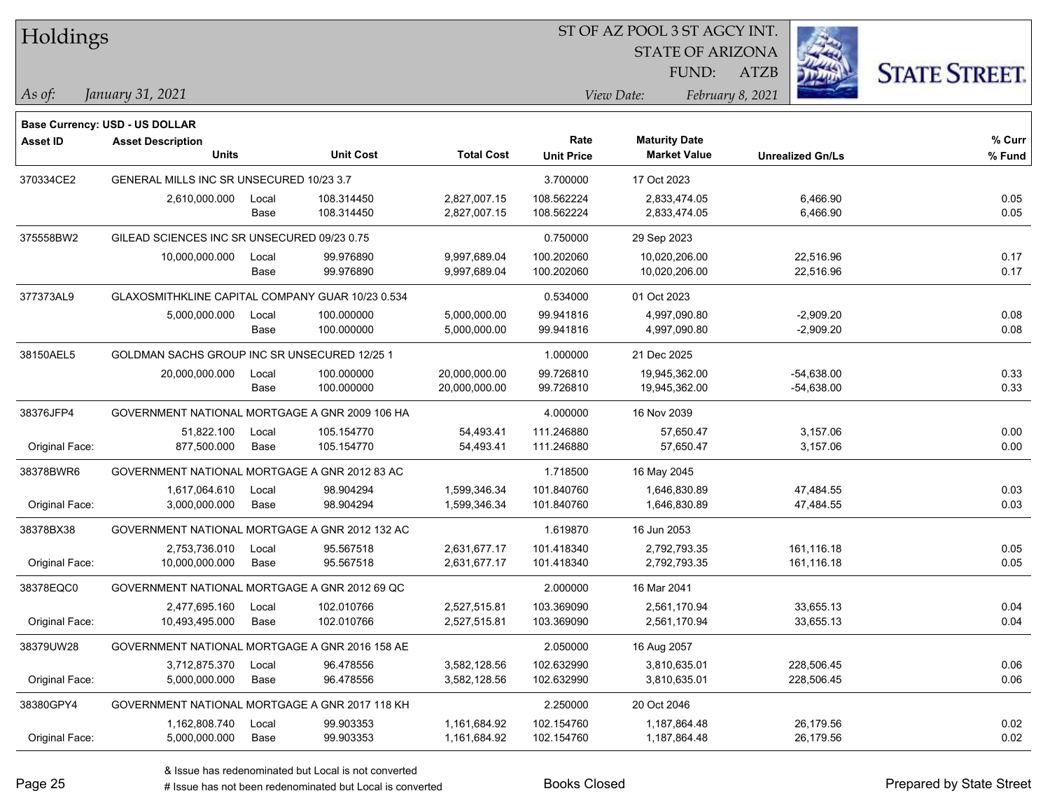| 51 OF AZ POOL 3 51 AGCY INT.<br>Holdings |                                                  |       |                  |                   |                   |                         |                         |                      |
|------------------------------------------|--------------------------------------------------|-------|------------------|-------------------|-------------------|-------------------------|-------------------------|----------------------|
|                                          |                                                  |       |                  |                   |                   | <b>STATE OF ARIZONA</b> |                         |                      |
|                                          |                                                  |       |                  |                   |                   | FUND:                   | <b>ATZB</b>             | <b>STATE STREET.</b> |
| As of:                                   | January 31, 2021                                 |       |                  |                   |                   | View Date:              | February 8, 2021        |                      |
|                                          | <b>Base Currency: USD - US DOLLAR</b>            |       |                  |                   |                   |                         |                         |                      |
| <b>Asset ID</b>                          | <b>Asset Description</b>                         |       |                  |                   | Rate              | <b>Maturity Date</b>    |                         | % Curr               |
|                                          | <b>Units</b>                                     |       | <b>Unit Cost</b> | <b>Total Cost</b> | <b>Unit Price</b> | <b>Market Value</b>     | <b>Unrealized Gn/Ls</b> | % Fund               |
| 370334CE2                                | GENERAL MILLS INC SR UNSECURED 10/23 3.7         |       |                  |                   | 3.700000          | 17 Oct 2023             |                         |                      |
|                                          | 2,610,000.000                                    | Local | 108.314450       | 2,827,007.15      | 108.562224        | 2,833,474.05            | 6,466.90                | 0.05                 |
|                                          |                                                  | Base  | 108.314450       | 2,827,007.15      | 108.562224        | 2,833,474.05            | 6,466.90                | 0.05                 |
| 375558BW2                                | GILEAD SCIENCES INC SR UNSECURED 09/23 0.75      |       |                  |                   | 0.750000          | 29 Sep 2023             |                         |                      |
|                                          | 10,000,000.000                                   | Local | 99.976890        | 9,997,689.04      | 100.202060        | 10,020,206.00           | 22,516.96               | 0.17                 |
|                                          |                                                  | Base  | 99.976890        | 9,997,689.04      | 100.202060        | 10,020,206.00           | 22,516.96               | 0.17                 |
| 377373AL9                                | GLAXOSMITHKLINE CAPITAL COMPANY GUAR 10/23 0.534 |       |                  |                   | 0.534000          | 01 Oct 2023             |                         |                      |
|                                          | 5,000,000.000                                    | Local | 100.000000       | 5,000,000.00      | 99.941816         | 4,997,090.80            | $-2,909.20$             | 0.08                 |
|                                          |                                                  | Base  | 100.000000       | 5,000,000.00      | 99.941816         | 4,997,090.80            | $-2,909.20$             | 0.08                 |
| 38150AEL5                                | GOLDMAN SACHS GROUP INC SR UNSECURED 12/25 1     |       |                  |                   | 1.000000          | 21 Dec 2025             |                         |                      |
|                                          | 20,000,000.000                                   | Local | 100.000000       | 20,000,000.00     | 99.726810         | 19,945,362.00           | $-54,638.00$            | 0.33                 |
|                                          |                                                  | Base  | 100.000000       | 20,000,000.00     | 99.726810         | 19,945,362.00           | $-54,638.00$            | 0.33                 |
| 38376JFP4                                | GOVERNMENT NATIONAL MORTGAGE A GNR 2009 106 HA   |       |                  |                   | 4.000000          | 16 Nov 2039             |                         |                      |
|                                          | 51,822.100                                       | Local | 105.154770       | 54,493.41         | 111.246880        | 57,650.47               | 3,157.06                | 0.00                 |
| Original Face:                           | 877,500.000                                      | Base  | 105.154770       | 54,493.41         | 111.246880        | 57,650.47               | 3,157.06                | 0.00                 |
| 38378BWR6                                | GOVERNMENT NATIONAL MORTGAGE A GNR 2012 83 AC    |       |                  |                   | 1.718500          | 16 May 2045             |                         |                      |
|                                          | 1,617,064.610                                    | Local | 98.904294        | 1,599,346.34      | 101.840760        | 1,646,830.89            | 47,484.55               | 0.03                 |
| Original Face:                           | 3,000,000.000                                    | Base  | 98.904294        | 1,599,346.34      | 101.840760        | 1,646,830.89            | 47,484.55               | 0.03                 |
| 38378BX38                                | GOVERNMENT NATIONAL MORTGAGE A GNR 2012 132 AC   |       |                  |                   | 1.619870          | 16 Jun 2053             |                         |                      |
|                                          | 2,753,736.010                                    | Local | 95.567518        | 2,631,677.17      | 101.418340        | 2,792,793.35            | 161,116.18              | 0.05                 |
| Original Face:                           | 10,000,000.000                                   | Base  | 95.567518        | 2,631,677.17      | 101.418340        | 2,792,793.35            | 161,116.18              | 0.05                 |
| 38378EQC0                                | GOVERNMENT NATIONAL MORTGAGE A GNR 2012 69 QC    |       |                  |                   | 2.000000          | 16 Mar 2041             |                         |                      |
|                                          | 2,477,695.160                                    | Local | 102.010766       | 2,527,515.81      | 103.369090        | 2,561,170.94            | 33,655.13               | 0.04                 |
| Original Face:                           | 10,493,495.000                                   | Base  | 102.010766       | 2,527,515.81      | 103.369090        | 2,561,170.94            | 33,655.13               | 0.04                 |
| 38379UW28                                | GOVERNMENT NATIONAL MORTGAGE A GNR 2016 158 AE   |       |                  |                   | 2.050000          | 16 Aug 2057             |                         |                      |
|                                          | 3,712,875.370                                    | Local | 96.478556        | 3,582,128.56      | 102.632990        | 3,810,635.01            | 228,506.45              | 0.06                 |
| Original Face:                           | 5,000,000.000                                    | Base  | 96.478556        | 3,582,128.56      | 102.632990        | 3,810,635.01            | 228,506.45              | 0.06                 |
| 38380GPY4                                | GOVERNMENT NATIONAL MORTGAGE A GNR 2017 118 KH   |       |                  |                   | 2.250000          | 20 Oct 2046             |                         |                      |
|                                          | 1,162,808.740                                    | Local | 99.903353        | 1,161,684.92      | 102.154760        | 1,187,864.48            | 26,179.56               | 0.02                 |
| Original Face:                           | 5,000,000.000                                    | Base  | 99.903353        | 1,161,684.92      | 102.154760        | 1,187,864.48            | 26,179.56               | 0.02                 |

ST OF A Z POOL 2 ST ACCV INT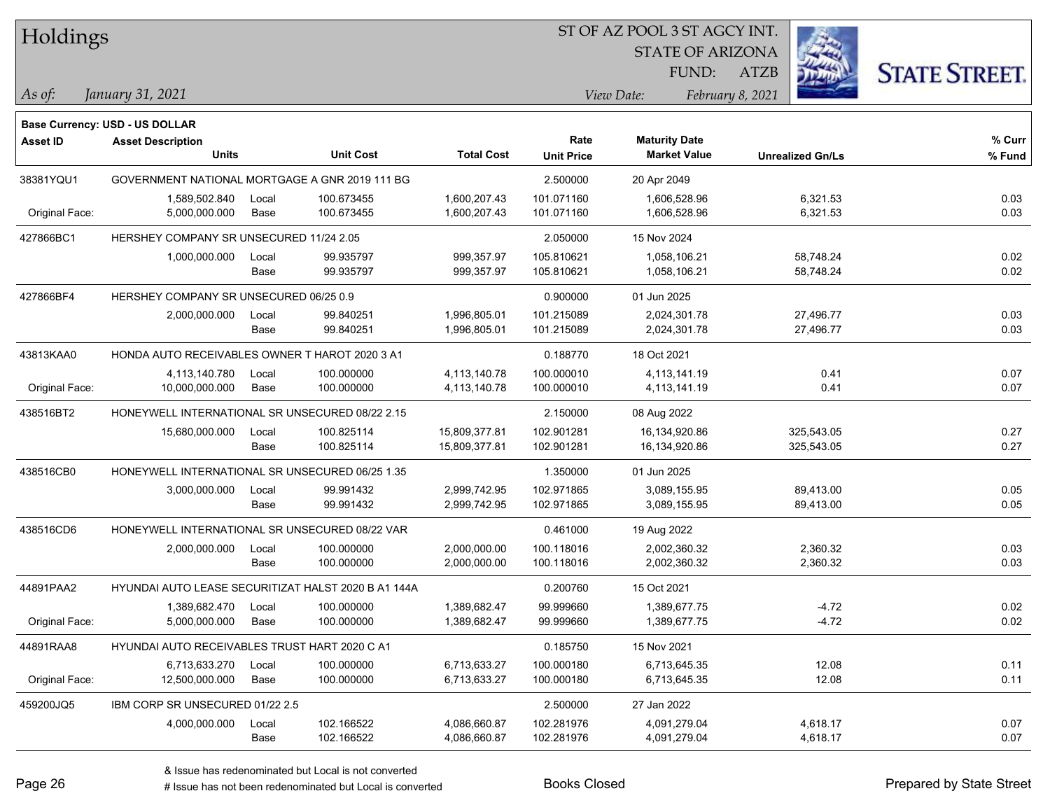| Holdings        |                                                 |               |                                                     | ST OF AZ POOL 3 ST AGCY INT.   |                          |                                |                         |                          |                      |  |
|-----------------|-------------------------------------------------|---------------|-----------------------------------------------------|--------------------------------|--------------------------|--------------------------------|-------------------------|--------------------------|----------------------|--|
|                 |                                                 |               |                                                     |                                |                          |                                | <b>STATE OF ARIZONA</b> |                          |                      |  |
|                 |                                                 |               |                                                     |                                |                          |                                | FUND:<br><b>ATZB</b>    |                          | <b>STATE STREET.</b> |  |
| $ $ As of:      | January 31, 2021                                |               |                                                     |                                |                          | View Date:                     | February 8, 2021        |                          |                      |  |
|                 | Base Currency: USD - US DOLLAR                  |               |                                                     |                                |                          |                                |                         |                          |                      |  |
| <b>Asset ID</b> | <b>Asset Description</b>                        |               |                                                     |                                | Rate                     | <b>Maturity Date</b>           |                         |                          | % Curr               |  |
|                 | <b>Units</b>                                    |               | <b>Unit Cost</b>                                    | <b>Total Cost</b>              | <b>Unit Price</b>        | <b>Market Value</b>            |                         | <b>Unrealized Gn/Ls</b>  | % Fund               |  |
| 38381YQU1       | GOVERNMENT NATIONAL MORTGAGE A GNR 2019 111 BG  |               |                                                     |                                | 2.500000                 | 20 Apr 2049                    |                         |                          |                      |  |
|                 | 1,589,502.840                                   | Local         | 100.673455                                          | 1,600,207.43                   | 101.071160               | 1,606,528.96                   |                         | 6,321.53                 | 0.03                 |  |
| Original Face:  | 5,000,000.000                                   | Base          | 100.673455                                          | 1,600,207.43                   | 101.071160               | 1,606,528.96                   |                         | 6,321.53                 | 0.03                 |  |
| 427866BC1       | HERSHEY COMPANY SR UNSECURED 11/24 2.05         |               |                                                     |                                | 2.050000                 | 15 Nov 2024                    |                         |                          |                      |  |
|                 | 1,000,000.000                                   | Local         | 99.935797                                           | 999,357.97                     | 105.810621               | 1,058,106.21                   |                         | 58,748.24                | 0.02<br>0.02         |  |
|                 |                                                 | Base          | 99.935797                                           | 999,357.97                     | 105.810621               | 1,058,106.21                   |                         | 58,748.24                |                      |  |
| 427866BF4       | HERSHEY COMPANY SR UNSECURED 06/25 0.9          |               |                                                     |                                | 0.900000                 | 01 Jun 2025                    |                         |                          |                      |  |
|                 | 2,000,000.000                                   | Local<br>Base | 99.840251<br>99.840251                              | 1,996,805.01<br>1,996,805.01   | 101.215089<br>101.215089 | 2,024,301.78<br>2,024,301.78   |                         | 27,496.77<br>27,496.77   | 0.03<br>0.03         |  |
|                 |                                                 |               |                                                     |                                |                          |                                |                         |                          |                      |  |
| 43813KAA0       | HONDA AUTO RECEIVABLES OWNER T HAROT 2020 3 A1  |               |                                                     |                                | 0.188770                 | 18 Oct 2021                    |                         |                          |                      |  |
| Original Face:  | 4,113,140.780<br>10,000,000.000                 | Local<br>Base | 100.000000<br>100.000000                            | 4,113,140.78<br>4,113,140.78   | 100.000010<br>100.000010 | 4,113,141.19<br>4,113,141.19   |                         | 0.41<br>0.41             | 0.07<br>0.07         |  |
|                 |                                                 |               |                                                     |                                |                          |                                |                         |                          |                      |  |
| 438516BT2       | HONEYWELL INTERNATIONAL SR UNSECURED 08/22 2.15 |               |                                                     |                                | 2.150000                 | 08 Aug 2022                    |                         |                          |                      |  |
|                 | 15,680,000.000                                  | Local<br>Base | 100.825114<br>100.825114                            | 15,809,377.81<br>15,809,377.81 | 102.901281<br>102.901281 | 16,134,920.86<br>16,134,920.86 |                         | 325,543.05<br>325,543.05 | 0.27<br>0.27         |  |
|                 |                                                 |               |                                                     |                                |                          |                                |                         |                          |                      |  |
| 438516CB0       | HONEYWELL INTERNATIONAL SR UNSECURED 06/25 1.35 |               |                                                     |                                | 1.350000                 | 01 Jun 2025                    |                         |                          |                      |  |
|                 | 3,000,000.000                                   | Local<br>Base | 99.991432<br>99.991432                              | 2,999,742.95<br>2,999,742.95   | 102.971865<br>102.971865 | 3,089,155.95<br>3,089,155.95   |                         | 89,413.00<br>89,413.00   | 0.05<br>0.05         |  |
| 438516CD6       | HONEYWELL INTERNATIONAL SR UNSECURED 08/22 VAR  |               |                                                     |                                | 0.461000                 |                                |                         |                          |                      |  |
|                 | 2,000,000.000                                   | Local         | 100.000000                                          | 2,000,000.00                   | 100.118016               | 19 Aug 2022<br>2,002,360.32    |                         | 2,360.32                 | 0.03                 |  |
|                 |                                                 | Base          | 100.000000                                          | 2,000,000.00                   | 100.118016               | 2,002,360.32                   |                         | 2,360.32                 | 0.03                 |  |
| 44891PAA2       |                                                 |               | HYUNDAI AUTO LEASE SECURITIZAT HALST 2020 B A1 144A |                                | 0.200760                 | 15 Oct 2021                    |                         |                          |                      |  |
|                 | 1,389,682.470                                   | Local         | 100.000000                                          | 1,389,682.47                   | 99.999660                | 1,389,677.75                   |                         | $-4.72$                  | 0.02                 |  |
| Original Face:  | 5,000,000.000                                   | Base          | 100.000000                                          | 1,389,682.47                   | 99.999660                | 1,389,677.75                   |                         | $-4.72$                  | 0.02                 |  |
| 44891RAA8       | HYUNDAI AUTO RECEIVABLES TRUST HART 2020 C A1   |               |                                                     |                                | 0.185750                 | 15 Nov 2021                    |                         |                          |                      |  |
|                 | 6,713,633.270                                   | Local         | 100.000000                                          | 6,713,633.27                   | 100.000180               | 6,713,645.35                   |                         | 12.08                    | 0.11                 |  |
| Original Face:  | 12,500,000.000                                  | Base          | 100.000000                                          | 6,713,633.27                   | 100.000180               | 6,713,645.35                   |                         | 12.08                    | 0.11                 |  |
| 459200JQ5       | IBM CORP SR UNSECURED 01/22 2.5                 |               |                                                     |                                | 2.500000                 | 27 Jan 2022                    |                         |                          |                      |  |
|                 | 4,000,000.000 Local                             |               | 102.166522                                          | 4,086,660.87                   | 102.281976               | 4,091,279.04                   |                         | 4,618.17                 | 0.07                 |  |

Base 102.166522 4,086,660.87 102.281976 4,091,279.04 4,618.17 0.07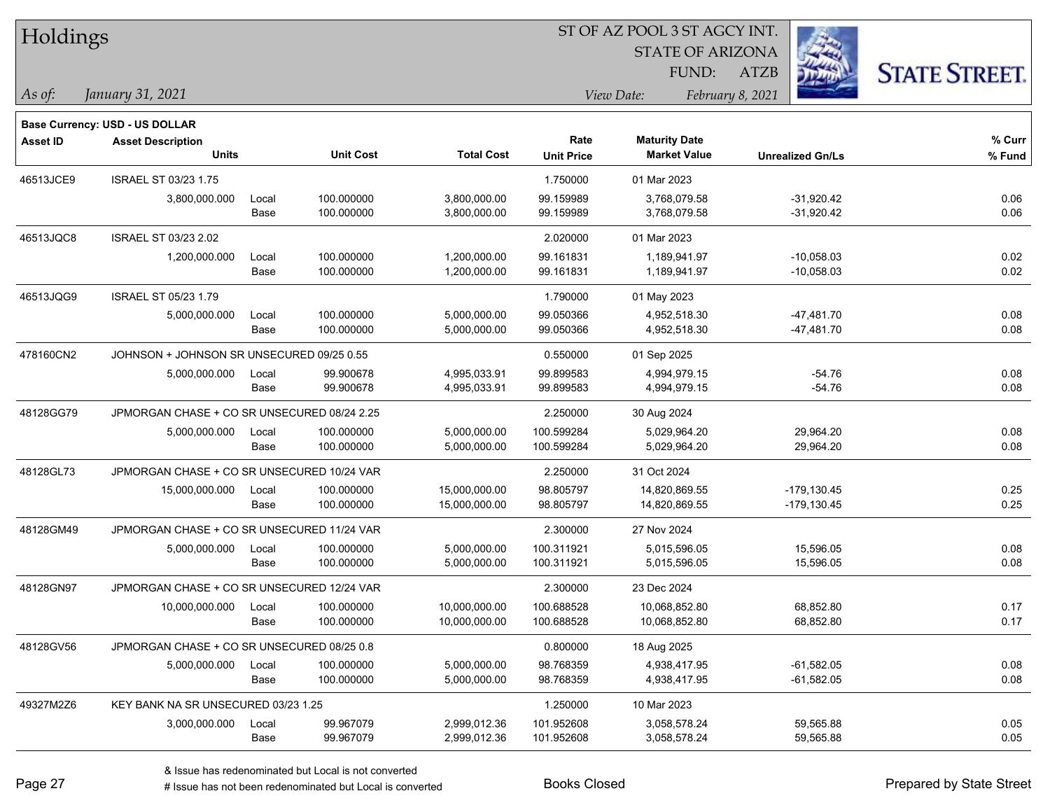| ST OF AZ POOL 3 ST AGCY INT.<br>Holdings |                                             |       |                  |                   |                                |                         |                         |                      |
|------------------------------------------|---------------------------------------------|-------|------------------|-------------------|--------------------------------|-------------------------|-------------------------|----------------------|
|                                          |                                             |       |                  |                   |                                | <b>STATE OF ARIZONA</b> |                         |                      |
|                                          |                                             |       |                  |                   |                                | FUND:                   | ATZB                    | <b>STATE STREET.</b> |
| As of:                                   | January 31, 2021                            |       |                  |                   | View Date:<br>February 8, 2021 |                         |                         |                      |
|                                          | <b>Base Currency: USD - US DOLLAR</b>       |       |                  |                   |                                |                         |                         |                      |
| <b>Asset ID</b>                          | <b>Asset Description</b>                    |       |                  |                   | Rate                           | <b>Maturity Date</b>    |                         | % Curr               |
|                                          | <b>Units</b>                                |       | <b>Unit Cost</b> | <b>Total Cost</b> | <b>Unit Price</b>              | <b>Market Value</b>     | <b>Unrealized Gn/Ls</b> | % Fund               |
| 46513JCE9                                | <b>ISRAEL ST 03/23 1.75</b>                 |       |                  |                   | 1.750000                       | 01 Mar 2023             |                         |                      |
|                                          | 3,800,000.000                               | Local | 100.000000       | 3,800,000.00      | 99.159989                      | 3,768,079.58            | $-31,920.42$            | 0.06                 |
|                                          |                                             | Base  | 100.000000       | 3,800,000.00      | 99.159989                      | 3,768,079.58            | $-31,920.42$            | 0.06                 |
| 46513JQC8                                | ISRAEL ST 03/23 2.02                        |       |                  |                   | 2.020000                       | 01 Mar 2023             |                         |                      |
|                                          | 1,200,000.000                               | Local | 100.000000       | 1,200,000.00      | 99.161831                      | 1,189,941.97            | $-10,058.03$            | 0.02                 |
|                                          |                                             | Base  | 100.000000       | 1,200,000.00      | 99.161831                      | 1,189,941.97            | $-10,058.03$            | 0.02                 |
| 46513JQG9                                | <b>ISRAEL ST 05/23 1.79</b>                 |       |                  |                   | 1.790000                       | 01 May 2023             |                         |                      |
|                                          | 5,000,000.000                               | Local | 100.000000       | 5,000,000.00      | 99.050366                      | 4,952,518.30            | $-47,481.70$            | 0.08                 |
|                                          |                                             | Base  | 100.000000       | 5,000,000.00      | 99.050366                      | 4,952,518.30            | $-47,481.70$            | 0.08                 |
| 478160CN2                                | JOHNSON + JOHNSON SR UNSECURED 09/25 0.55   |       |                  |                   | 0.550000                       | 01 Sep 2025             |                         |                      |
|                                          | 5,000,000.000                               | Local | 99.900678        | 4,995,033.91      | 99.899583                      | 4,994,979.15            | $-54.76$                | 0.08                 |
|                                          |                                             | Base  | 99.900678        | 4,995,033.91      | 99.899583                      | 4,994,979.15            | $-54.76$                | 0.08                 |
| 48128GG79                                | JPMORGAN CHASE + CO SR UNSECURED 08/24 2.25 |       |                  |                   | 2.250000                       | 30 Aug 2024             |                         |                      |
|                                          | 5,000,000.000                               | Local | 100.000000       | 5,000,000.00      | 100.599284                     | 5,029,964.20            | 29,964.20               | 0.08                 |
|                                          |                                             | Base  | 100.000000       | 5,000,000.00      | 100.599284                     | 5,029,964.20            | 29,964.20               | 0.08                 |
| 48128GL73                                | JPMORGAN CHASE + CO SR UNSECURED 10/24 VAR  |       |                  |                   | 2.250000                       | 31 Oct 2024             |                         |                      |
|                                          | 15,000,000.000                              | Local | 100.000000       | 15,000,000.00     | 98.805797                      | 14,820,869.55           | $-179, 130.45$          | 0.25                 |
|                                          |                                             | Base  | 100.000000       | 15,000,000.00     | 98.805797                      | 14,820,869.55           | $-179, 130.45$          | 0.25                 |
| 48128GM49                                | JPMORGAN CHASE + CO SR UNSECURED 11/24 VAR  |       |                  |                   | 2.300000                       | 27 Nov 2024             |                         |                      |
|                                          | 5,000,000.000                               | Local | 100.000000       | 5,000,000.00      | 100.311921                     | 5,015,596.05            | 15,596.05               | 0.08                 |
|                                          |                                             | Base  | 100.000000       | 5,000,000.00      | 100.311921                     | 5,015,596.05            | 15,596.05               | 0.08                 |
| 48128GN97                                | JPMORGAN CHASE + CO SR UNSECURED 12/24 VAR  |       |                  |                   | 2.300000                       | 23 Dec 2024             |                         |                      |
|                                          | 10,000,000.000                              | Local | 100.000000       | 10,000,000.00     | 100.688528                     | 10,068,852.80           | 68,852.80               | 0.17                 |
|                                          |                                             | Base  | 100.000000       | 10,000,000.00     | 100.688528                     | 10,068,852.80           | 68,852.80               | 0.17                 |
| 48128GV56                                | JPMORGAN CHASE + CO SR UNSECURED 08/25 0.8  |       |                  |                   | 0.800000                       | 18 Aug 2025             |                         |                      |
|                                          | 5,000,000.000                               | Local | 100.000000       | 5,000,000.00      | 98.768359                      | 4,938,417.95            | $-61,582.05$            | 0.08                 |
|                                          |                                             | Base  | 100.000000       | 5,000,000.00      | 98.768359                      | 4,938,417.95            | $-61,582.05$            | 0.08                 |
| 49327M2Z6                                | KEY BANK NA SR UNSECURED 03/23 1.25         |       |                  |                   | 1.250000                       | 10 Mar 2023             |                         |                      |
|                                          | 3,000,000.000                               | Local | 99.967079        | 2,999,012.36      | 101.952608                     | 3,058,578.24            | 59,565.88               | 0.05                 |
|                                          |                                             | Base  | 99.967079        | 2,999,012.36      | 101.952608                     | 3,058,578.24            | 59,565.88               | 0.05                 |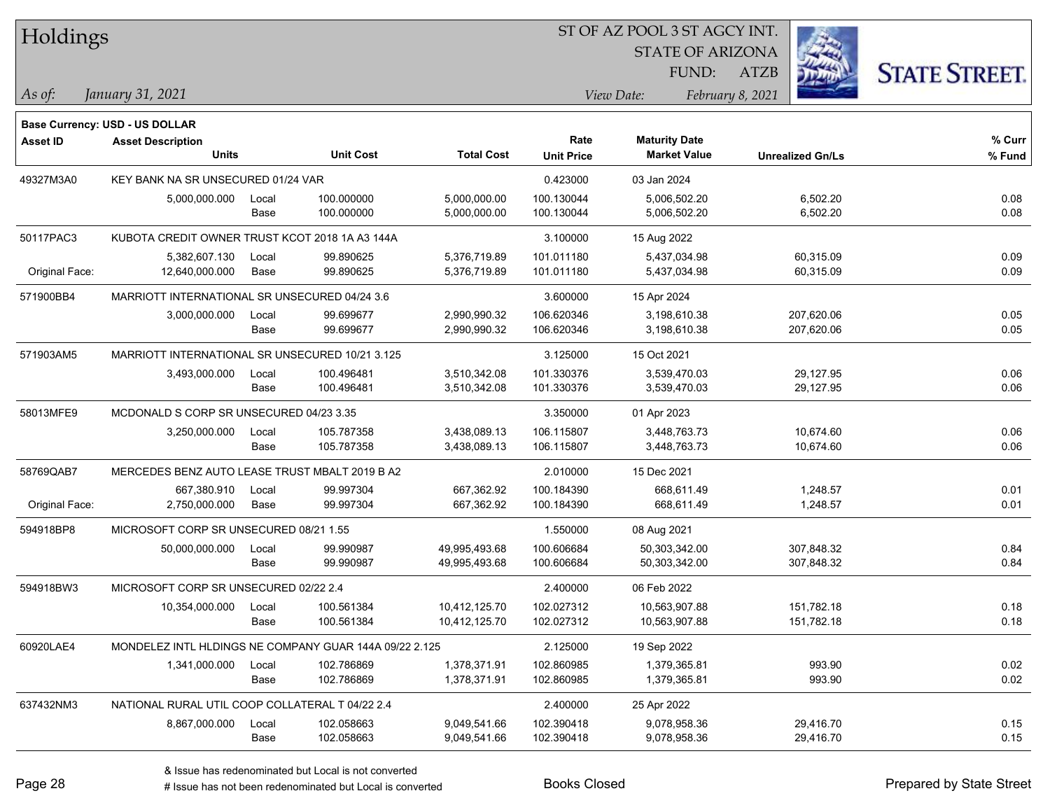| Holdings        |                                                        |       |                  |                   | ST OF AZ POOL 3 ST AGCY INT. |                                             |                         |                      |  |  |
|-----------------|--------------------------------------------------------|-------|------------------|-------------------|------------------------------|---------------------------------------------|-------------------------|----------------------|--|--|
|                 |                                                        |       |                  |                   |                              | <b>STATE OF ARIZONA</b>                     |                         |                      |  |  |
|                 |                                                        |       |                  |                   |                              | FUND:                                       | <b>ATZB</b>             | <b>STATE STREET.</b> |  |  |
| $\vert$ As of:  | January 31, 2021                                       |       |                  |                   |                              | View Date:                                  | February 8, 2021        |                      |  |  |
|                 |                                                        |       |                  |                   |                              |                                             |                         |                      |  |  |
|                 | <b>Base Currency: USD - US DOLLAR</b>                  |       |                  |                   |                              |                                             |                         |                      |  |  |
| <b>Asset ID</b> | <b>Asset Description</b><br><b>Units</b>               |       | <b>Unit Cost</b> | <b>Total Cost</b> | Rate<br><b>Unit Price</b>    | <b>Maturity Date</b><br><b>Market Value</b> | <b>Unrealized Gn/Ls</b> | $%$ Curr<br>% Fund   |  |  |
| 49327M3A0       | KEY BANK NA SR UNSECURED 01/24 VAR                     |       |                  |                   | 0.423000                     | 03 Jan 2024                                 |                         |                      |  |  |
|                 | 5,000,000.000                                          | Local | 100.000000       | 5,000,000.00      | 100.130044                   | 5,006,502.20                                | 6,502.20                | 0.08                 |  |  |
|                 |                                                        | Base  | 100.000000       | 5,000,000.00      | 100.130044                   | 5,006,502.20                                | 6,502.20                | 0.08                 |  |  |
| 50117PAC3       | KUBOTA CREDIT OWNER TRUST KCOT 2018 1A A3 144A         |       |                  |                   | 3.100000                     | 15 Aug 2022                                 |                         |                      |  |  |
|                 | 5,382,607.130                                          | Local | 99.890625        | 5,376,719.89      | 101.011180                   | 5,437,034.98                                | 60,315.09               | 0.09                 |  |  |
| Original Face:  | 12,640,000.000                                         | Base  | 99.890625        | 5,376,719.89      | 101.011180                   | 5,437,034.98                                | 60,315.09               | 0.09                 |  |  |
| 571900BB4       | MARRIOTT INTERNATIONAL SR UNSECURED 04/24 3.6          |       |                  |                   | 3.600000                     | 15 Apr 2024                                 |                         |                      |  |  |
|                 | 3,000,000.000                                          | Local | 99.699677        | 2,990,990.32      | 106.620346                   | 3,198,610.38                                | 207,620.06              | 0.05                 |  |  |
|                 |                                                        | Base  | 99.699677        | 2,990,990.32      | 106.620346                   | 3,198,610.38                                | 207,620.06              | 0.05                 |  |  |
| 571903AM5       | MARRIOTT INTERNATIONAL SR UNSECURED 10/21 3.125        |       |                  |                   | 3.125000                     | 15 Oct 2021                                 |                         |                      |  |  |
|                 | 3,493,000.000                                          | Local | 100.496481       | 3,510,342.08      | 101.330376                   | 3,539,470.03                                | 29,127.95               | 0.06                 |  |  |
|                 |                                                        | Base  | 100.496481       | 3,510,342.08      | 101.330376                   | 3,539,470.03                                | 29,127.95               | 0.06                 |  |  |
| 58013MFE9       | MCDONALD S CORP SR UNSECURED 04/23 3.35                |       |                  |                   | 3.350000                     | 01 Apr 2023                                 |                         |                      |  |  |
|                 | 3,250,000.000                                          | Local | 105.787358       | 3,438,089.13      | 106.115807                   | 3,448,763.73                                | 10,674.60               | 0.06                 |  |  |
|                 |                                                        | Base  | 105.787358       | 3,438,089.13      | 106.115807                   | 3,448,763.73                                | 10,674.60               | 0.06                 |  |  |
| 58769QAB7       | MERCEDES BENZ AUTO LEASE TRUST MBALT 2019 B A2         |       |                  |                   | 2.010000                     | 15 Dec 2021                                 |                         |                      |  |  |
|                 | 667,380.910                                            | Local | 99.997304        | 667,362.92        | 100.184390                   | 668,611.49                                  | 1,248.57                | 0.01                 |  |  |
| Original Face:  | 2,750,000.000                                          | Base  | 99.997304        | 667,362.92        | 100.184390                   | 668,611.49                                  | 1,248.57                | 0.01                 |  |  |
| 594918BP8       | MICROSOFT CORP SR UNSECURED 08/21 1.55                 |       |                  |                   | 1.550000                     | 08 Aug 2021                                 |                         |                      |  |  |
|                 | 50,000,000.000                                         | Local | 99.990987        | 49,995,493.68     | 100.606684                   | 50,303,342.00                               | 307,848.32              | 0.84                 |  |  |
|                 |                                                        | Base  | 99.990987        | 49,995,493.68     | 100.606684                   | 50,303,342.00                               | 307,848.32              | 0.84                 |  |  |
| 594918BW3       | MICROSOFT CORP SR UNSECURED 02/22 2.4                  |       |                  |                   | 2.400000                     | 06 Feb 2022                                 |                         |                      |  |  |
|                 | 10,354,000.000                                         | Local | 100.561384       | 10.412.125.70     | 102.027312                   | 10,563,907.88                               | 151,782.18              | 0.18                 |  |  |
|                 |                                                        | Base  | 100.561384       | 10,412,125.70     | 102.027312                   | 10,563,907.88                               | 151,782.18              | 0.18                 |  |  |
| 60920LAE4       | MONDELEZ INTL HLDINGS NE COMPANY GUAR 144A 09/22 2.125 |       |                  |                   | 2.125000                     | 19 Sep 2022                                 |                         |                      |  |  |
|                 | 1,341,000.000                                          | Local | 102.786869       | 1,378,371.91      | 102.860985                   | 1,379,365.81                                | 993.90                  | 0.02                 |  |  |
|                 |                                                        | Base  | 102.786869       | 1,378,371.91      | 102.860985                   | 1,379,365.81                                | 993.90                  | 0.02                 |  |  |
| 637432NM3       | NATIONAL RURAL UTIL COOP COLLATERAL T 04/22 2.4        |       |                  |                   | 2.400000                     | 25 Apr 2022                                 |                         |                      |  |  |
|                 | 8,867,000.000                                          | Local | 102.058663       | 9,049,541.66      | 102.390418                   | 9,078,958.36                                | 29,416.70               | 0.15                 |  |  |
|                 |                                                        | Base  | 102.058663       | 9,049,541.66      | 102.390418                   | 9,078,958.36                                | 29,416.70               | 0.15                 |  |  |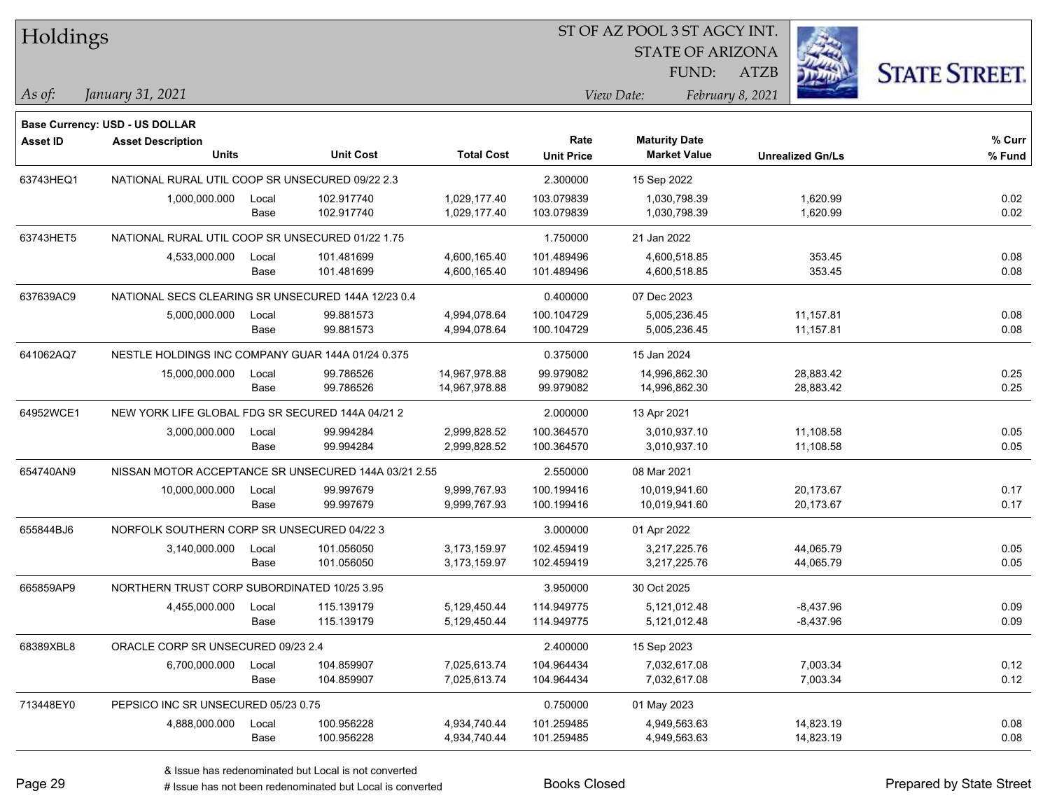| Holdings        |                                                      |       |                  |                   | ST OF AZ POOL 3 ST AGCY INT. |                         |                         |                      |
|-----------------|------------------------------------------------------|-------|------------------|-------------------|------------------------------|-------------------------|-------------------------|----------------------|
|                 |                                                      |       |                  |                   |                              | <b>STATE OF ARIZONA</b> |                         |                      |
|                 |                                                      |       |                  |                   |                              | FUND:                   | <b>ATZB</b>             | <b>STATE STREET.</b> |
| $\vert$ As of:  | January 31, 2021                                     |       |                  |                   |                              | View Date:              | February 8, 2021        |                      |
|                 |                                                      |       |                  |                   |                              |                         |                         |                      |
|                 | Base Currency: USD - US DOLLAR                       |       |                  |                   | Rate                         | <b>Maturity Date</b>    |                         |                      |
| <b>Asset ID</b> | <b>Asset Description</b><br><b>Units</b>             |       | <b>Unit Cost</b> | <b>Total Cost</b> | <b>Unit Price</b>            | <b>Market Value</b>     | <b>Unrealized Gn/Ls</b> | % Curr<br>% Fund     |
| 63743HEQ1       | NATIONAL RURAL UTIL COOP SR UNSECURED 09/22 2.3      |       |                  |                   | 2.300000                     | 15 Sep 2022             |                         |                      |
|                 | 1,000,000.000                                        | Local | 102.917740       | 1,029,177.40      | 103.079839                   | 1,030,798.39            | 1,620.99                | 0.02                 |
|                 |                                                      | Base  | 102.917740       | 1,029,177.40      | 103.079839                   | 1,030,798.39            | 1,620.99                | 0.02                 |
| 63743HET5       | NATIONAL RURAL UTIL COOP SR UNSECURED 01/22 1.75     |       |                  |                   | 1.750000                     | 21 Jan 2022             |                         |                      |
|                 | 4,533,000.000                                        | Local | 101.481699       | 4,600,165.40      | 101.489496                   | 4,600,518.85            | 353.45                  | 0.08                 |
|                 |                                                      | Base  | 101.481699       | 4,600,165.40      | 101.489496                   | 4,600,518.85            | 353.45                  | 0.08                 |
| 637639AC9       | NATIONAL SECS CLEARING SR UNSECURED 144A 12/23 0.4   |       |                  |                   | 0.400000                     | 07 Dec 2023             |                         |                      |
|                 | 5,000,000.000                                        | Local | 99.881573        | 4,994,078.64      | 100.104729                   | 5,005,236.45            | 11,157.81               | 0.08                 |
|                 |                                                      | Base  | 99.881573        | 4,994,078.64      | 100.104729                   | 5,005,236.45            | 11,157.81               | 0.08                 |
| 641062AQ7       | NESTLE HOLDINGS INC COMPANY GUAR 144A 01/24 0.375    |       |                  |                   | 0.375000                     | 15 Jan 2024             |                         |                      |
|                 | 15,000,000.000                                       | Local | 99.786526        | 14,967,978.88     | 99.979082                    | 14,996,862.30           | 28,883.42               | 0.25                 |
|                 |                                                      | Base  | 99.786526        | 14,967,978.88     | 99.979082                    | 14,996,862.30           | 28,883.42               | 0.25                 |
| 64952WCE1       | NEW YORK LIFE GLOBAL FDG SR SECURED 144A 04/21 2     |       |                  |                   | 2.000000                     | 13 Apr 2021             |                         |                      |
|                 | 3,000,000.000                                        | Local | 99.994284        | 2,999,828.52      | 100.364570                   | 3,010,937.10            | 11,108.58               | 0.05                 |
|                 |                                                      | Base  | 99.994284        | 2,999,828.52      | 100.364570                   | 3,010,937.10            | 11,108.58               | 0.05                 |
| 654740AN9       | NISSAN MOTOR ACCEPTANCE SR UNSECURED 144A 03/21 2.55 |       |                  |                   | 2.550000                     | 08 Mar 2021             |                         |                      |
|                 | 10,000,000.000                                       | Local | 99.997679        | 9,999,767.93      | 100.199416                   | 10,019,941.60           | 20,173.67               | 0.17                 |
|                 |                                                      | Base  | 99.997679        | 9,999,767.93      | 100.199416                   | 10,019,941.60           | 20,173.67               | 0.17                 |
| 655844BJ6       | NORFOLK SOUTHERN CORP SR UNSECURED 04/22 3           |       |                  |                   | 3.000000                     | 01 Apr 2022             |                         |                      |
|                 | 3,140,000.000                                        | Local | 101.056050       | 3,173,159.97      | 102.459419                   | 3,217,225.76            | 44,065.79               | 0.05                 |
|                 |                                                      | Base  | 101.056050       | 3,173,159.97      | 102.459419                   | 3,217,225.76            | 44,065.79               | 0.05                 |
| 665859AP9       | NORTHERN TRUST CORP SUBORDINATED 10/25 3.95          |       |                  |                   | 3.950000                     | 30 Oct 2025             |                         |                      |
|                 | 4,455,000.000                                        | Local | 115.139179       | 5,129,450.44      | 114.949775                   | 5,121,012.48            | $-8,437.96$             | 0.09                 |
|                 |                                                      | Base  | 115.139179       | 5,129,450.44      | 114.949775                   | 5,121,012.48            | $-8,437.96$             | 0.09                 |
| 68389XBL8       | ORACLE CORP SR UNSECURED 09/23 2.4                   |       |                  |                   | 2.400000                     | 15 Sep 2023             |                         |                      |
|                 | 6,700,000.000                                        | Local | 104.859907       | 7,025,613.74      | 104.964434                   | 7,032,617.08            | 7,003.34                | 0.12                 |
|                 |                                                      | Base  | 104.859907       | 7,025,613.74      | 104.964434                   | 7,032,617.08            | 7,003.34                | 0.12                 |
| 713448EY0       | PEPSICO INC SR UNSECURED 05/23 0.75                  |       |                  |                   | 0.750000                     | 01 May 2023             |                         |                      |
|                 | 4,888,000.000                                        | Local | 100.956228       | 4,934,740.44      | 101.259485                   | 4,949,563.63            | 14,823.19               | 0.08                 |
|                 |                                                      | Base  | 100.956228       | 4,934,740.44      | 101.259485                   | 4,949,563.63            | 14,823.19               | 0.08                 |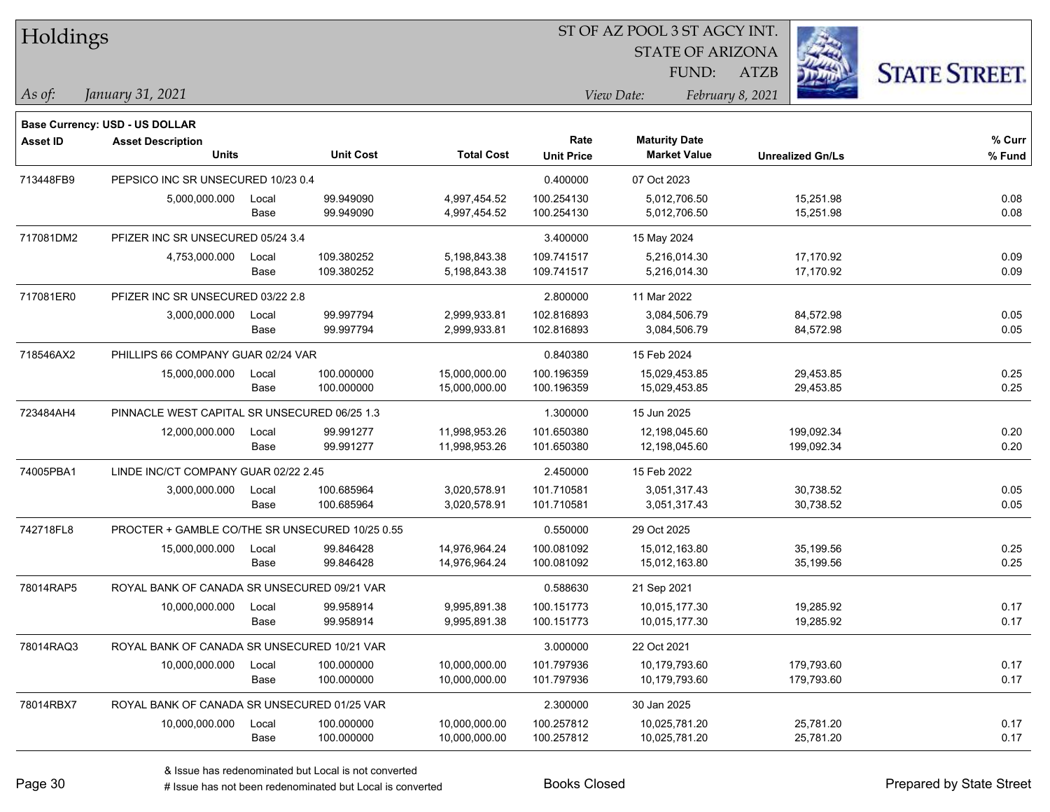| Holdings |
|----------|
|----------|

STATE OF ARIZONA

ATZB



*January 31, 2021 As of: View Date: February 8, 2021*

**Base Currency: USD - US DOLLAR**

FUND:

| <b>Asset ID</b> | <b>Asset Description</b>                        |       |                  |                   | Rate              | <b>Maturity Date</b> |                         | % Curr |
|-----------------|-------------------------------------------------|-------|------------------|-------------------|-------------------|----------------------|-------------------------|--------|
|                 | Units                                           |       | <b>Unit Cost</b> | <b>Total Cost</b> | <b>Unit Price</b> | <b>Market Value</b>  | <b>Unrealized Gn/Ls</b> | % Fund |
| 713448FB9       | PEPSICO INC SR UNSECURED 10/23 0.4              |       |                  |                   | 0.400000          | 07 Oct 2023          |                         |        |
|                 | 5,000,000.000                                   | Local | 99.949090        | 4,997,454.52      | 100.254130        | 5,012,706.50         | 15,251.98               | 0.08   |
|                 |                                                 | Base  | 99.949090        | 4,997,454.52      | 100.254130        | 5,012,706.50         | 15,251.98               | 0.08   |
| 717081DM2       | PFIZER INC SR UNSECURED 05/24 3.4               |       |                  |                   | 3.400000          | 15 May 2024          |                         |        |
|                 | 4,753,000.000                                   | Local | 109.380252       | 5,198,843.38      | 109.741517        | 5,216,014.30         | 17,170.92               | 0.09   |
|                 |                                                 | Base  | 109.380252       | 5,198,843.38      | 109.741517        | 5,216,014.30         | 17,170.92               | 0.09   |
| 717081ER0       | PFIZER INC SR UNSECURED 03/22 2.8               |       |                  |                   | 2.800000          | 11 Mar 2022          |                         |        |
|                 | 3,000,000.000                                   | Local | 99.997794        | 2,999,933.81      | 102.816893        | 3,084,506.79         | 84,572.98               | 0.05   |
|                 |                                                 | Base  | 99.997794        | 2,999,933.81      | 102.816893        | 3,084,506.79         | 84,572.98               | 0.05   |
| 718546AX2       | PHILLIPS 66 COMPANY GUAR 02/24 VAR              |       |                  |                   | 0.840380          | 15 Feb 2024          |                         |        |
|                 | 15,000,000.000                                  | Local | 100.000000       | 15,000,000.00     | 100.196359        | 15,029,453.85        | 29,453.85               | 0.25   |
|                 |                                                 | Base  | 100.000000       | 15,000,000.00     | 100.196359        | 15,029,453.85        | 29,453.85               | 0.25   |
| 723484AH4       | PINNACLE WEST CAPITAL SR UNSECURED 06/25 1.3    |       |                  |                   | 1.300000          | 15 Jun 2025          |                         |        |
|                 | 12,000,000.000                                  | Local | 99.991277        | 11,998,953.26     | 101.650380        | 12,198,045.60        | 199,092.34              | 0.20   |
|                 |                                                 | Base  | 99.991277        | 11,998,953.26     | 101.650380        | 12,198,045.60        | 199,092.34              | 0.20   |
| 74005PBA1       | LINDE INC/CT COMPANY GUAR 02/22 2.45            |       |                  |                   | 2.450000          | 15 Feb 2022          |                         |        |
|                 | 3,000,000.000                                   | Local | 100.685964       | 3,020,578.91      | 101.710581        | 3,051,317.43         | 30,738.52               | 0.05   |
|                 |                                                 | Base  | 100.685964       | 3,020,578.91      | 101.710581        | 3,051,317.43         | 30,738.52               | 0.05   |
| 742718FL8       | PROCTER + GAMBLE CO/THE SR UNSECURED 10/25 0.55 |       |                  |                   | 0.550000          | 29 Oct 2025          |                         |        |
|                 | 15,000,000.000                                  | Local | 99.846428        | 14,976,964.24     | 100.081092        | 15,012,163.80        | 35,199.56               | 0.25   |
|                 |                                                 | Base  | 99.846428        | 14,976,964.24     | 100.081092        | 15,012,163.80        | 35,199.56               | 0.25   |
| 78014RAP5       | ROYAL BANK OF CANADA SR UNSECURED 09/21 VAR     |       |                  |                   | 0.588630          | 21 Sep 2021          |                         |        |
|                 | 10,000,000.000                                  | Local | 99.958914        | 9,995,891.38      | 100.151773        | 10,015,177.30        | 19,285.92               | 0.17   |
|                 |                                                 | Base  | 99.958914        | 9,995,891.38      | 100.151773        | 10,015,177.30        | 19,285.92               | 0.17   |
| 78014RAQ3       | ROYAL BANK OF CANADA SR UNSECURED 10/21 VAR     |       |                  |                   | 3.000000          | 22 Oct 2021          |                         |        |
|                 | 10,000,000.000                                  | Local | 100.000000       | 10,000,000.00     | 101.797936        | 10,179,793.60        | 179,793.60              | 0.17   |
|                 |                                                 | Base  | 100.000000       | 10,000,000.00     | 101.797936        | 10,179,793.60        | 179,793.60              | 0.17   |
| 78014RBX7       | ROYAL BANK OF CANADA SR UNSECURED 01/25 VAR     |       |                  |                   | 2.300000          | 30 Jan 2025          |                         |        |
|                 | 10,000,000.000                                  | Local | 100.000000       | 10,000,000.00     | 100.257812        | 10,025,781.20        | 25,781.20               | 0.17   |
|                 |                                                 | Base  | 100.000000       | 10,000,000.00     | 100.257812        | 10,025,781.20        | 25,781.20               | 0.17   |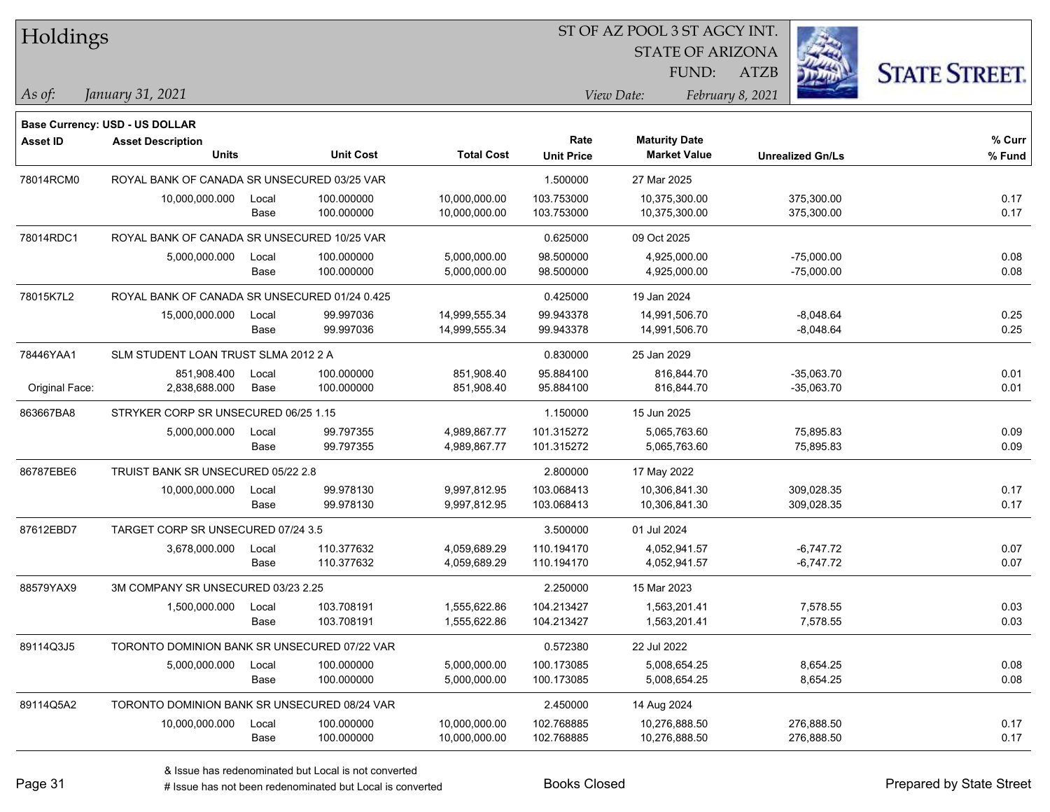| Holdings        |                                               |       |                  |                   |                   | 51 OF AZ POOL 3 51 AGCY INT. |                  |                         |                      |
|-----------------|-----------------------------------------------|-------|------------------|-------------------|-------------------|------------------------------|------------------|-------------------------|----------------------|
|                 |                                               |       |                  |                   |                   | <b>STATE OF ARIZONA</b>      |                  | i.                      |                      |
|                 |                                               |       |                  |                   |                   | FUND:                        | ATZB             |                         | <b>STATE STREET.</b> |
| As of:          | January 31, 2021                              |       |                  |                   |                   | View Date:                   | February 8, 2021 |                         |                      |
|                 | Base Currency: USD - US DOLLAR                |       |                  |                   |                   |                              |                  |                         |                      |
| <b>Asset ID</b> | <b>Asset Description</b>                      |       |                  |                   | Rate              | <b>Maturity Date</b>         |                  |                         | $%$ Curr             |
|                 | <b>Units</b>                                  |       | <b>Unit Cost</b> | <b>Total Cost</b> | <b>Unit Price</b> | <b>Market Value</b>          |                  | <b>Unrealized Gn/Ls</b> | % Fund               |
| 78014RCM0       | ROYAL BANK OF CANADA SR UNSECURED 03/25 VAR   |       |                  |                   | 1.500000          | 27 Mar 2025                  |                  |                         |                      |
|                 | 10,000,000.000                                | Local | 100.000000       | 10,000,000.00     | 103.753000        | 10,375,300.00                |                  | 375,300.00              | 0.17                 |
|                 |                                               | Base  | 100.000000       | 10,000,000.00     | 103.753000        | 10,375,300.00                |                  | 375,300.00              | 0.17                 |
| 78014RDC1       | ROYAL BANK OF CANADA SR UNSECURED 10/25 VAR   |       |                  |                   | 0.625000          | 09 Oct 2025                  |                  |                         |                      |
|                 | 5,000,000.000                                 | Local | 100.000000       | 5,000,000.00      | 98.500000         | 4,925,000.00                 |                  | $-75,000.00$            | 0.08                 |
|                 |                                               | Base  | 100.000000       | 5,000,000.00      | 98.500000         | 4,925,000.00                 |                  | $-75,000.00$            | 0.08                 |
| 78015K7L2       | ROYAL BANK OF CANADA SR UNSECURED 01/24 0.425 |       |                  |                   | 0.425000          | 19 Jan 2024                  |                  |                         |                      |
|                 | 15,000,000.000                                | Local | 99.997036        | 14,999,555.34     | 99.943378         | 14,991,506.70                |                  | $-8,048.64$             | 0.25                 |
|                 |                                               | Base  | 99.997036        | 14,999,555.34     | 99.943378         | 14,991,506.70                |                  | $-8,048.64$             | 0.25                 |
| 78446YAA1       | SLM STUDENT LOAN TRUST SLMA 2012 2 A          |       |                  |                   | 0.830000          | 25 Jan 2029                  |                  |                         |                      |
|                 | 851.908.400                                   | Local | 100.000000       | 851,908.40        | 95.884100         | 816,844.70                   |                  | $-35,063.70$            | 0.01                 |
| Original Face:  | 2,838,688.000                                 | Base  | 100.000000       | 851,908.40        | 95.884100         | 816,844.70                   |                  | $-35,063.70$            | 0.01                 |
| 863667BA8       | STRYKER CORP SR UNSECURED 06/25 1.15          |       |                  |                   | 1.150000          | 15 Jun 2025                  |                  |                         |                      |
|                 | 5,000,000.000                                 | Local | 99.797355        | 4,989,867.77      | 101.315272        | 5,065,763.60                 |                  | 75,895.83               | 0.09                 |
|                 |                                               | Base  | 99.797355        | 4,989,867.77      | 101.315272        | 5,065,763.60                 |                  | 75,895.83               | 0.09                 |
| 86787EBE6       | TRUIST BANK SR UNSECURED 05/22 2.8            |       |                  |                   | 2.800000          | 17 May 2022                  |                  |                         |                      |
|                 | 10,000,000.000                                | Local | 99.978130        | 9,997,812.95      | 103.068413        | 10,306,841.30                |                  | 309,028.35              | 0.17                 |
|                 |                                               | Base  | 99.978130        | 9,997,812.95      | 103.068413        | 10,306,841.30                |                  | 309,028.35              | 0.17                 |
| 87612EBD7       | TARGET CORP SR UNSECURED 07/24 3.5            |       |                  |                   | 3.500000          | 01 Jul 2024                  |                  |                         |                      |
|                 | 3,678,000.000                                 | Local | 110.377632       | 4,059,689.29      | 110.194170        | 4,052,941.57                 |                  | $-6,747.72$             | 0.07                 |
|                 |                                               | Base  | 110.377632       | 4,059,689.29      | 110.194170        | 4,052,941.57                 |                  | $-6,747.72$             | 0.07                 |
| 88579YAX9       | 3M COMPANY SR UNSECURED 03/23 2.25            |       |                  |                   | 2.250000          | 15 Mar 2023                  |                  |                         |                      |
|                 | 1,500,000.000                                 | Local | 103.708191       | 1,555,622.86      | 104.213427        | 1,563,201.41                 |                  | 7,578.55                | 0.03                 |
|                 |                                               | Base  | 103.708191       | 1,555,622.86      | 104.213427        | 1,563,201.41                 |                  | 7,578.55                | 0.03                 |
| 89114Q3J5       | TORONTO DOMINION BANK SR UNSECURED 07/22 VAR  |       |                  |                   | 0.572380          | 22 Jul 2022                  |                  |                         |                      |
|                 | 5,000,000.000                                 | Local | 100.000000       | 5,000,000.00      | 100.173085        | 5,008,654.25                 |                  | 8,654.25                | 0.08                 |
|                 |                                               | Base  | 100.000000       | 5,000,000.00      | 100.173085        | 5,008,654.25                 |                  | 8,654.25                | 0.08                 |
| 89114Q5A2       | TORONTO DOMINION BANK SR UNSECURED 08/24 VAR  |       |                  |                   | 2.450000          | 14 Aug 2024                  |                  |                         |                      |
|                 | 10,000,000.000                                | Local | 100.000000       | 10,000,000.00     | 102.768885        | 10,276,888.50                |                  | 276,888.50              | 0.17                 |
|                 |                                               | Base  | 100.000000       | 10,000,000.00     | 102.768885        | 10,276,888.50                |                  | 276,888.50              | 0.17                 |

 $\overline{\text{SUSP}}$ 

٦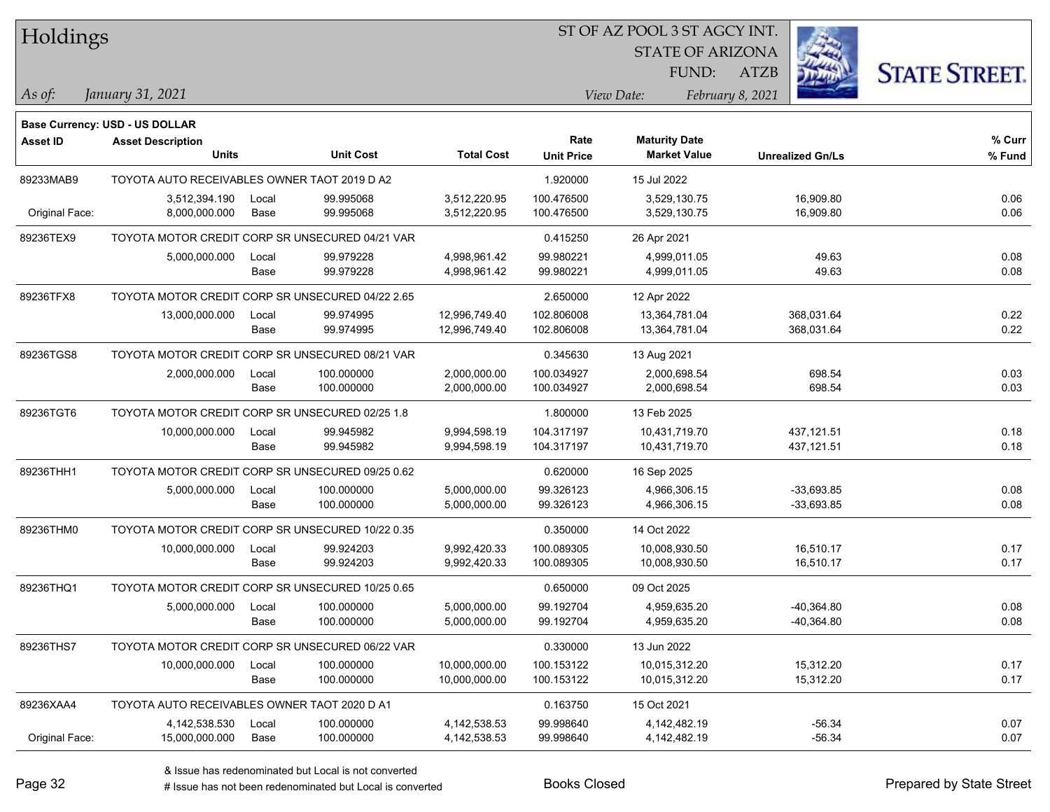| Holdings        |                                                  |       |                  |                   |                   | ST OF AZ POOL 3 ST AGCY INT. |                         |                         |                      |
|-----------------|--------------------------------------------------|-------|------------------|-------------------|-------------------|------------------------------|-------------------------|-------------------------|----------------------|
|                 |                                                  |       |                  |                   |                   |                              | <b>STATE OF ARIZONA</b> |                         |                      |
|                 |                                                  |       |                  |                   |                   | FUND:                        | <b>ATZB</b>             |                         | <b>STATE STREET.</b> |
| As of:          | January 31, 2021                                 |       |                  |                   |                   | View Date:                   | February 8, 2021        |                         |                      |
|                 | Base Currency: USD - US DOLLAR                   |       |                  |                   |                   |                              |                         |                         |                      |
| <b>Asset ID</b> | <b>Asset Description</b>                         |       |                  |                   | Rate              | <b>Maturity Date</b>         |                         |                         | % Curr               |
|                 | Units                                            |       | <b>Unit Cost</b> | <b>Total Cost</b> | <b>Unit Price</b> | <b>Market Value</b>          |                         | <b>Unrealized Gn/Ls</b> | % Fund               |
| 89233MAB9       | TOYOTA AUTO RECEIVABLES OWNER TAOT 2019 D A2     |       |                  |                   | 1.920000          | 15 Jul 2022                  |                         |                         |                      |
|                 | 3,512,394.190                                    | Local | 99.995068        | 3,512,220.95      | 100.476500        | 3,529,130.75                 |                         | 16,909.80               | 0.06                 |
| Original Face:  | 8,000,000.000                                    | Base  | 99.995068        | 3,512,220.95      | 100.476500        | 3,529,130.75                 |                         | 16,909.80               | 0.06                 |
| 89236TEX9       | TOYOTA MOTOR CREDIT CORP SR UNSECURED 04/21 VAR  |       |                  |                   | 0.415250          | 26 Apr 2021                  |                         |                         |                      |
|                 | 5,000,000.000                                    | Local | 99.979228        | 4,998,961.42      | 99.980221         | 4,999,011.05                 |                         | 49.63                   | 0.08                 |
|                 |                                                  | Base  | 99.979228        | 4,998,961.42      | 99.980221         | 4,999,011.05                 |                         | 49.63                   | 0.08                 |
| 89236TFX8       | TOYOTA MOTOR CREDIT CORP SR UNSECURED 04/22 2.65 |       |                  |                   | 2.650000          | 12 Apr 2022                  |                         |                         |                      |
|                 | 13,000,000.000                                   | Local | 99.974995        | 12,996,749.40     | 102.806008        | 13,364,781.04                |                         | 368,031.64              | 0.22                 |
|                 |                                                  | Base  | 99.974995        | 12,996,749.40     | 102.806008        | 13,364,781.04                |                         | 368,031.64              | 0.22                 |
| 89236TGS8       | TOYOTA MOTOR CREDIT CORP SR UNSECURED 08/21 VAR  |       |                  |                   | 0.345630          | 13 Aug 2021                  |                         |                         |                      |
|                 | 2,000,000.000                                    | Local | 100.000000       | 2,000,000.00      | 100.034927        | 2,000,698.54                 |                         | 698.54                  | 0.03                 |
|                 |                                                  | Base  | 100.000000       | 2,000,000.00      | 100.034927        | 2,000,698.54                 |                         | 698.54                  | 0.03                 |
| 89236TGT6       | TOYOTA MOTOR CREDIT CORP SR UNSECURED 02/25 1.8  |       |                  |                   | 1.800000          | 13 Feb 2025                  |                         |                         |                      |
|                 | 10,000,000.000                                   | Local | 99.945982        | 9,994,598.19      | 104.317197        | 10,431,719.70                |                         | 437, 121.51             | 0.18                 |
|                 |                                                  | Base  | 99.945982        | 9,994,598.19      | 104.317197        | 10,431,719.70                |                         | 437, 121.51             | 0.18                 |
| 89236THH1       | TOYOTA MOTOR CREDIT CORP SR UNSECURED 09/25 0.62 |       |                  |                   | 0.620000          | 16 Sep 2025                  |                         |                         |                      |
|                 | 5,000,000.000                                    | Local | 100.000000       | 5,000,000.00      | 99.326123         | 4,966,306.15                 |                         | $-33,693.85$            | 0.08                 |
|                 |                                                  | Base  | 100.000000       | 5,000,000.00      | 99.326123         | 4,966,306.15                 |                         | $-33,693.85$            | 0.08                 |
| 89236THM0       | TOYOTA MOTOR CREDIT CORP SR UNSECURED 10/22 0.35 |       |                  |                   | 0.350000          | 14 Oct 2022                  |                         |                         |                      |
|                 | 10,000,000.000                                   | Local | 99.924203        | 9,992,420.33      | 100.089305        | 10,008,930.50                |                         | 16,510.17               | 0.17                 |
|                 |                                                  | Base  | 99.924203        | 9,992,420.33      | 100.089305        | 10,008,930.50                |                         | 16,510.17               | 0.17                 |
| 89236THQ1       | TOYOTA MOTOR CREDIT CORP SR UNSECURED 10/25 0.65 |       |                  |                   | 0.650000          | 09 Oct 2025                  |                         |                         |                      |
|                 | 5,000,000.000                                    | Local | 100.000000       | 5,000,000.00      | 99.192704         | 4,959,635.20                 |                         | $-40,364.80$            | 0.08                 |
|                 |                                                  | Base  | 100.000000       | 5,000,000.00      | 99.192704         | 4,959,635.20                 |                         | $-40,364.80$            | 0.08                 |
| 89236THS7       | TOYOTA MOTOR CREDIT CORP SR UNSECURED 06/22 VAR  |       |                  |                   | 0.330000          | 13 Jun 2022                  |                         |                         |                      |
|                 | 10,000,000.000                                   | Local | 100.000000       | 10,000,000.00     | 100.153122        | 10,015,312.20                |                         | 15,312.20               | 0.17                 |
|                 |                                                  | Base  | 100.000000       | 10,000,000.00     | 100.153122        | 10,015,312.20                |                         | 15,312.20               | 0.17                 |
| 89236XAA4       | TOYOTA AUTO RECEIVABLES OWNER TAOT 2020 D A1     |       |                  |                   | 0.163750          | 15 Oct 2021                  |                         |                         |                      |
|                 | 4,142,538.530                                    | Local | 100.000000       | 4, 142, 538.53    | 99.998640         | 4,142,482.19                 |                         | $-56.34$                | 0.07                 |
| Original Face:  | 15,000,000.000                                   | Base  | 100.000000       | 4, 142, 538.53    | 99.998640         | 4,142,482.19                 |                         | $-56.34$                | 0.07                 |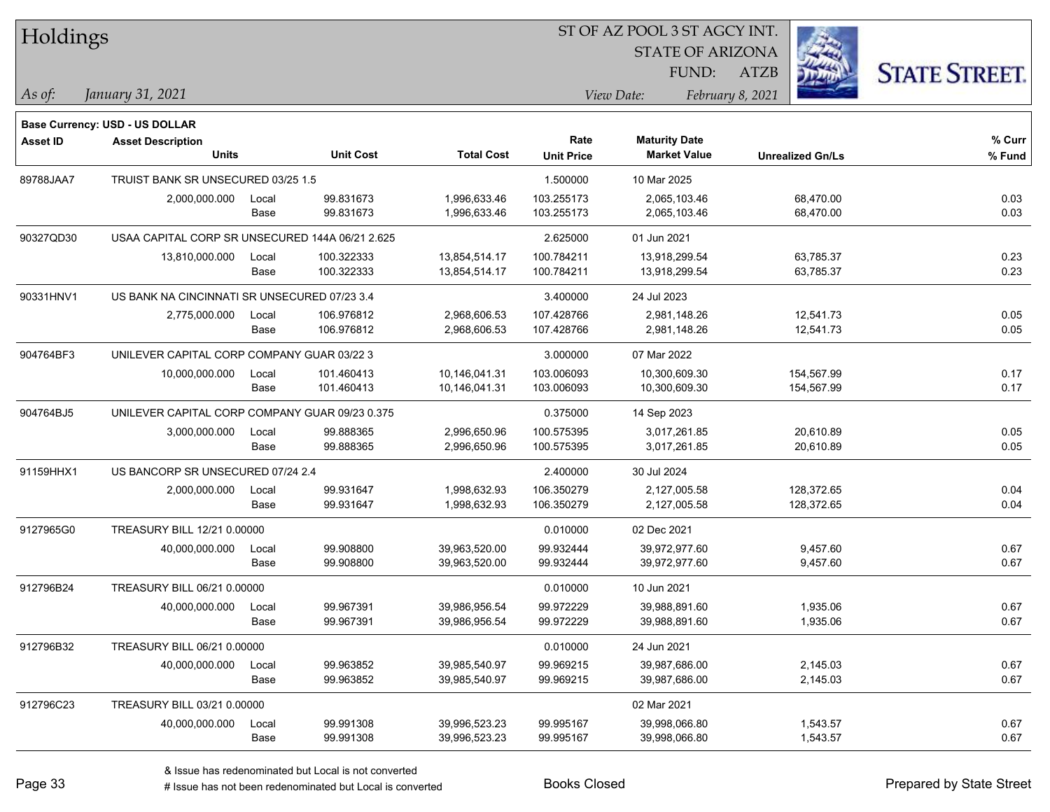| Holdings        |                                                 |       |                  |                   |                   | 51 OF AZ POOL 3 51 AGCY INT. |                  |                         |                      |
|-----------------|-------------------------------------------------|-------|------------------|-------------------|-------------------|------------------------------|------------------|-------------------------|----------------------|
|                 |                                                 |       |                  |                   |                   | <b>STATE OF ARIZONA</b>      |                  | i.                      |                      |
|                 |                                                 |       |                  |                   |                   | FUND:                        | ATZB             |                         | <b>STATE STREET.</b> |
| As of:          | January 31, 2021                                |       |                  |                   |                   | View Date:                   | February 8, 2021 |                         |                      |
|                 | Base Currency: USD - US DOLLAR                  |       |                  |                   |                   |                              |                  |                         |                      |
| <b>Asset ID</b> | <b>Asset Description</b>                        |       |                  |                   | Rate              | <b>Maturity Date</b>         |                  |                         | $%$ Curr             |
|                 | <b>Units</b>                                    |       | <b>Unit Cost</b> | <b>Total Cost</b> | <b>Unit Price</b> | <b>Market Value</b>          |                  | <b>Unrealized Gn/Ls</b> | % Fund               |
| 89788JAA7       | TRUIST BANK SR UNSECURED 03/25 1.5              |       |                  |                   | 1.500000          | 10 Mar 2025                  |                  |                         |                      |
|                 | 2,000,000.000                                   | Local | 99.831673        | 1,996,633.46      | 103.255173        | 2,065,103.46                 |                  | 68,470.00               | 0.03                 |
|                 |                                                 | Base  | 99.831673        | 1,996,633.46      | 103.255173        | 2,065,103.46                 |                  | 68,470.00               | 0.03                 |
| 90327QD30       | USAA CAPITAL CORP SR UNSECURED 144A 06/21 2.625 |       |                  |                   | 2.625000          | 01 Jun 2021                  |                  |                         |                      |
|                 | 13,810,000.000                                  | Local | 100.322333       | 13,854,514.17     | 100.784211        | 13,918,299.54                |                  | 63,785.37               | 0.23                 |
|                 |                                                 | Base  | 100.322333       | 13,854,514.17     | 100.784211        | 13,918,299.54                |                  | 63,785.37               | 0.23                 |
| 90331HNV1       | US BANK NA CINCINNATI SR UNSECURED 07/23 3.4    |       |                  |                   | 3.400000          | 24 Jul 2023                  |                  |                         |                      |
|                 | 2,775,000.000                                   | Local | 106.976812       | 2,968,606.53      | 107.428766        | 2,981,148.26                 |                  | 12,541.73               | 0.05                 |
|                 |                                                 | Base  | 106.976812       | 2,968,606.53      | 107.428766        | 2,981,148.26                 |                  | 12,541.73               | 0.05                 |
| 904764BF3       | UNILEVER CAPITAL CORP COMPANY GUAR 03/22 3      |       |                  |                   | 3.000000          | 07 Mar 2022                  |                  |                         |                      |
|                 | 10,000,000.000                                  | Local | 101.460413       | 10,146,041.31     | 103.006093        | 10,300,609.30                |                  | 154,567.99              | 0.17                 |
|                 |                                                 | Base  | 101.460413       | 10,146,041.31     | 103.006093        | 10,300,609.30                |                  | 154,567.99              | 0.17                 |
| 904764BJ5       | UNILEVER CAPITAL CORP COMPANY GUAR 09/23 0.375  |       |                  |                   | 0.375000          | 14 Sep 2023                  |                  |                         |                      |
|                 | 3,000,000.000                                   | Local | 99.888365        | 2,996,650.96      | 100.575395        | 3,017,261.85                 |                  | 20,610.89               | 0.05                 |
|                 |                                                 | Base  | 99.888365        | 2,996,650.96      | 100.575395        | 3,017,261.85                 |                  | 20,610.89               | 0.05                 |
| 91159HHX1       | US BANCORP SR UNSECURED 07/24 2.4               |       |                  |                   | 2.400000          | 30 Jul 2024                  |                  |                         |                      |
|                 | 2,000,000.000                                   | Local | 99.931647        | 1,998,632.93      | 106.350279        | 2,127,005.58                 |                  | 128,372.65              | 0.04                 |
|                 |                                                 | Base  | 99.931647        | 1,998,632.93      | 106.350279        | 2,127,005.58                 |                  | 128,372.65              | 0.04                 |
| 9127965G0       | TREASURY BILL 12/21 0.00000                     |       |                  |                   | 0.010000          | 02 Dec 2021                  |                  |                         |                      |
|                 | 40,000,000.000                                  | Local | 99.908800        | 39,963,520.00     | 99.932444         | 39,972,977.60                |                  | 9,457.60                | 0.67                 |
|                 |                                                 | Base  | 99.908800        | 39,963,520.00     | 99.932444         | 39,972,977.60                |                  | 9,457.60                | 0.67                 |
| 912796B24       | TREASURY BILL 06/21 0.00000                     |       |                  |                   | 0.010000          | 10 Jun 2021                  |                  |                         |                      |
|                 | 40,000,000.000                                  | Local | 99.967391        | 39,986,956.54     | 99.972229         | 39,988,891.60                |                  | 1,935.06                | 0.67                 |
|                 |                                                 | Base  | 99.967391        | 39,986,956.54     | 99.972229         | 39,988,891.60                |                  | 1,935.06                | 0.67                 |
| 912796B32       | TREASURY BILL 06/21 0.00000                     |       |                  |                   | 0.010000          | 24 Jun 2021                  |                  |                         |                      |
|                 | 40,000,000.000                                  | Local | 99.963852        | 39,985,540.97     | 99.969215         | 39,987,686.00                |                  | 2,145.03                | 0.67                 |
|                 |                                                 | Base  | 99.963852        | 39,985,540.97     | 99.969215         | 39,987,686.00                |                  | 2,145.03                | 0.67                 |
| 912796C23       | TREASURY BILL 03/21 0.00000                     |       |                  |                   |                   | 02 Mar 2021                  |                  |                         |                      |
|                 | 40,000,000.000                                  | Local | 99.991308        | 39,996,523.23     | 99.995167         | 39,998,066.80                |                  | 1,543.57                | 0.67                 |
|                 |                                                 | Base  | 99.991308        | 39,996,523.23     | 99.995167         | 39,998,066.80                |                  | 1,543.57                | 0.67                 |
|                 |                                                 |       |                  |                   |                   |                              |                  |                         |                      |

 $\overline{\text{SUSP}}$ 

٦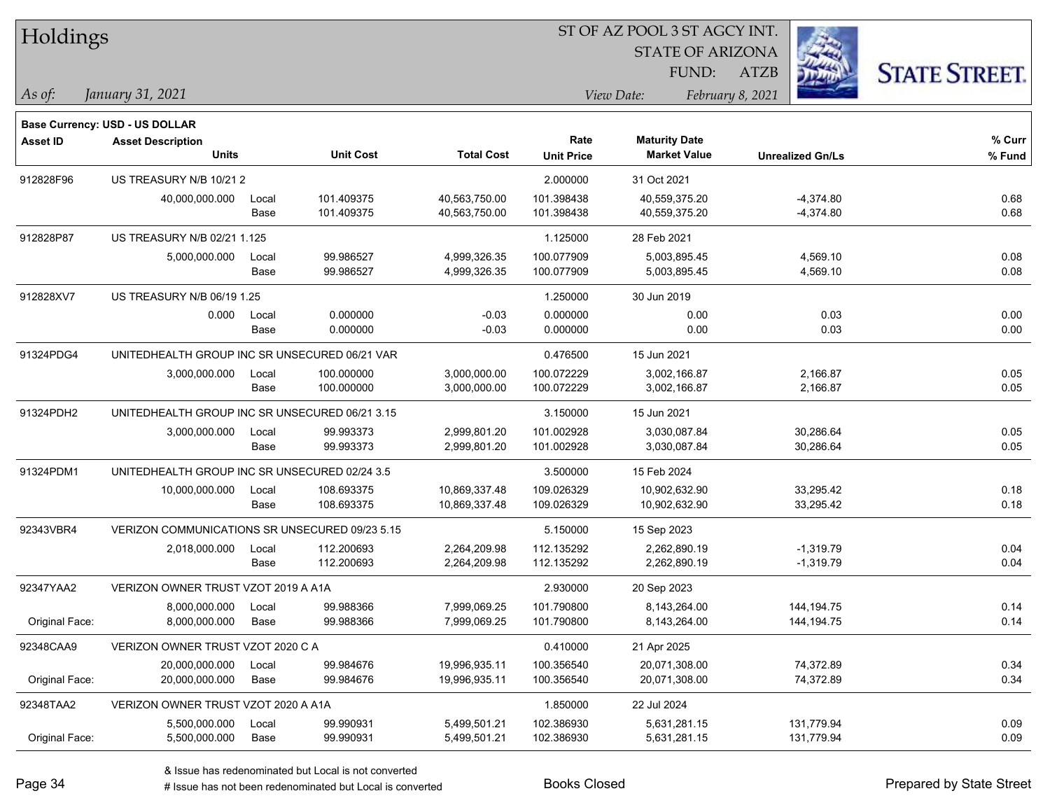| Holdings        |                                                                   |       |                  |                   |                   | ST OF AZ POOL 3 ST AGCY INT. |                         |                      |  |
|-----------------|-------------------------------------------------------------------|-------|------------------|-------------------|-------------------|------------------------------|-------------------------|----------------------|--|
|                 |                                                                   |       |                  |                   |                   | <b>STATE OF ARIZONA</b>      |                         |                      |  |
|                 |                                                                   |       |                  |                   |                   | FUND:                        | <b>ATZB</b>             | <b>STATE STREET.</b> |  |
| $\vert$ As of:  | January 31, 2021                                                  |       |                  |                   |                   | View Date:                   | February 8, 2021        |                      |  |
|                 |                                                                   |       |                  |                   |                   |                              |                         |                      |  |
| <b>Asset ID</b> | <b>Base Currency: USD - US DOLLAR</b><br><b>Asset Description</b> |       |                  |                   | Rate              | <b>Maturity Date</b>         |                         | % Curr               |  |
|                 | Units                                                             |       | <b>Unit Cost</b> | <b>Total Cost</b> | <b>Unit Price</b> | <b>Market Value</b>          | <b>Unrealized Gn/Ls</b> | $%$ Fund             |  |
| 912828F96       | US TREASURY N/B 10/21 2                                           |       |                  |                   | 2.000000          | 31 Oct 2021                  |                         |                      |  |
|                 | 40,000,000.000                                                    | Local | 101.409375       | 40,563,750.00     | 101.398438        | 40,559,375.20                | $-4,374.80$             | 0.68                 |  |
|                 |                                                                   | Base  | 101.409375       | 40,563,750.00     | 101.398438        | 40,559,375.20                | $-4,374.80$             | 0.68                 |  |
| 912828P87       | US TREASURY N/B 02/21 1.125                                       |       |                  |                   | 1.125000          | 28 Feb 2021                  |                         |                      |  |
|                 | 5,000,000.000                                                     | Local | 99.986527        | 4,999,326.35      | 100.077909        | 5,003,895.45                 | 4,569.10                | 0.08                 |  |
|                 |                                                                   | Base  | 99.986527        | 4,999,326.35      | 100.077909        | 5,003,895.45                 | 4,569.10                | 0.08                 |  |
| 912828XV7       | <b>US TREASURY N/B 06/19 1.25</b>                                 |       |                  |                   | 1.250000          | 30 Jun 2019                  |                         |                      |  |
|                 | 0.000                                                             | Local | 0.000000         | $-0.03$           | 0.000000          | 0.00                         | 0.03                    | 0.00                 |  |
|                 |                                                                   | Base  | 0.000000         | $-0.03$           | 0.000000          | 0.00                         | 0.03                    | 0.00                 |  |
| 91324PDG4       | UNITEDHEALTH GROUP INC SR UNSECURED 06/21 VAR                     |       |                  |                   | 0.476500          | 15 Jun 2021                  |                         |                      |  |
|                 | 3,000,000.000                                                     | Local | 100.000000       | 3,000,000.00      | 100.072229        | 3,002,166.87                 | 2,166.87                | 0.05                 |  |
|                 |                                                                   | Base  | 100.000000       | 3,000,000.00      | 100.072229        | 3,002,166.87                 | 2,166.87                | 0.05                 |  |
| 91324PDH2       | UNITEDHEALTH GROUP INC SR UNSECURED 06/21 3.15                    |       |                  |                   | 3.150000          | 15 Jun 2021                  |                         |                      |  |
|                 | 3,000,000.000                                                     | Local | 99.993373        | 2,999,801.20      | 101.002928        | 3,030,087.84                 | 30,286.64               | 0.05                 |  |
|                 |                                                                   | Base  | 99.993373        | 2,999,801.20      | 101.002928        | 3,030,087.84                 | 30,286.64               | 0.05                 |  |
| 91324PDM1       | UNITEDHEALTH GROUP INC SR UNSECURED 02/24 3.5                     |       |                  |                   | 3.500000          | 15 Feb 2024                  |                         |                      |  |
|                 | 10,000,000.000                                                    | Local | 108.693375       | 10,869,337.48     | 109.026329        | 10,902,632.90                | 33,295.42               | 0.18                 |  |
|                 |                                                                   | Base  | 108.693375       | 10,869,337.48     | 109.026329        | 10,902,632.90                | 33,295.42               | 0.18                 |  |
| 92343VBR4       | VERIZON COMMUNICATIONS SR UNSECURED 09/23 5.15                    |       |                  |                   | 5.150000          | 15 Sep 2023                  |                         |                      |  |
|                 | 2,018,000.000                                                     | Local | 112.200693       | 2,264,209.98      | 112.135292        | 2,262,890.19                 | $-1,319.79$             | 0.04                 |  |
|                 |                                                                   | Base  | 112.200693       | 2,264,209.98      | 112.135292        | 2,262,890.19                 | $-1,319.79$             | 0.04                 |  |
| 92347YAA2       | VERIZON OWNER TRUST VZOT 2019 A A1A                               |       |                  |                   | 2.930000          | 20 Sep 2023                  |                         |                      |  |
|                 | 8,000,000.000                                                     | Local | 99.988366        | 7,999,069.25      | 101.790800        | 8,143,264.00                 | 144, 194. 75            | 0.14                 |  |
| Original Face:  | 8,000,000.000                                                     | Base  | 99.988366        | 7,999,069.25      | 101.790800        | 8,143,264.00                 | 144, 194. 75            | 0.14                 |  |
| 92348CAA9       | VERIZON OWNER TRUST VZOT 2020 C A                                 |       |                  |                   | 0.410000          | 21 Apr 2025                  |                         |                      |  |
|                 | 20,000,000.000                                                    | Local | 99.984676        | 19,996,935.11     | 100.356540        | 20,071,308.00                | 74,372.89               | 0.34                 |  |
| Original Face:  | 20,000,000.000                                                    | Base  | 99.984676        | 19,996,935.11     | 100.356540        | 20,071,308.00                | 74,372.89               | 0.34                 |  |
| 92348TAA2       | VERIZON OWNER TRUST VZOT 2020 A A1A                               |       |                  |                   | 1.850000          | 22 Jul 2024                  |                         |                      |  |
|                 | 5,500,000.000                                                     | Local | 99.990931        | 5,499,501.21      | 102.386930        | 5,631,281.15                 | 131,779.94              | 0.09                 |  |
| Original Face:  | 5,500,000.000                                                     | Base  | 99.990931        | 5,499,501.21      | 102.386930        | 5,631,281.15                 | 131,779.94              | 0.09                 |  |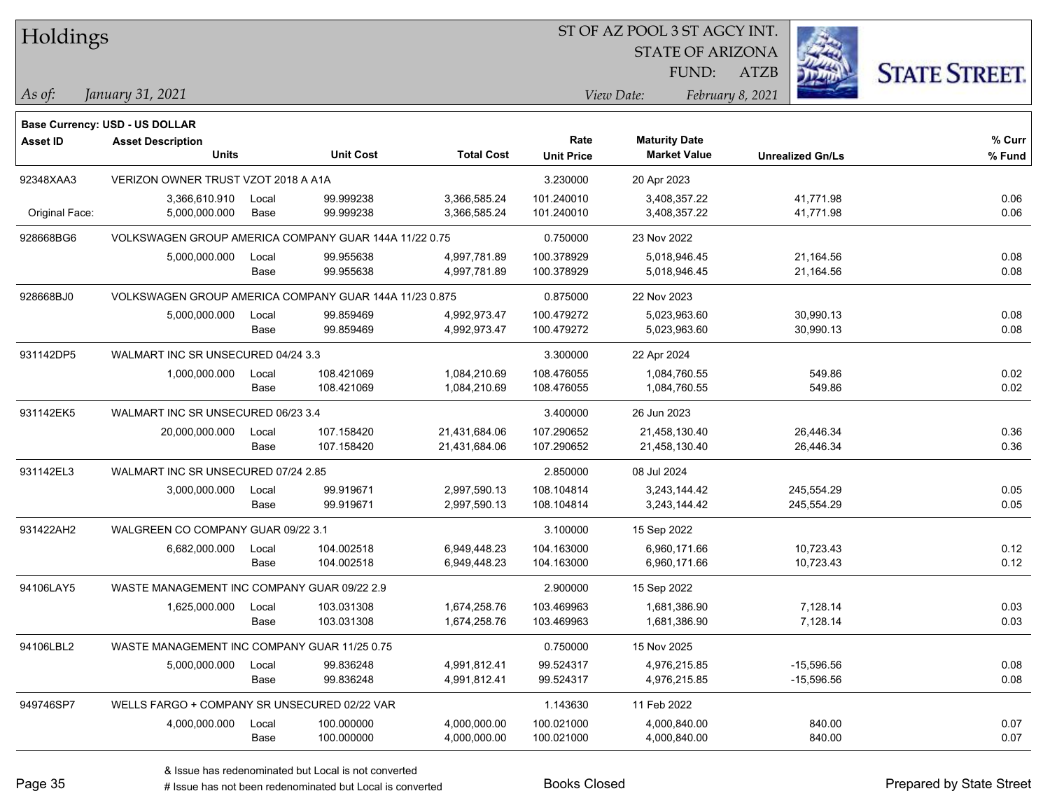| Holdings        |                                                        |       |                  |                   |                   | ST OF AZ POOL 3 ST AGCY INT. |                         |                      |
|-----------------|--------------------------------------------------------|-------|------------------|-------------------|-------------------|------------------------------|-------------------------|----------------------|
|                 |                                                        |       |                  |                   |                   | <b>STATE OF ARIZONA</b>      |                         |                      |
|                 |                                                        |       |                  |                   |                   | FUND:                        | ATZB                    | <b>STATE STREET.</b> |
| As of:          | January 31, 2021                                       |       |                  |                   |                   | View Date:                   | February 8, 2021        |                      |
|                 | Base Currency: USD - US DOLLAR                         |       |                  |                   |                   |                              |                         |                      |
| <b>Asset ID</b> | <b>Asset Description</b>                               |       |                  |                   | Rate              | <b>Maturity Date</b>         |                         | % Curr               |
|                 | <b>Units</b>                                           |       | <b>Unit Cost</b> | <b>Total Cost</b> | <b>Unit Price</b> | <b>Market Value</b>          | <b>Unrealized Gn/Ls</b> | % Fund               |
| 92348XAA3       | VERIZON OWNER TRUST VZOT 2018 A A1A                    |       |                  |                   | 3.230000          | 20 Apr 2023                  |                         |                      |
|                 | 3,366,610.910                                          | Local | 99.999238        | 3,366,585.24      | 101.240010        | 3,408,357.22                 | 41,771.98               | 0.06                 |
| Original Face:  | 5,000,000.000                                          | Base  | 99.999238        | 3,366,585.24      | 101.240010        | 3,408,357.22                 | 41,771.98               | 0.06                 |
| 928668BG6       | VOLKSWAGEN GROUP AMERICA COMPANY GUAR 144A 11/22 0.75  |       |                  |                   | 0.750000          | 23 Nov 2022                  |                         |                      |
|                 | 5,000,000.000                                          | Local | 99.955638        | 4,997,781.89      | 100.378929        | 5,018,946.45                 | 21,164.56               | 0.08                 |
|                 |                                                        | Base  | 99.955638        | 4,997,781.89      | 100.378929        | 5,018,946.45                 | 21,164.56               | 0.08                 |
| 928668BJ0       | VOLKSWAGEN GROUP AMERICA COMPANY GUAR 144A 11/23 0.875 |       |                  |                   | 0.875000          | 22 Nov 2023                  |                         |                      |
|                 | 5,000,000.000                                          | Local | 99.859469        | 4,992,973.47      | 100.479272        | 5,023,963.60                 | 30,990.13               | 0.08                 |
|                 |                                                        | Base  | 99.859469        | 4,992,973.47      | 100.479272        | 5,023,963.60                 | 30,990.13               | 0.08                 |
| 931142DP5       | WALMART INC SR UNSECURED 04/24 3.3                     |       |                  |                   | 3.300000          | 22 Apr 2024                  |                         |                      |
|                 | 1,000,000.000                                          | Local | 108.421069       | 1,084,210.69      | 108.476055        | 1,084,760.55                 | 549.86                  | 0.02                 |
|                 |                                                        | Base  | 108.421069       | 1,084,210.69      | 108.476055        | 1,084,760.55                 | 549.86                  | 0.02                 |
| 931142EK5       | WALMART INC SR UNSECURED 06/23 3.4                     |       |                  |                   | 3.400000          | 26 Jun 2023                  |                         |                      |
|                 | 20,000,000.000                                         | Local | 107.158420       | 21,431,684.06     | 107.290652        | 21,458,130.40                | 26,446.34               | 0.36                 |
|                 |                                                        | Base  | 107.158420       | 21,431,684.06     | 107.290652        | 21,458,130.40                | 26,446.34               | 0.36                 |
| 931142EL3       | WALMART INC SR UNSECURED 07/24 2.85                    |       |                  |                   | 2.850000          | 08 Jul 2024                  |                         |                      |
|                 | 3,000,000.000                                          | Local | 99.919671        | 2,997,590.13      | 108.104814        | 3,243,144.42                 | 245,554.29              | 0.05                 |
|                 |                                                        | Base  | 99.919671        | 2,997,590.13      | 108.104814        | 3,243,144.42                 | 245,554.29              | 0.05                 |
| 931422AH2       | WALGREEN CO COMPANY GUAR 09/22 3.1                     |       |                  |                   | 3.100000          | 15 Sep 2022                  |                         |                      |
|                 | 6,682,000.000                                          | Local | 104.002518       | 6,949,448.23      | 104.163000        | 6,960,171.66                 | 10,723.43               | 0.12                 |
|                 |                                                        | Base  | 104.002518       | 6,949,448.23      | 104.163000        | 6,960,171.66                 | 10,723.43               | 0.12                 |
| 94106LAY5       | WASTE MANAGEMENT INC COMPANY GUAR 09/22 2.9            |       |                  |                   | 2.900000          | 15 Sep 2022                  |                         |                      |
|                 | 1,625,000.000 Local                                    |       | 103.031308       | 1,674,258.76      | 103.469963        | 1,681,386.90                 | 7,128.14                | 0.03                 |
|                 |                                                        | Base  | 103.031308       | 1,674,258.76      | 103.469963        | 1,681,386.90                 | 7,128.14                | 0.03                 |
| 94106LBL2       | WASTE MANAGEMENT INC COMPANY GUAR 11/25 0.75           |       |                  |                   | 0.750000          | 15 Nov 2025                  |                         |                      |
|                 | 5,000,000.000                                          | Local | 99.836248        | 4,991,812.41      | 99.524317         | 4,976,215.85                 | $-15,596.56$            | 0.08                 |
|                 |                                                        | Base  | 99.836248        | 4,991,812.41      | 99.524317         | 4,976,215.85                 | $-15,596.56$            | 0.08                 |
| 949746SP7       | WELLS FARGO + COMPANY SR UNSECURED 02/22 VAR           |       |                  |                   | 1.143630          | 11 Feb 2022                  |                         |                      |
|                 | 4,000,000.000                                          | Local | 100.000000       | 4,000,000.00      | 100.021000        | 4,000,840.00                 | 840.00                  | 0.07                 |
|                 |                                                        | Base  | 100.000000       | 4,000,000.00      | 100.021000        | 4,000,840.00                 | 840.00                  | 0.07                 |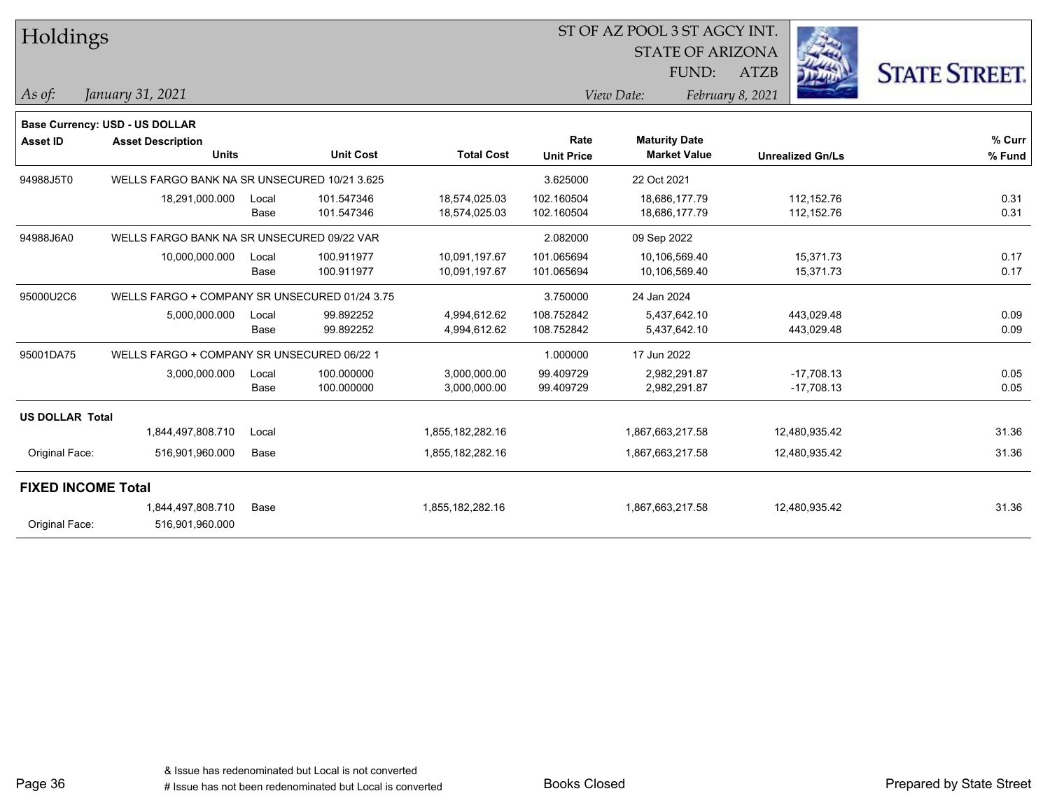|                           | Holdings                                      |       |                  |                   |                   | ST OF AZ POOL 3 ST AGCY INT. |                  |                         |                      |
|---------------------------|-----------------------------------------------|-------|------------------|-------------------|-------------------|------------------------------|------------------|-------------------------|----------------------|
|                           |                                               |       |                  |                   |                   | <b>STATE OF ARIZONA</b>      |                  |                         |                      |
|                           |                                               |       |                  |                   |                   | FUND:                        | <b>ATZB</b>      |                         | <b>STATE STREET.</b> |
| As of:                    | January 31, 2021                              |       |                  |                   |                   | View Date:                   | February 8, 2021 |                         |                      |
|                           | Base Currency: USD - US DOLLAR                |       |                  |                   |                   |                              |                  |                         |                      |
| <b>Asset ID</b>           | <b>Asset Description</b>                      |       |                  |                   | Rate              | <b>Maturity Date</b>         |                  |                         | % Curr               |
|                           | <b>Units</b>                                  |       | <b>Unit Cost</b> | <b>Total Cost</b> | <b>Unit Price</b> | <b>Market Value</b>          |                  | <b>Unrealized Gn/Ls</b> | % Fund               |
| 94988J5T0                 | WELLS FARGO BANK NA SR UNSECURED 10/21 3.625  |       |                  |                   | 3.625000          | 22 Oct 2021                  |                  |                         |                      |
|                           | 18,291,000.000                                | Local | 101.547346       | 18,574,025.03     | 102.160504        | 18,686,177.79                |                  | 112, 152.76             | 0.31                 |
|                           |                                               | Base  | 101.547346       | 18,574,025.03     | 102.160504        | 18,686,177.79                |                  | 112, 152.76             | 0.31                 |
| 94988J6A0                 | WELLS FARGO BANK NA SR UNSECURED 09/22 VAR    |       |                  |                   | 2.082000          | 09 Sep 2022                  |                  |                         |                      |
|                           | 10,000,000.000                                | Local | 100.911977       | 10,091,197.67     | 101.065694        | 10,106,569.40                |                  | 15.371.73               | 0.17                 |
|                           |                                               | Base  | 100.911977       | 10,091,197.67     | 101.065694        | 10,106,569.40                |                  | 15,371.73               | 0.17                 |
| 95000U2C6                 | WELLS FARGO + COMPANY SR UNSECURED 01/24 3.75 |       |                  |                   | 3.750000          | 24 Jan 2024                  |                  |                         |                      |
|                           | 5,000,000.000                                 | Local | 99.892252        | 4,994,612.62      | 108.752842        | 5,437,642.10                 |                  | 443,029.48              | 0.09                 |
|                           |                                               | Base  | 99.892252        | 4,994,612.62      | 108.752842        | 5,437,642.10                 |                  | 443,029.48              | 0.09                 |
| 95001DA75                 | WELLS FARGO + COMPANY SR UNSECURED 06/22 1    |       |                  |                   | 1.000000          | 17 Jun 2022                  |                  |                         |                      |
|                           | 3,000,000.000                                 | Local | 100.000000       | 3,000,000.00      | 99.409729         | 2,982,291.87                 |                  | $-17,708.13$            | 0.05                 |
|                           |                                               | Base  | 100.000000       | 3,000,000.00      | 99.409729         | 2,982,291.87                 |                  | $-17,708.13$            | 0.05                 |
| <b>US DOLLAR Total</b>    |                                               |       |                  |                   |                   |                              |                  |                         |                      |
|                           | 1,844,497,808.710                             | Local |                  | 1,855,182,282.16  |                   | 1,867,663,217.58             |                  | 12,480,935.42           | 31.36                |
| Original Face:            | 516,901,960.000                               | Base  |                  | 1,855,182,282.16  |                   | 1,867,663,217.58             |                  | 12,480,935.42           | 31.36                |
| <b>FIXED INCOME Total</b> |                                               |       |                  |                   |                   |                              |                  |                         |                      |
|                           | 1,844,497,808.710                             | Base  |                  | 1,855,182,282.16  |                   | 1,867,663,217.58             |                  | 12,480,935.42           | 31.36                |
| Original Face:            | 516,901,960.000                               |       |                  |                   |                   |                              |                  |                         |                      |

Page 36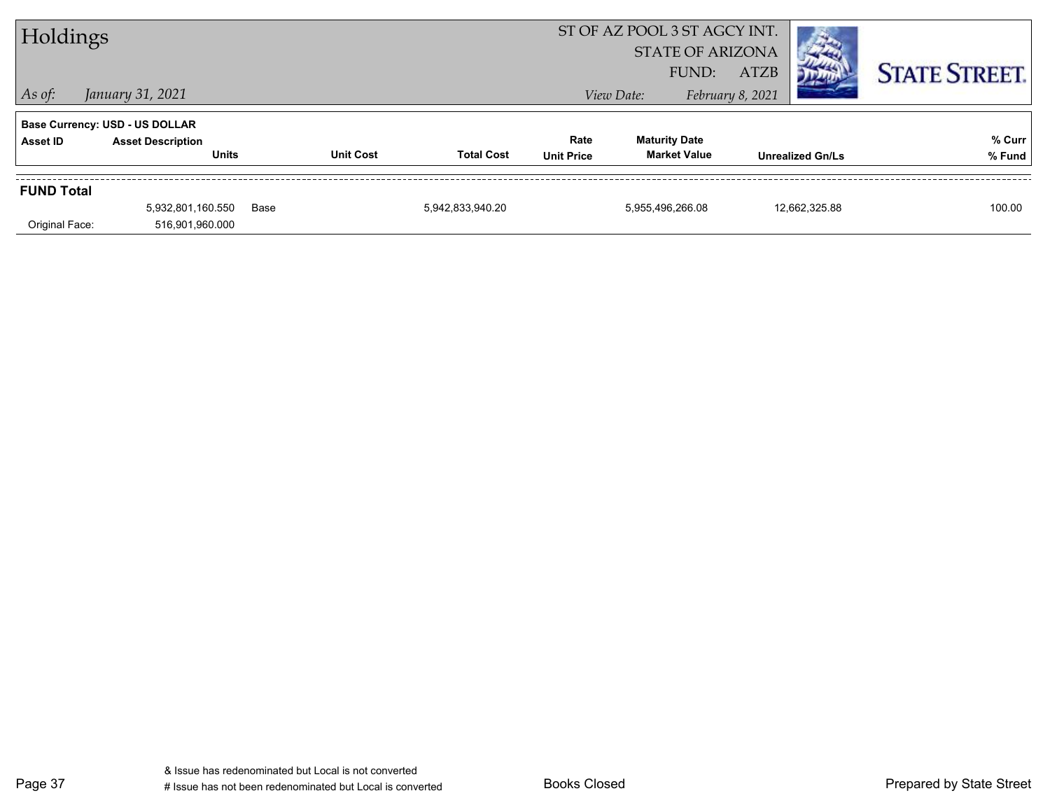| Holdings          |                                          |      |                  |                   |                           | ST OF AZ POOL 3 ST AGCY INT.<br><b>STATE OF ARIZONA</b> |                                 |                         |                      |
|-------------------|------------------------------------------|------|------------------|-------------------|---------------------------|---------------------------------------------------------|---------------------------------|-------------------------|----------------------|
| $ $ As of:        | January 31, 2021                         |      |                  |                   |                           | FUND:<br>View Date:                                     | <b>ATZB</b><br>February 8, 2021 |                         | <b>STATE STREET.</b> |
|                   | <b>Base Currency: USD - US DOLLAR</b>    |      |                  |                   |                           |                                                         |                                 |                         |                      |
| Asset ID          | <b>Asset Description</b><br><b>Units</b> |      | <b>Unit Cost</b> | <b>Total Cost</b> | Rate<br><b>Unit Price</b> | <b>Maturity Date</b><br><b>Market Value</b>             |                                 | <b>Unrealized Gn/Ls</b> | % Curr<br>% Fund     |
| <b>FUND Total</b> |                                          |      |                  |                   |                           |                                                         |                                 |                         |                      |
|                   | 5,932,801,160.550                        | Base |                  | 5,942,833,940.20  |                           | 5,955,496,266.08                                        |                                 | 12,662,325.88           | 100.00               |
| Original Face:    | 516,901,960.000                          |      |                  |                   |                           |                                                         |                                 |                         |                      |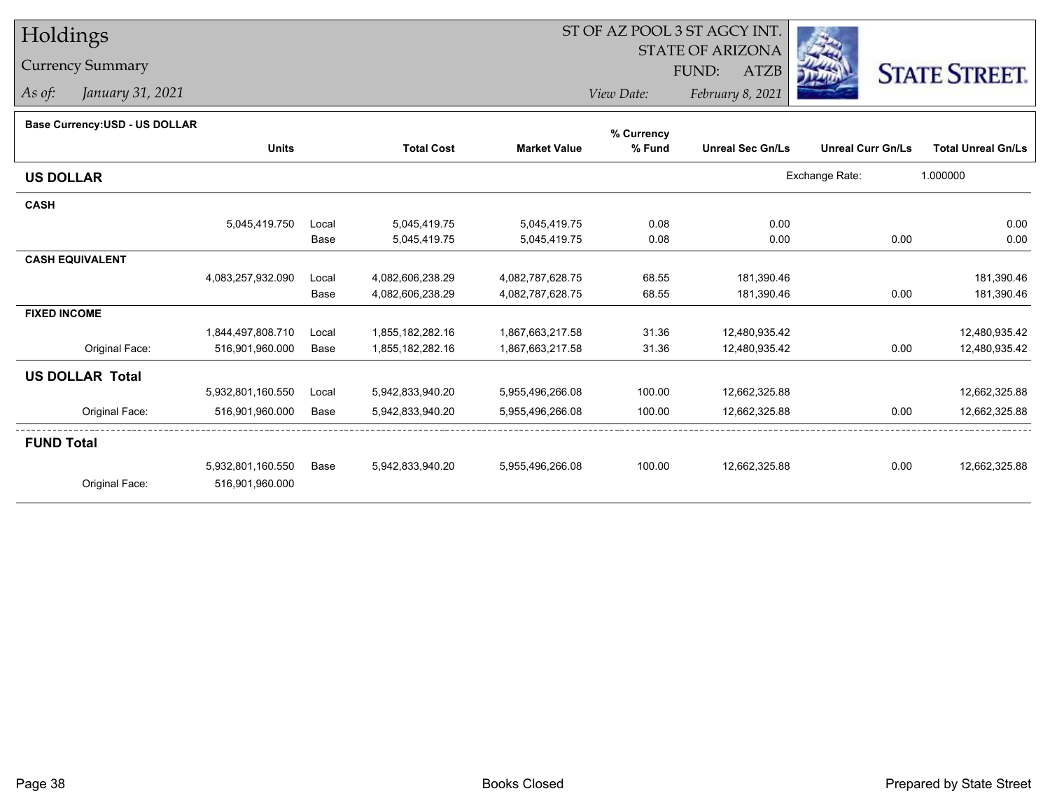# Holdings

### Currency Summary

*As of: January 31, 2021*

## ST OF AZ POOL 3 ST AGCY INT.

STATE OF ARIZONA

FUND: ATZB



*View Date:February 8, 2021*

#### **Base Currency:USD - US DOLLAR**

|                        |                   |       |                   |                     | % Currency |                         |                          |                           |
|------------------------|-------------------|-------|-------------------|---------------------|------------|-------------------------|--------------------------|---------------------------|
|                        | <b>Units</b>      |       | <b>Total Cost</b> | <b>Market Value</b> | % Fund     | <b>Unreal Sec Gn/Ls</b> | <b>Unreal Curr Gn/Ls</b> | <b>Total Unreal Gn/Ls</b> |
| <b>US DOLLAR</b>       |                   |       |                   |                     |            |                         | Exchange Rate:           | 1.000000                  |
| <b>CASH</b>            |                   |       |                   |                     |            |                         |                          |                           |
|                        | 5,045,419.750     | Local | 5,045,419.75      | 5,045,419.75        | 0.08       | 0.00                    |                          | 0.00                      |
|                        |                   | Base  | 5,045,419.75      | 5,045,419.75        | 0.08       | 0.00                    | 0.00                     | 0.00                      |
| <b>CASH EQUIVALENT</b> |                   |       |                   |                     |            |                         |                          |                           |
|                        | 4,083,257,932.090 | Local | 4,082,606,238.29  | 4,082,787,628.75    | 68.55      | 181,390.46              |                          | 181,390.46                |
|                        |                   | Base  | 4,082,606,238.29  | 4,082,787,628.75    | 68.55      | 181,390.46              | 0.00                     | 181,390.46                |
| <b>FIXED INCOME</b>    |                   |       |                   |                     |            |                         |                          |                           |
|                        | 1,844,497,808.710 | Local | 1,855,182,282.16  | 1,867,663,217.58    | 31.36      | 12,480,935.42           |                          | 12,480,935.42             |
| Original Face:         | 516,901,960.000   | Base  | 1,855,182,282.16  | 1,867,663,217.58    | 31.36      | 12,480,935.42           | 0.00                     | 12,480,935.42             |
| <b>US DOLLAR Total</b> |                   |       |                   |                     |            |                         |                          |                           |
|                        | 5,932,801,160.550 | Local | 5,942,833,940.20  | 5,955,496,266.08    | 100.00     | 12,662,325.88           |                          | 12,662,325.88             |
| Original Face:         | 516,901,960.000   | Base  | 5,942,833,940.20  | 5,955,496,266.08    | 100.00     | 12,662,325.88           | 0.00                     | 12,662,325.88             |
| <b>FUND Total</b>      |                   |       |                   |                     |            |                         |                          |                           |
|                        | 5,932,801,160.550 | Base  | 5,942,833,940.20  | 5,955,496,266.08    | 100.00     | 12,662,325.88           | 0.00                     | 12,662,325.88             |
| Original Face:         | 516,901,960.000   |       |                   |                     |            |                         |                          |                           |
|                        |                   |       |                   |                     |            |                         |                          |                           |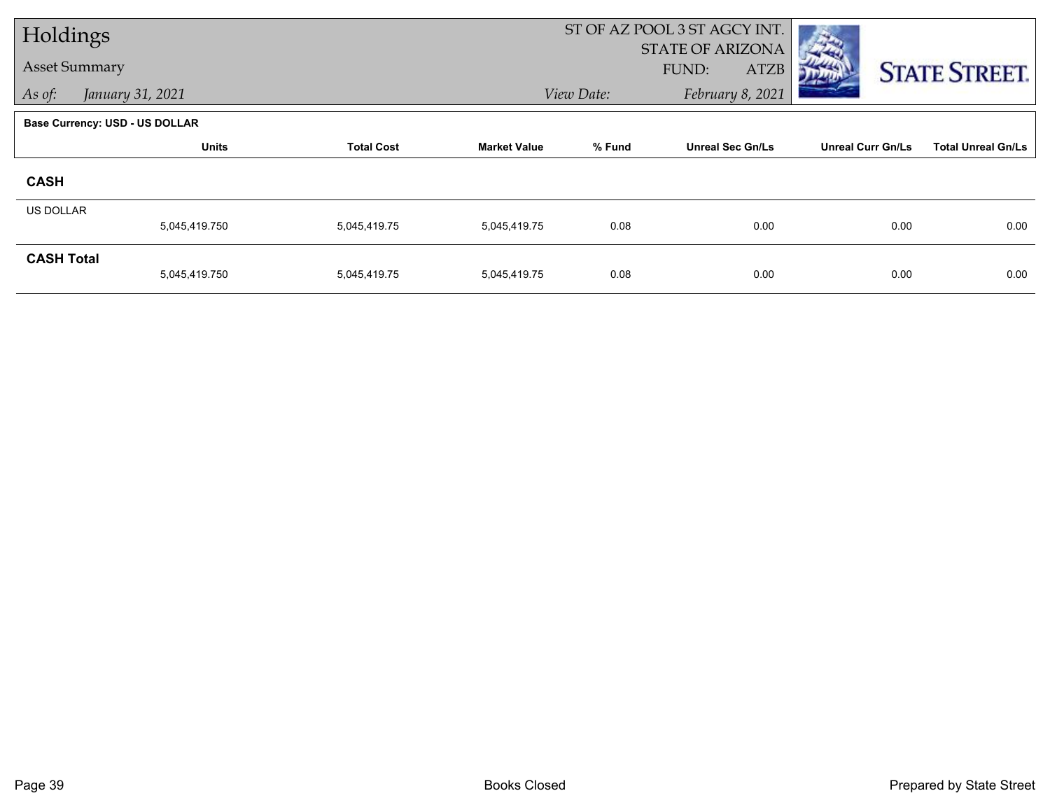| Holdings             |                                       |                   |                     |            | ST OF AZ POOL 3 ST AGCY INT.                    |                          |                           |
|----------------------|---------------------------------------|-------------------|---------------------|------------|-------------------------------------------------|--------------------------|---------------------------|
| <b>Asset Summary</b> |                                       |                   |                     |            | <b>STATE OF ARIZONA</b><br><b>ATZB</b><br>FUND: |                          |                           |
|                      |                                       |                   |                     |            |                                                 |                          | <b>STATE STREET.</b>      |
| As of:               | January 31, 2021                      |                   |                     | View Date: | February 8, 2021                                |                          |                           |
|                      | <b>Base Currency: USD - US DOLLAR</b> |                   |                     |            |                                                 |                          |                           |
|                      | <b>Units</b>                          | <b>Total Cost</b> | <b>Market Value</b> | % Fund     | <b>Unreal Sec Gn/Ls</b>                         | <b>Unreal Curr Gn/Ls</b> | <b>Total Unreal Gn/Ls</b> |
| <b>CASH</b>          |                                       |                   |                     |            |                                                 |                          |                           |
| <b>US DOLLAR</b>     |                                       |                   |                     |            |                                                 |                          |                           |
|                      | 5,045,419.750                         | 5,045,419.75      | 5,045,419.75        | 0.08       | 0.00                                            | 0.00                     | 0.00                      |
| <b>CASH Total</b>    |                                       |                   |                     |            |                                                 |                          |                           |
|                      | 5,045,419.750                         | 5,045,419.75      | 5,045,419.75        | 0.08       | 0.00                                            | 0.00                     | 0.00                      |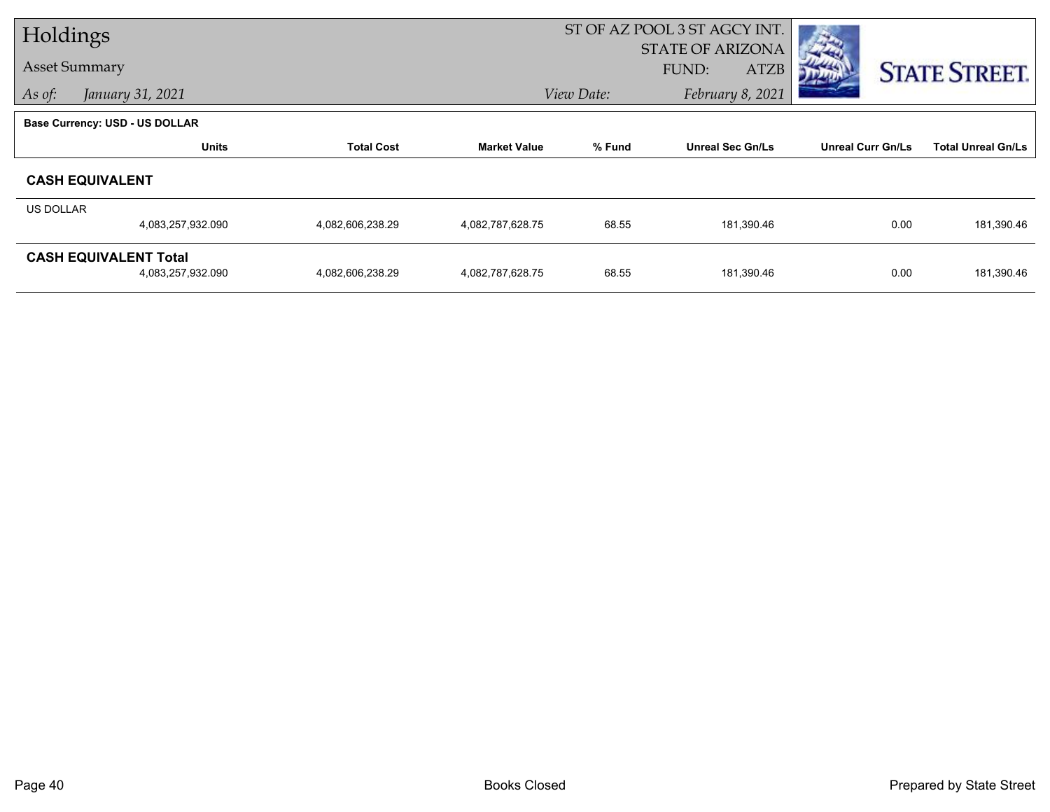|           | Holdings                              |                   |                     |            | ST OF AZ POOL 3 ST AGCY INT. |                          |                           |
|-----------|---------------------------------------|-------------------|---------------------|------------|------------------------------|--------------------------|---------------------------|
|           |                                       |                   |                     |            | <b>STATE OF ARIZONA</b>      |                          |                           |
|           | <b>Asset Summary</b>                  |                   |                     |            | FUND:<br>ATZB                |                          | <b>STATE STREET.</b>      |
| As of:    | January 31, 2021                      |                   |                     | View Date: | February 8, 2021             |                          |                           |
|           | <b>Base Currency: USD - US DOLLAR</b> |                   |                     |            |                              |                          |                           |
|           | <b>Units</b>                          | <b>Total Cost</b> | <b>Market Value</b> | % Fund     | <b>Unreal Sec Gn/Ls</b>      | <b>Unreal Curr Gn/Ls</b> | <b>Total Unreal Gn/Ls</b> |
|           | <b>CASH EQUIVALENT</b>                |                   |                     |            |                              |                          |                           |
| US DOLLAR |                                       |                   |                     |            |                              |                          |                           |
|           | 4,083,257,932.090                     | 4,082,606,238.29  | 4,082,787,628.75    | 68.55      | 181,390.46                   | 0.00                     | 181,390.46                |
|           | <b>CASH EQUIVALENT Total</b>          |                   |                     |            |                              |                          |                           |
|           | 4,083,257,932.090                     | 4,082,606,238.29  | 4,082,787,628.75    | 68.55      | 181,390.46                   | 0.00                     | 181,390.46                |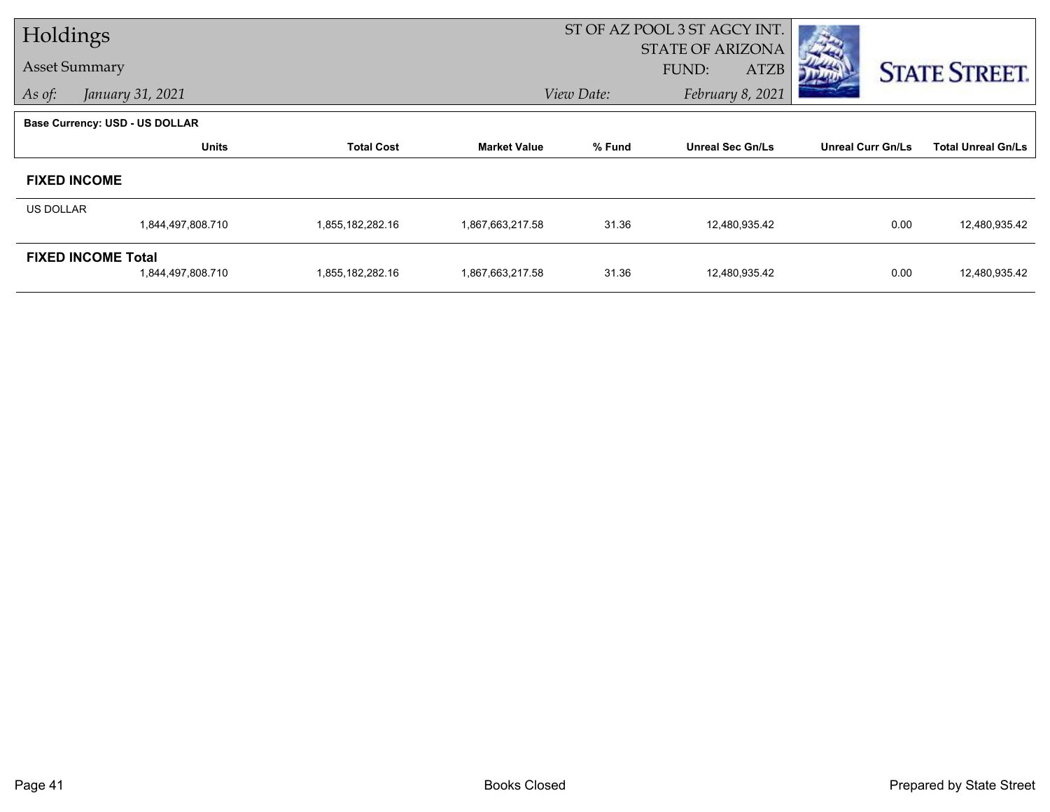| Holdings             |                                       |                   |                     |            | ST OF AZ POOL 3 ST AGCY INT. |                          |                           |
|----------------------|---------------------------------------|-------------------|---------------------|------------|------------------------------|--------------------------|---------------------------|
|                      |                                       |                   |                     |            | <b>STATE OF ARIZONA</b>      |                          |                           |
| <b>Asset Summary</b> |                                       |                   |                     |            | FUND:<br><b>ATZB</b>         |                          | <b>STATE STREET.</b>      |
| As of:               | January 31, 2021                      |                   |                     | View Date: | February 8, 2021             |                          |                           |
|                      | <b>Base Currency: USD - US DOLLAR</b> |                   |                     |            |                              |                          |                           |
|                      | <b>Units</b>                          | <b>Total Cost</b> | <b>Market Value</b> | % Fund     | <b>Unreal Sec Gn/Ls</b>      | <b>Unreal Curr Gn/Ls</b> | <b>Total Unreal Gn/Ls</b> |
|                      | <b>FIXED INCOME</b>                   |                   |                     |            |                              |                          |                           |
| <b>US DOLLAR</b>     |                                       |                   |                     |            |                              |                          |                           |
|                      | 1,844,497,808.710                     | 1,855,182,282.16  | 1,867,663,217.58    | 31.36      | 12,480,935.42                | 0.00                     | 12,480,935.42             |
|                      | <b>FIXED INCOME Total</b>             |                   |                     |            |                              |                          |                           |
|                      | 1,844,497,808.710                     | 1,855,182,282.16  | 1,867,663,217.58    | 31.36      | 12,480,935.42                | 0.00                     | 12,480,935.42             |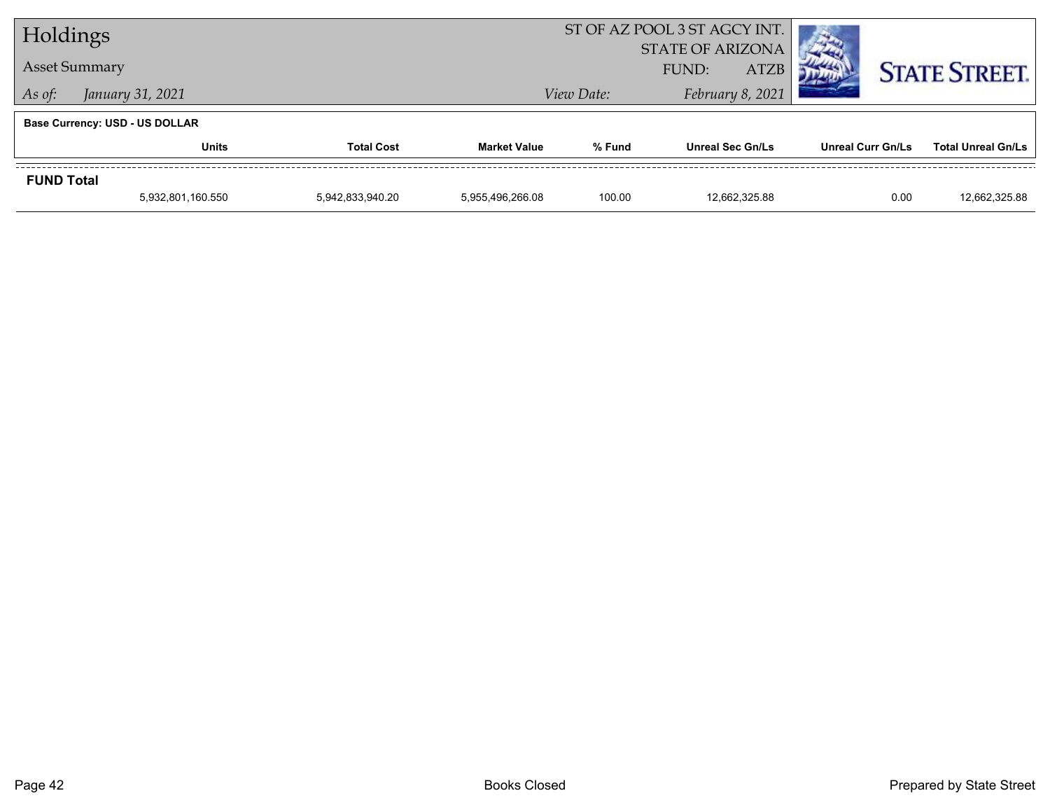| Holdings             |                                       |                   |                     |                                                 | ST OF AZ POOL 3 ST AGCY INT. |                          |                           |
|----------------------|---------------------------------------|-------------------|---------------------|-------------------------------------------------|------------------------------|--------------------------|---------------------------|
| <b>Asset Summary</b> |                                       |                   |                     | <b>STATE OF ARIZONA</b><br><b>ATZB</b><br>FUND: |                              |                          | <b>STATE STREET.</b>      |
| As of:               | January 31, 2021                      |                   |                     | View Date:                                      | February 8, 2021             |                          |                           |
|                      | <b>Base Currency: USD - US DOLLAR</b> |                   |                     |                                                 |                              |                          |                           |
|                      | Units                                 | <b>Total Cost</b> | <b>Market Value</b> | % Fund                                          | <b>Unreal Sec Gn/Ls</b>      | <b>Unreal Curr Gn/Ls</b> | <b>Total Unreal Gn/Ls</b> |
| <b>FUND Total</b>    |                                       |                   |                     |                                                 |                              |                          |                           |
|                      | 5,932,801,160.550                     | 5,942,833,940.20  | 5.955.496.266.08    | 100.00                                          | 12.662.325.88                | 0.00                     | 12.662.325.88             |